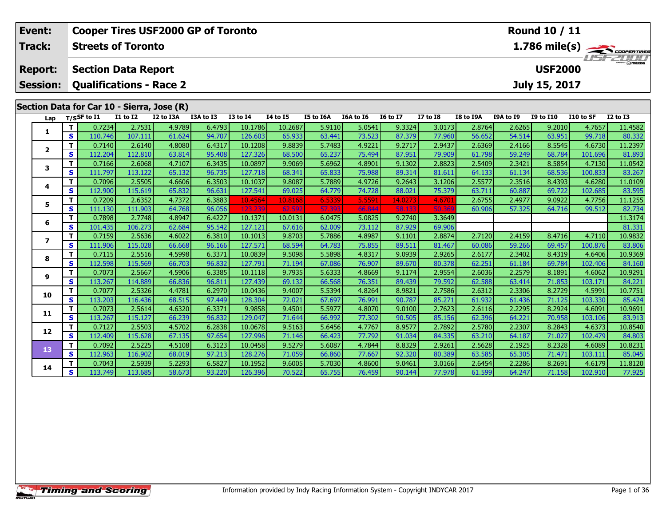| Event:                                       | <b>Cooper Tires USF2000 GP of Toronto</b><br><b>Round 10 / 11</b> |                                            |                   |                  |                  |                   |                  |                  |                  |                  |                  |                  |                  |                  |                   |                         |
|----------------------------------------------|-------------------------------------------------------------------|--------------------------------------------|-------------------|------------------|------------------|-------------------|------------------|------------------|------------------|------------------|------------------|------------------|------------------|------------------|-------------------|-------------------------|
| Track:                                       |                                                                   | <b>Streets of Toronto</b>                  |                   |                  |                  |                   |                  |                  |                  |                  |                  |                  |                  |                  |                   | $1.786 \text{ mile(s)}$ |
| <b>Section Data Report</b><br><b>Report:</b> |                                                                   |                                            |                   |                  |                  |                   |                  |                  |                  |                  |                  |                  |                  | <b>USF2000</b>   |                   |                         |
| <b>Session:</b>                              |                                                                   | <b>Qualifications - Race 2</b>             |                   |                  |                  |                   |                  |                  |                  |                  |                  |                  |                  | July 15, 2017    |                   |                         |
|                                              |                                                                   | Section Data for Car 10 - Sierra, Jose (R) |                   |                  |                  |                   |                  |                  |                  |                  |                  |                  |                  |                  |                   |                         |
| Lap                                          |                                                                   | $T/S$ SF to $I1$                           | $I1$ to $I2$      | I2 to I3A        | I3A to I3        | $13$ to $14$      | <b>I4 to I5</b>  | I5 to I6A        | I6A to I6        | <b>I6 to I7</b>  | <b>I7 to I8</b>  | I8 to I9A        | I9A to I9        | <b>I9 to I10</b> | I10 to SF         | <b>I2 to I3</b>         |
|                                              | $\mathbf{T}$                                                      | 0.7234                                     | 2.7531            | 4.9789           | 6.4793           | 10.1786           | 10.2687          | 5.9110           | 5.0541           | 9.3324           | 3.0173           | 2.8764           | 2.6265           | 9.2010           | 4.7657            | 11.4582                 |
| 1                                            | $\mathbf{s}$                                                      | 110.746                                    | 107.111           | 61.624           | 94.707           | 126.603           | 65.933           | 63.441           | 73.523           | 87.379           | 77.960           | 56.652           | 54.514           | 63.951           | 99.718            | 80.332                  |
|                                              | T                                                                 | 0.7140                                     | 2.6140            | 4.8080           | 6.4317           | 10.1208           | 9.8839           | 5.7483           | 4.9221           | 9.2717           | 2.9437           | 2.6369           | 2.4166           | 8.5545           | 4.6730            | 11.2397                 |
| $\mathbf{2}$                                 | $\mathbf{s}$                                                      | 112.204                                    | 112.810           | 63.814           | 95.408           | 127.326           | 68.500           | 65.237           | 75.494           | 87.951           | 79.909           | 61.798           | 59.249           | 68.784           | 101.696           | 81.893                  |
| 3                                            | T.                                                                | 0.7166                                     | 2.6068            | 4.7107           | 6.3435           | 10.0897           | 9.9069           | 5.6962           | 4.8901           | 9.1302           | 2.8823           | 2.5409           | 2.3421           | 8.5854           | 4.7130            | 11.0542                 |
|                                              | $\mathbf{s}$                                                      | 111.797                                    | 113.122           | 65.132           | 96.735           | 127.718           | 68.341           | 65.833           | 75.988           | 89.314           | 81.611           | 64.133           | 61.134           | 68.536           | 100.833           | 83.267                  |
| 4                                            | T                                                                 | 0.7096                                     | 2.5505            | 4.6606           | 6.3503           | 10.1037           | 9.8087           | 5.7889           | 4.9726           | 9.2643           | 3.1206           | 2.5577           | 2.3516           | 8.4393           | 4.6280            | 11.0109                 |
|                                              | $\mathbf{s}$                                                      | 112.900                                    | 115.619           | 65.832           | 96.631           | 127.541           | 69.025           | 64.779           | 74.728           | 88.021           | 75.379           | 63.711           | 60.887           | 69.722           | 102.685           | 83.595                  |
| 5                                            | Т                                                                 | 0.7209                                     | 2.6352            | 4.7372           | 6.3883           | 10.4564           | 10.8168          | 6.5339           | 5.5591           | 14.0273          | 4.670            | 2.6755           | 2.4977           | 9.0922           | 4.7756            | 11.1255                 |
|                                              | S                                                                 | 111.130                                    | 111.903           | 64.768           | 96.056           | 123.2             | 62.59            | 57.3             | 66.844           | 58.1             |                  | 60.906           | 57.325           | 64.716           | 99.512            | 82.734                  |
| 6                                            | $\mathbf{T}$                                                      | 0.7898                                     | 2.7748            | 4.8947           | 6.4227           | 10.1371           | 10.0131          | 6.0475           | 5.0825           | 9.2740           | 3.3649           |                  |                  |                  |                   | 11.3174                 |
|                                              | $\mathbf{s}$                                                      | 101.435                                    | 106.273           | 62.684           | 95.542           | 127.121           | 67.616           | 62.009           | 73.112           | 87,929           | 69.906           |                  |                  |                  |                   | 81.331                  |
| $\overline{ }$                               | $\mathbf T$                                                       | 0.7159                                     | 2.5636            | 4.6022           | 6.3810           | 10.1013           | 9.8703           | 5.7886           | 4.8987           | 9.1101           | 2.8874           | 2.7120           | 2.4159           | 8.4716           | 4.7110            | 10.9832                 |
|                                              | $\mathbf{s}$                                                      | 111.906                                    | 115.028           | 66.668           | 96.166           | 127.571           | 68.594           | 64.783           | 75.855           | 89.511           | 81.467           | 60.086           | 59.266           | 69.457           | 100.876           | 83.806                  |
| 8                                            | $\mathbf T$                                                       | 0.7115                                     | 2.5516            | 4.5998           | 6.3371           | 10.0839           | 9.5098           | 5.5898           | 4.8317           | 9.0939           | 2.9265           | 2.6177           | 2.3402           | 8.4319           | 4.6406            | 10.9369                 |
|                                              | $\mathbf{s}$                                                      | 112.598                                    | 115.569           | 66.703           | 96.832           | 127.791           | 71.194           | 67.086           | 76.907           | 89.670           | 80.378           | 62.251           | 61.184           | 69.784           | 102.406           | 84.160                  |
| 9                                            | T                                                                 | 0.7073                                     | 2.5667            | 4.5906           | 6.3385           | 10.1118           | 9.7935           | 5.6333           | 4.8669           | 9.1174           | 2.9554           | 2.6036           | 2.2579           | 8.1891           | 4.6062            | 10.9291                 |
|                                              | $\mathbf{s}$                                                      | 113.267                                    | 114.889           | 66.836           | 96.811           | 127.439           | 69.132           | 66.568           | 76.351           | 89.439           | 79.592           | 62.588           | 63.414           | 71.853           | 103.171           | 84.221                  |
| 10                                           | T.<br>$\mathbf{s}$                                                | 0.7077<br>113.203                          | 2.5326            | 4.4781<br>68.515 | 6.2970<br>97.449 | 10.0436           | 9.4007<br>72.021 | 5.5394<br>67.697 | 4.8264<br>76.991 | 8.9821           | 2.7586<br>85.271 | 2.6312           | 2.3306           | 8.2729           | 4.5991<br>103.330 | 10.7751<br>85.424       |
|                                              | Т                                                                 | 0.7073                                     | 116.436<br>2.5614 | 4.6320           | 6.3371           | 128.304<br>9.9858 | 9.4501           | 5.5977           | 4.8070           | 90.787<br>9.0100 | 2.7623           | 61.932<br>2.6116 | 61.436<br>2.2295 | 71.125<br>8.2924 | 4.6091            | 10.9691                 |
| 11                                           | S                                                                 | 113.267                                    | 115.127           | 66.239           | 96.832           | 129.047           | 71.644           | 66.992           | 77.302           | 90.505           | 85.156           | 62.396           | 64.221           | 70.958           | 103.106           | 83.913                  |
|                                              | T                                                                 | 0.7127                                     | 2.5503            | 4.5702           | 6.2838           | 10.0678           | 9.5163           | 5.6456           | 4.7767           | 8.9577           | 2.7892           | 2.5780           | 2.2307           | 8.2843           | 4.6373            | 10.8540                 |
| 12                                           | $\mathbf{s}$                                                      | 112.409                                    | 115.628           | 67.135           | 97.654           | 127.996           | 71.146           | 66.423           | 77.792           | 91.034           | 84.335           | 63.210           | 64.187           | 71.027           | 102.479           | 84.803                  |
|                                              | T                                                                 | 0.7092                                     | 2.5225            | 4.5108           | 6.3123           | 10.0458           | 9.5279           | 5.6087           | 4.7844           | 8.8329           | 2.9261           | 2.5628           | 2.1925           | 8.2328           | 4.6089            | 10.8231                 |
| 13                                           | $\mathbf{s}$                                                      | 112.963                                    | 116.902           | 68.019           | 97.213           | 128.276           | 71.059           | 66.860           | 77.667           | 92.320           | 80.389           | 63.585           | 65.305           | 71.471           | 103.111           | 85.045                  |
|                                              | т                                                                 | 0.7043                                     | 2.5939            | 5.2293           | 6.5827           | 10.1952           | 9.6005           | 5.7030           | 4.8600           | 9.0461           | 3.0166           | 2.6454           | 2.2286           | 8.2691           | 4.6179            | 11.8120                 |
| 14                                           | $\mathbf{s}$                                                      | 113.749                                    | 113.685           | 58.673           | 93.220           | 126.396           | 70.522           | 65.755           | 76.459           | 90.144           | 77.978           | 61.599           | 64.247           | 71.158           | 102.910           | 77.925                  |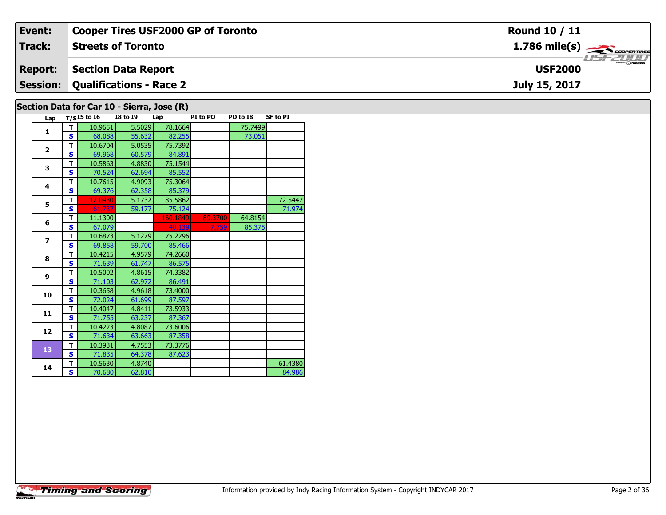| Event:                                     | <b>Cooper Tires USF2000 GP of Toronto</b> | <b>Round 10 / 11</b>                                      |  |  |  |  |  |  |  |
|--------------------------------------------|-------------------------------------------|-----------------------------------------------------------|--|--|--|--|--|--|--|
| <b>Track:</b>                              | <b>Streets of Toronto</b>                 | $1.786$ mile(s) $\overbrace{\hspace{2.5cm}}$ cooren TIRES |  |  |  |  |  |  |  |
| <b>Report:</b>                             | <b>Section Data Report</b>                | <b>LIST CLIPP</b><br><b>USF2000</b>                       |  |  |  |  |  |  |  |
| <b>Session:</b>                            | Qualifications - Race 2                   | July 15, 2017                                             |  |  |  |  |  |  |  |
| Section Data for Car 10 - Sierra, Jose (R) |                                           |                                                           |  |  |  |  |  |  |  |

| Lap                      |   | $T/SI5$ to $\overline{16}$ | <b>I8 to 19</b> | Lap      | PI to PO | PO to I8 | <b>SF to PI</b> |
|--------------------------|---|----------------------------|-----------------|----------|----------|----------|-----------------|
| 1                        | т | 10.9651                    | 5.5029          | 78.1664  |          | 75.7499  |                 |
|                          | S | 68.088                     | 55.632          | 82.255   |          | 73.051   |                 |
| $\overline{\mathbf{z}}$  | т | 10.6704                    | 5.0535          | 75.7392  |          |          |                 |
|                          | S | 69.968                     | 60.579          | 84.891   |          |          |                 |
| 3                        | т | 10.5863                    | 4.8830          | 75.1544  |          |          |                 |
|                          | S | 70.524                     | 62.694          | 85.552   |          |          |                 |
| 4                        | т | 10.7615                    | 4.9093          | 75.3064  |          |          |                 |
|                          | S | 69.376                     | 62.358          | 85.379   |          |          |                 |
| 5                        | т | 12.0930                    | 5.1732          | 85.5862  |          |          | 72.5447         |
|                          | S | 61.737                     | 59.177          | 75.124   |          |          | 71.974          |
| 6                        | т | 11.1300                    |                 | 160.1849 | 89.3700  | 64.8154  |                 |
|                          | S | 67.079                     |                 | 40.139   | 7.759    | 85.375   |                 |
| $\overline{\phantom{a}}$ | т | 10.6873                    | 5.1279          | 75.2296  |          |          |                 |
|                          | S | 69.858                     | 59.700          | 85.466   |          |          |                 |
| 8                        | т | 10.4215                    | 4.9579          | 74.2660  |          |          |                 |
|                          | S | 71.639                     | 61.747          | 86.575   |          |          |                 |
| 9                        | т | 10.5002                    | 4.8615          | 74.3382  |          |          |                 |
|                          | S | 71.103                     | 62.972          | 86.491   |          |          |                 |
| 10                       | т | 10.3658                    | 4.9618          | 73.4000  |          |          |                 |
|                          | S | 72.024                     | 61.699          | 87.597   |          |          |                 |
| 11                       | т | 10.4047                    | 4.8411          | 73.5933  |          |          |                 |
|                          | S | 71.755                     | 63.237          | 87.367   |          |          |                 |
| 12                       | т | 10.4223                    | 4.8087          | 73.6006  |          |          |                 |
|                          | S | 71.634                     | 63.663          | 87.358   |          |          |                 |
| 13                       | T | 10.3931                    | 4.7553          | 73.3776  |          |          |                 |
|                          | Ś | 71.835                     | 64.378          | 87.623   |          |          |                 |
| 14                       | т | 10.5630                    | 4.8740          |          |          |          | 61.4380         |
|                          | S | 70.680                     | 62.810          |          |          |          | 84.986          |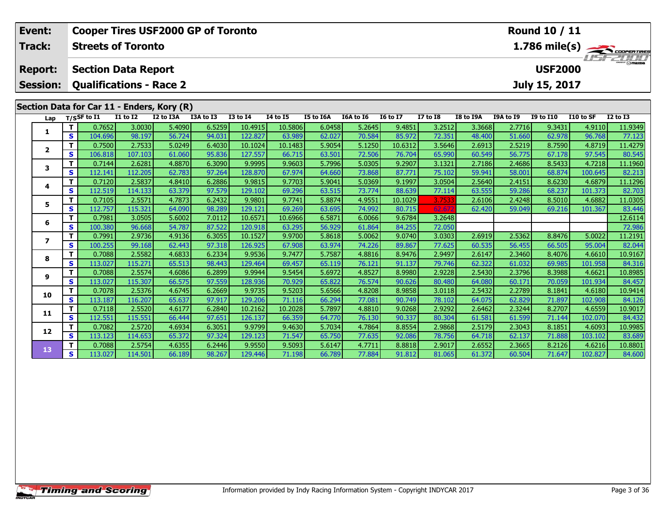|                                              | Event:          | Round 10 / 11<br><b>Cooper Tires USF2000 GP of Toronto</b> |                           |                                    |                                            |                  |                   |                  |                  |                  |                  |                  |                  |                  |                  |                  |                                               |
|----------------------------------------------|-----------------|------------------------------------------------------------|---------------------------|------------------------------------|--------------------------------------------|------------------|-------------------|------------------|------------------|------------------|------------------|------------------|------------------|------------------|------------------|------------------|-----------------------------------------------|
|                                              | Track:          |                                                            | <b>Streets of Toronto</b> |                                    |                                            |                  |                   |                  |                  |                  |                  |                  |                  |                  |                  |                  | $\frac{1.786 \text{ mile(s)}}{1.157 - 21000}$ |
| <b>Section Data Report</b><br><b>Report:</b> |                 |                                                            |                           |                                    |                                            |                  |                   |                  |                  |                  |                  |                  |                  | <b>USF2000</b>   |                  |                  |                                               |
|                                              | <b>Session:</b> |                                                            |                           |                                    | <b>Qualifications - Race 2</b>             |                  |                   |                  |                  |                  |                  |                  |                  |                  | July 15, 2017    |                  |                                               |
|                                              |                 |                                                            |                           |                                    | Section Data for Car 11 - Enders, Kory (R) |                  |                   |                  |                  |                  |                  |                  |                  |                  |                  |                  |                                               |
|                                              | Lap             |                                                            | $T/S$ SF to I1            | $\overline{11}$ to $\overline{12}$ | I2 to I3A                                  | I3A to I3        | <b>I3 to I4</b>   | <b>I4 to I5</b>  | I5 to I6A        | I6A to I6        | <b>I6 to I7</b>  | $I7$ to $I8$     | <b>I8 to I9A</b> | <b>I9A to I9</b> | <b>I9 to I10</b> | I10 to SF        | <b>I2 to I3</b>                               |
|                                              |                 | T                                                          | 0.7652                    | 3.0030                             | 5.4090                                     | 6.5259           | 10.4915           | 10.5806          | 6.0458           | 5.2645           | 9.4851           | 3.2512           | 3.3668           | 2.7716           | 9.3431           | 4.9110           | 11.9349                                       |
|                                              | 1               | $\mathbf{s}$                                               | 104.696                   | 98.197                             | 56.724                                     | 94.031           | 122.827           | 63.989           | 62.027           | 70.584           | 85.972           | 72.351           | 48.400           | 51.660           | 62.978           | 96.768           | 77.123                                        |
|                                              | $\mathbf{2}$    | T.                                                         | 0.7500                    | 2.7533                             | 5.0249                                     | 6.4030           | 10.1024           | 10.1483          | 5.9054           | 5.1250           | 10.6312          | 3.5646           | 2.6913           | 2.5219           | 8.7590           | 4.8719           | 11.4279                                       |
|                                              |                 | $\mathbf{s}$                                               | 106.818                   | 107.103                            | 61.060                                     | 95.836           | 127.557           | 66.715           | 63.501           | 72.506           | 76.704           | 65.990           | 60.549           | 56.775           | 67.178           | 97.545           | 80.545                                        |
|                                              | 3               | T                                                          | 0.7144                    | 2.6281                             | 4.8870                                     | 6.3090           | 9.9995            | 9.9603           | 5.7996           | 5.0305           | 9.2907           | 3.1321           | 2.7186           | 2.4686           | 8.5433           | 4.7218           | 11.1960                                       |
|                                              |                 | S                                                          | 112.141                   | 112.205                            | 62.783                                     | 97.264           | 128.870           | 67.974           | 64.660           | 73.868           | 87.771           | 75.102           | 59.941           | 58.001           | 68.874           | 100.645          | 82.213                                        |
|                                              | 4               | T                                                          | 0.7120                    | 2.5837                             | 4.8410                                     | 6.2886           | 9.9815            | 9.7703           | 5.9041           | 5.0369           | 9.1997           | 3.0504           | 2.5640           | 2.4151           | 8.6230           | 4.6879           | 11.1296                                       |
|                                              |                 | S                                                          | 112.519                   | 114.133                            | 63.379                                     | 97.579           | 129.102           | 69.296           | 63.515           | 73.774           | 88.639           | 77.114           | 63.555           | 59.286           | 68.237           | 101.373          | 82.703                                        |
|                                              | 5               | т                                                          | 0.7105                    | 2.5571                             | 4.7873                                     | 6.2432           | 9.9801            | 9.7741           | 5.8874           | 4.9551           | 10.1029          | 3.7533           | 2.6106           | 2.4248           | 8.5010           | 4.6882           | 11.0305                                       |
|                                              |                 | S                                                          | 112.757                   | 115.321                            | 64.090                                     | 98.289           | 129.121           | 69.269           | 63.695           | 74.992           | 80.715           | 62.67            | 62.420           | 59.049           | 69.216           | 101.367          | 83.446                                        |
|                                              | 6               | т                                                          | 0.7981                    | 3.0505                             | 5.6002                                     | 7.0112           | 10.6571           | 10.6966          | 6.5871           | 6.0066           | 9.6784           | 3.2648           |                  |                  |                  |                  | 12.6114                                       |
|                                              |                 | S                                                          | 100.380                   | 96.668                             | 54.787                                     | 87.522           | 120.918           | 63.295           | 56.929           | 61.864           | 84.255           | 72.050           |                  |                  |                  |                  | 72.986                                        |
|                                              | $\overline{ }$  | T<br>$\mathbf{s}$                                          | 0.7991                    | 2.9736                             | 4.9136                                     | 6.3055<br>97.318 | 10.1527           | 9.9700           | 5.8618           | 5.0062           | 9.0740           | 3.0303           | 2.6919           | 2.5362<br>56.455 | 8.8476           | 5.0022           | 11.2191                                       |
|                                              |                 | T.                                                         | 100.255<br>0.7088         | 99.168<br>2.5582                   | 62.443<br>4.6833                           | 6.2334           | 126.925<br>9.9536 | 67.908<br>9.7477 | 63.974<br>5.7587 | 74.226<br>4.8816 | 89.867<br>8.9476 | 77.625<br>2.9497 | 60.535<br>2.6147 | 2.3460           | 66.505<br>8.4076 | 95.004<br>4.6610 | 82.044<br>10.9167                             |
|                                              | 8               | $\mathbf{s}$                                               | 113.027                   | 115.271                            | 65.513                                     | 98.443           | 129.464           | 69.457           | 65.119           | 76.121           | 91.137           | 79.746           | 62.322           | 61.032           | 69.985           | 101.958          | 84.316                                        |
|                                              |                 | т                                                          | 0.7088                    | 2.5574                             | 4.6086                                     | 6.2899           | 9.9944            | 9.5454           | 5.6972           | 4.8527           | 8.9980           | 2.9228           | 2.5430           | 2.3796           | 8.3988           | 4.6621           | 10.8985                                       |
|                                              | 9               | $\mathbf{s}$                                               | 113.027                   | 115.307                            | 66.575                                     | 97.559           | 128.936           | 70.929           | 65.822           | 76.574           | 90.626           | 80.480           | 64.080           | 60.171           | 70.059           | 101.934          | 84.457                                        |
|                                              |                 | T                                                          | 0.7078                    | 2.5376                             | 4.6745                                     | 6.2669           | 9.9735            | 9.5203           | 5.6566           | 4.8208           | 8.9858           | 3.0118           | 2.5432           | 2.2789           | 8.1841           | 4.6180           | 10.9414                                       |
|                                              | 10              | $\mathbf{s}$                                               | 113.187                   | 116.207                            | 65.637                                     | 97.917           | 129.206           | 71.116           | 66.294           | 77.081           | 90.749           | 78.102           | 64.075           | 62.829           | 71.897           | 102.908          | 84.126                                        |
|                                              |                 | т                                                          | 0.7118                    | 2.5520                             | 4.6177                                     | 6.2840           | 10.2162           | 10.2028          | 5.7897           | 4.8810           | 9.0268           | 2.9292           | 2.6462           | 2.3244           | 8.2707           | 4.6559           | 10.9017                                       |
|                                              | 11              | $\mathbf{s}$                                               | 112.551                   | 115.551                            | 66.444                                     | 97.651           | 126.137           | 66.359           | 64.770           | 76.130           | 90.337           | 80.304           | 61.581           | 61.599           | 71.144           | 102.070          | 84.432                                        |
|                                              |                 | т                                                          | 0.7082                    | 2.5720                             | 4.6934                                     | 6.3051           | 9.9799            | 9.4630           | 5.7034           | 4.7864           | 8.8554           | 2.9868           | 2.5179           | 2.3043           | 8.1851           | 4.6093           | 10.9985                                       |
|                                              | 12              | S                                                          | 113.123                   | 114.653                            | 65.372                                     | 97.324           | 129.123           | 71.547           | 65.750           | 77.635           | 92.086           | 78.756           | 64.718           | 62.137           | 71.888           | 103.102          | 83.689                                        |
|                                              |                 | $\mathbf{T}$                                               | 0.7088                    | 2.5754                             | 4.6355                                     | 6.2446           | 9.9550            | 9.5093           | 5.6147           | 4.7711           | 8.8818           | 2.9017           | 2.6552           | 2.3665           | 8.2126           | 4.6216           | 10.8801                                       |
|                                              | 13              | S                                                          | 113.027                   | 114.501                            | 66.189                                     | 98.267           | 129.446           | 71.198           | 66.789           | 77.884           | 91.812           | 81.065           | 61.372           | 60.504           | 71.647           | 102.827          | 84.600                                        |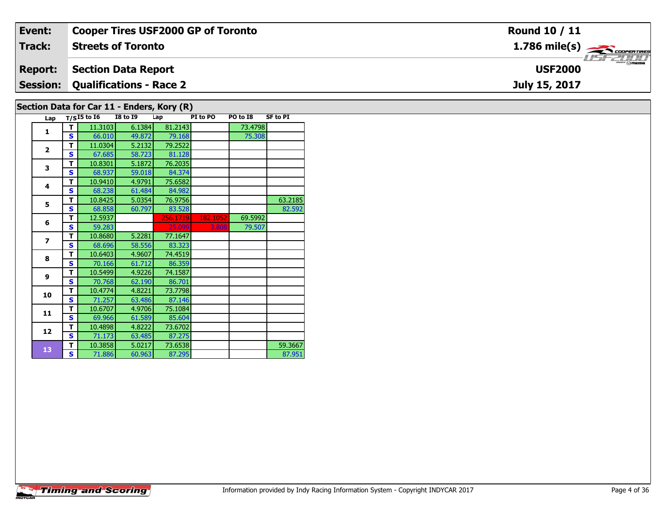| Event:                                     | <b>Cooper Tires USF2000 GP of Toronto</b> | Round 10 / 11                                             |  |  |  |  |  |  |  |
|--------------------------------------------|-------------------------------------------|-----------------------------------------------------------|--|--|--|--|--|--|--|
| Track:                                     | <b>Streets of Toronto</b>                 | $1.786$ mile(s) $\overbrace{\hspace{2.5cm}}$ coorer TIRES |  |  |  |  |  |  |  |
| <b>Report:</b>                             | Section Data Report                       | <b>HSFZUID</b><br><b>USF2000</b>                          |  |  |  |  |  |  |  |
|                                            | <b>Session: Qualifications - Race 2</b>   | July 15, 2017                                             |  |  |  |  |  |  |  |
| Section Data for Car 11 - Enders, Kory (R) |                                           |                                                           |  |  |  |  |  |  |  |

|  | Section Data for Car 11 - Enders, Kory (R) |  |
|--|--------------------------------------------|--|
|  |                                            |  |

| Lap                      |   | $T/SI5$ to $I6$ | <b>I8 to 19</b> | Lap      | PI to PO | PO to I8 | <b>SF to PI</b> |
|--------------------------|---|-----------------|-----------------|----------|----------|----------|-----------------|
| 1                        | т | 11.3103         | 6.1384          | 81.2143  |          | 73.4798  |                 |
|                          | S | 66.010          | 49.872          | 79.168   |          | 75.308   |                 |
|                          | т | 11.0304         | 5.2132          | 79.2522  |          |          |                 |
| $\overline{2}$           | S | 67.685          | 58.723          | 81.128   |          |          |                 |
| 3                        | т | 10.8301         | 5.1872          | 76.2035  |          |          |                 |
|                          | S | 68.937          | 59.018          | 84.374   |          |          |                 |
| 4                        | т | 10.9410         | 4.9791          | 75.6582  |          |          |                 |
|                          | Ś | 68.238          | 61.484          | 84.982   |          |          |                 |
| 5                        | т | 10.8425         | 5.0354          | 76.9756  |          |          | 63.2185         |
|                          | S | 68.858          | 60.797          | 83.528   |          |          | 82.592          |
| 6                        | т | 12.5937         |                 | 256.1719 | 182.1052 | 69.5992  |                 |
|                          | S | 59.283          |                 | 25.099   | 3.808    | 79.507   |                 |
| $\overline{\phantom{a}}$ | т | 10.8680         | 5.2281          | 77.1647  |          |          |                 |
|                          | S | 68.696          | 58.556          | 83.323   |          |          |                 |
| 8                        | т | 10.6403         | 4.9607          | 74.4519  |          |          |                 |
|                          | Ś | 70.166          | 61.712          | 86.359   |          |          |                 |
| 9                        | т | 10.5499         | 4.9226          | 74.1587  |          |          |                 |
|                          | S | 70.768          | 62.190          | 86.701   |          |          |                 |
| 10                       | т | 10.4774         | 4.8221          | 73.7798  |          |          |                 |
|                          | Ś | 71.257          | 63.486          | 87.146   |          |          |                 |
| 11                       | т | 10.6707         | 4.9706          | 75.1084  |          |          |                 |
|                          | s | 69.966          | 61.589          | 85.604   |          |          |                 |
| 12                       | т | 10.4898         | 4.8222          | 73.6702  |          |          |                 |
|                          | S | 71.173          | 63.485          | 87.275   |          |          |                 |
| 13                       | т | 10.3858         | 5.0217          | 73.6538  |          |          | 59.3667         |
|                          | S | 71.886          | 60.963          | 87.295   |          |          | 87.951          |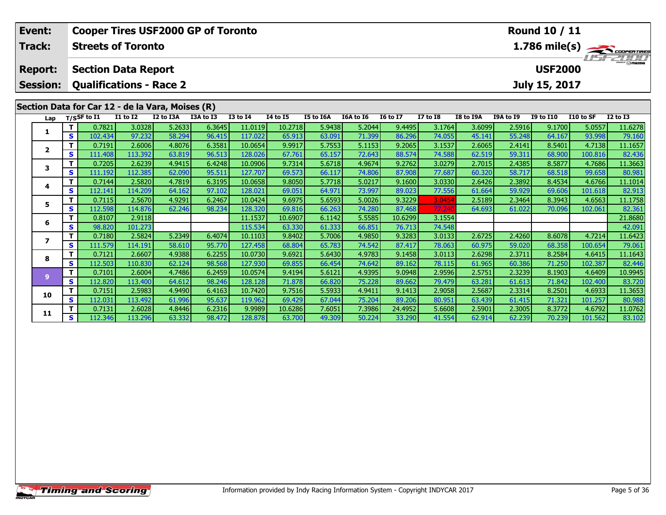|                                                                                                   | Event:         | <b>Round 10 / 11</b><br><b>Cooper Tires USF2000 GP of Toronto</b> |                                                  |                 |           |           |                 |          |                  |           |                 |                                               |                  |           |                  |           |                         |
|---------------------------------------------------------------------------------------------------|----------------|-------------------------------------------------------------------|--------------------------------------------------|-----------------|-----------|-----------|-----------------|----------|------------------|-----------|-----------------|-----------------------------------------------|------------------|-----------|------------------|-----------|-------------------------|
|                                                                                                   | Track:         |                                                                   | <b>Streets of Toronto</b>                        |                 |           |           |                 |          |                  |           |                 |                                               |                  |           |                  |           | $1.786 \text{ mile(s)}$ |
| <b>Section Data Report</b><br><b>Report:</b><br><b>Session:</b><br><b>Qualifications - Race 2</b> |                |                                                                   |                                                  |                 |           |           |                 |          |                  |           |                 | 15 7 11 11<br><b>USF2000</b><br>July 15, 2017 |                  |           |                  |           |                         |
|                                                                                                   |                |                                                                   | Section Data for Car 12 - de la Vara, Moises (R) |                 |           |           |                 |          |                  |           |                 |                                               |                  |           |                  |           |                         |
|                                                                                                   | Lap            |                                                                   | T/SSF to I1                                      | <b>I1 to I2</b> | I2 to I3A | I3A to I3 | <b>I3 to I4</b> | 14 to 15 | <b>I5 to I6A</b> | I6A to I6 | <b>16 to 17</b> | <b>I7 to I8</b>                               | <b>I8 to I9A</b> | I9A to I9 | <b>I9 to I10</b> | I10 to SF | <b>I2 to I3</b>         |
|                                                                                                   | 1              | Т                                                                 | 0.7821                                           | 3.0328          | 5.2633    | 6.3645    | 11.0119         | 10.2718  | 5.9438           | 5.2044    | 9.4495          | 3.1764                                        | 3.6099           | 2.5916    | 9.1700           | 5.0557    | 11.6278                 |
|                                                                                                   |                | $\mathbf{s}$                                                      | 102.434                                          | 97.232          | 58.294    | 96.415    | 117.022         | 65.913   | 63.091           | 71.399    | 86.296          | 74.055                                        | 45.141           | 55.248    | 64.167           | 93.998    | 79.160                  |
|                                                                                                   | $\mathbf{2}$   | т                                                                 | 0.7191                                           | 2.6006          | 4.8076    | 6.3581    | 10.0654         | 9.9917   | 5.7553           | 5.1153    | 9.2065          | 3.1537                                        | 2.6065           | 2.4141    | 8.5401           | 4.7138    | 11.1657                 |
|                                                                                                   |                | $\mathbf{s}$                                                      | 111.408                                          | 113.392         | 63.819    | 96.513    | 128.026         | 67.761   | 65.157           | 72.643    | 88.574          | 74.588                                        | 62.519           | 59.311    | 68.900           | 100.816   | 82.436                  |
|                                                                                                   | 3              | Т                                                                 | 0.7205                                           | 2.6239          | 4.9415    | 6.4248    | 10.0906         | 9.7314   | 5.6718           | 4.9674    | 9.2762          | 3.0279                                        | 2.7015           | 2.4385    | 8.5877           | 4.7686    | 11.3663                 |
|                                                                                                   |                | S                                                                 | 111.192                                          | 112.385         | 62.090    | 95.511    | 127.707         | 69.573   | 66.117           | 74.806    | 87.908          | 77.687                                        | 60.320           | 58.717    | 68.518           | 99.658    | 80.981                  |
|                                                                                                   | 4              | т                                                                 | 0.7144                                           | 2.5820          | 4.7819    | 6.3195    | 10.0658         | 9.8050   | 5.7718           | 5.0217    | 9.1600          | 3.0330                                        | 2.6426           | 2.3892    | 8.4534           | 4.6766    | 11.1014                 |
|                                                                                                   |                | S                                                                 | 112.141                                          | 114.209         | 64.162    | 97.102    | 128.021         | 69.051   | 64.971           | 73.997    | 89.023          | 77.556                                        | 61.664           | 59.929    | 69.606           | 101.618   | 82.913                  |
|                                                                                                   | 5              |                                                                   | 0.7115                                           | 2.5670          | 4.9291    | 6.2467    | 10.0424         | 9.6975   | 5.6593           | 5.0026    | 9.3229          | 3.0454                                        | 2.5189           | 2.3464    | 8.3943           | 4.6563    | 11.1758                 |
|                                                                                                   |                | S                                                                 | 112.598                                          | 114.876         | 62.246    | 98.234    | 128.320         | 69.816   | 66.263           | 74.280    | 87.468          | 77.240                                        | 64.693           | 61.022    | 70.096           | 102.061   | 82.361                  |
|                                                                                                   | 6              | T                                                                 | 0.8107                                           | 2.9118          |           |           | 11.1537         | 10.6907  | 6.1142           | 5.5585    | 10.6299         | 3.1554                                        |                  |           |                  |           | 21.8680                 |
|                                                                                                   |                | S                                                                 | 98.820                                           | 101.273         |           |           | 115.534         | 63.330   | 61.333           | 66.851    | 76.713          | 74.548                                        |                  |           |                  |           | 42.091                  |
|                                                                                                   | $\overline{ }$ | T                                                                 | 0.7180                                           | 2.5824          | 5.2349    | 6.4074    | 10.1103         | 9.8402   | 5.7006           | 4.9850    | 9.3283          | 3.0133                                        | 2.6725           | 2.4260    | 8.6078           | 4.7214    | 11.6423                 |
|                                                                                                   |                | S                                                                 | 111.579                                          | 114.191         | 58.610    | 95.770    | 127.458         | 68.804   | 65.783           | 74.542    | 87.417          | 78.063                                        | 60.975           | 59.020    | 68.358           | 100.654   | 79.061                  |
|                                                                                                   | 8              | т                                                                 | 0.7121                                           | 2.6607          | 4.9388    | 6.2255    | 10.0730         | 9.6921   | 5.6430           | 4.9783    | 9.1458          | 3.0113                                        | 2.6298           | 2.3711    | 8.2584           | 4.6415    | 11.1643                 |
|                                                                                                   |                | S                                                                 | 112.503                                          | 110.830         | 62.124    | 98.568    | 127.930         | 69.855   | 66.454           | 74.642    | 89.162          | 78.115                                        | 61.965           | 60.386    | 71.250           | 102.387   | 82.446                  |
|                                                                                                   | 9              | $\mathbf{T}$                                                      | 0.7101                                           | 2.6004          | 4.7486    | 6.2459    | 10.0574         | 9.4194   | 5.6121           | 4.9395    | 9.0948          | 2.9596                                        | 2.5751           | 2.3239    | 8.1903           | 4.6409    | 10.9945                 |
|                                                                                                   |                | S                                                                 | 112.820                                          | 113.400         | 64.612    | 98.246    | 128.128         | 71.878   | 66.820           | 75.228    | 89.662          | 79.479                                        | 63.281           | 61.613    | 71.842           | 102.400   | 83.720                  |
|                                                                                                   | 10             | $\mathbf T$                                                       | 0.7151                                           | 2.5983          | 4.9490    | 6.4163    | 10.7420         | 9.7516   | 5.5933           | 4.9411    | 9.1413          | 2.9058                                        | 2.5687           | 2.3314    | 8.2501           | 4.6933    | 11.3653                 |
|                                                                                                   |                | S                                                                 | 112.031                                          | 113.492         | 61.996    | 95.637    | 119.962         | 69.429   | 67.044           | 75.204    | 89.206          | 80.951                                        | 63.439           | 61.415    | 71.321           | 101.257   | 80.988                  |
|                                                                                                   | 11             |                                                                   | 0.7131                                           | 2.6028          | 4.8446    | 6.2316    | 9.9989          | 10.6286  | 7.6051           | 7.3986    | 24.4952         | 5.6608                                        | 2.5901           | 2.3005    | 8.3772           | 4.6792    | 11.0762                 |
|                                                                                                   |                | S                                                                 | 112.346                                          | 113.296         | 63.332    | 98.472    | 128.878         | 63.700   | 49.309           | 50.224    | 33.290          | 41.554                                        | 62.914           | 62.239    | 70.239           | 101.562   | 83.102                  |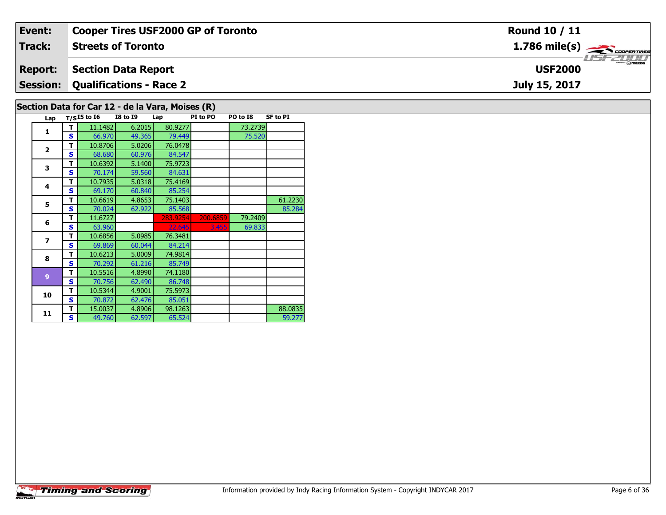| Event:                                                                                    | <b>Cooper Tires USF2000 GP of Toronto</b> | <b>Round 10 / 11</b>                                      |  |  |  |  |  |  |  |
|-------------------------------------------------------------------------------------------|-------------------------------------------|-----------------------------------------------------------|--|--|--|--|--|--|--|
| Track:                                                                                    | <b>Streets of Toronto</b>                 | $1.786$ mile(s) $\overbrace{\hspace{2.5cm}}$ coorer TIRES |  |  |  |  |  |  |  |
| <b>Report:</b>                                                                            | <b>Section Data Report</b>                | <b>USF2000</b>                                            |  |  |  |  |  |  |  |
| <b>Session:</b>                                                                           | Qualifications - Race 2                   | July 15, 2017                                             |  |  |  |  |  |  |  |
| $\mathsf{Factor}\ \mathsf{Data}\ \mathsf{for}\ \mathsf{Cone}\ 12$ - de la Vara Meises (B) |                                           |                                                           |  |  |  |  |  |  |  |

## **Section Data for Car 12 - de la Vara, Moises (R)**

| Lap                     |   | $T/SI5$ to $\overline{16}$ | <b>I8 to 19</b> | Lap      | PI to PO | PO to I8 | <b>SF to PI</b> |
|-------------------------|---|----------------------------|-----------------|----------|----------|----------|-----------------|
| $\mathbf{1}$            | т | 11.1482                    | 6.2015          | 80.9277  |          | 73.2739  |                 |
|                         | s | 66.970                     | 49.365          | 79.449   |          | 75.520   |                 |
| $\overline{2}$          | т | 10.8706                    | 5.0206          | 76.0478  |          |          |                 |
|                         | S | 68.680                     | 60.976          | 84.547   |          |          |                 |
| 3                       | т | 10.6392                    | 5.1400          | 75.9723  |          |          |                 |
|                         | S | 70.174                     | 59.560          | 84.631   |          |          |                 |
| 4                       | т | 10.7935                    | 5.0318          | 75.4169  |          |          |                 |
|                         | S | 69.170                     | 60.840          | 85.254   |          |          |                 |
| 5                       | т | 10.6619                    | 4.8653          | 75.1403  |          |          | 61.2230         |
|                         | s | 70.024                     | 62.922          | 85.568   |          |          | 85.284          |
| 6                       | т | 11.6727                    |                 | 283.9254 | 200.6859 | 79.2409  |                 |
|                         | S | 63.960                     |                 | 22.645   | 3.455    | 69.833   |                 |
| $\overline{\mathbf{z}}$ | т | 10.6856                    | 5.0985          | 76.3481  |          |          |                 |
|                         | S | 69.869                     | 60.044          | 84.214   |          |          |                 |
| 8                       | т | 10.6213                    | 5.0009          | 74.9814  |          |          |                 |
|                         | S | 70.292                     | 61.216          | 85.749   |          |          |                 |
| $\overline{9}$          | т | 10.5516                    | 4.8990          | 74.1180  |          |          |                 |
|                         | S | 70.756                     | 62.490          | 86.748   |          |          |                 |
| 10                      | т | 10.5344                    | 4.9001          | 75.5973  |          |          |                 |
|                         | s | 70.872                     | 62.476          | 85.051   |          |          |                 |
| 11                      | т | 15.0037                    | 4.8906          | 98.1263  |          |          | 88.0835         |
|                         | S | 49.760                     | 62.597          | 65.524   |          |          | 59.277          |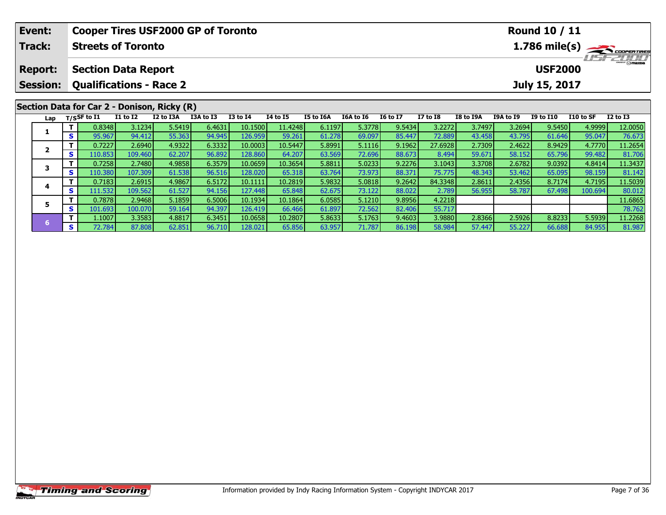| <b>Event:</b>                                     | <b>Cooper Tires USF2000 GP of Toronto</b> |             |                                             |           |           |                 |          |           |           |                                  |                                            |           |               | <b>Round 10 / 11</b> |           |              |
|---------------------------------------------------|-------------------------------------------|-------------|---------------------------------------------|-----------|-----------|-----------------|----------|-----------|-----------|----------------------------------|--------------------------------------------|-----------|---------------|----------------------|-----------|--------------|
| <b>Track:</b><br><b>Streets of Toronto</b>        |                                           |             |                                             |           |           |                 |          |           |           |                                  | $1.786$ mile(s) $\rightarrow$ COOPER TIRES |           |               |                      |           |              |
| <b>Section Data Report</b><br><b>Report:</b>      |                                           |             |                                             |           |           |                 |          |           |           | <b>ISPEDIA</b><br><b>USF2000</b> |                                            |           |               |                      |           |              |
| <b>Session:</b><br><b>Qualifications - Race 2</b> |                                           |             |                                             |           |           |                 |          |           |           |                                  |                                            |           | July 15, 2017 |                      |           |              |
|                                                   |                                           |             | Section Data for Car 2 - Donison, Ricky (R) |           |           |                 |          |           |           |                                  |                                            |           |               |                      |           |              |
| Lap                                               |                                           | T/SSF to I1 | $I1$ to $I2$                                | I2 to I3A | I3A to I3 | <b>I3 to I4</b> | 14 to 15 | I5 to I6A | I6A to I6 | <b>16 to 17</b>                  | <b>I7 to I8</b>                            | I8 to I9A | I9A to I9     | <b>I9 to I10</b>     | I10 to SF | $I2$ to $I3$ |
|                                                   |                                           | 0.8348      | 3.1234                                      | 5.5419    | 6.4631    | 10.1500         | 11.4248  | 6.1197    | 5.3778    | 9.5434                           | 3.2272                                     | 3.7497    | 3.2694        | 9.5450               | 4.9999    | 12.0050      |
|                                                   | S.                                        | 95.967      | 94.412                                      | 55.363    | 94.945    | 126.959         | 59.261   | 61.278    | 69.097    | 85.447                           | 72.889                                     | 43.458    | 43.795        | 61.646               | 95.047    | 76.673       |
| $\mathbf{2}$                                      |                                           | 0.7227      | 2.6940                                      | 4.9322    | 6.3332    | 10.0003         | 10.5447  | 5.8991    | 5.1116    | 9.1962                           | 27.6928                                    | 2.7309    | 2.4622        | 8.9429               | 4.7770    | 11.2654      |
|                                                   | <b>S</b>                                  | 110.853     | 109.460                                     | 62.207    | 96.892    | 128.860         | 64.207   | 63.569    | 72.696    | 88.673                           | 8.494                                      | 59.671    | 58.152        | 65.796               | 99.482    | 81.706       |
|                                                   |                                           | 0.7258      | 2.7480                                      | 4.9858    | 6.3579    | 10.0659         | 10.3654  | 5.8811    | 5.0233    | 9.2276                           | 3.1043                                     | 3.3708    | 2.6782        | 9.0392               | 4.8414    | 11.3437      |
|                                                   | S.                                        | 110.380     | 107.309                                     | 61.538    | 96.516    | 128.020         | 65.318   | 63.764    | 73.973    | 88.371                           | 75.775                                     | 48.343    | 53.462        | 65.095               | 98.159    | 81.142       |
|                                                   |                                           | 0.7183      | 2.6915                                      | 4.9867    | 6.5172    | 10.1111         | 10.2819  | 5.9832    | 5.0818    | 9.2642                           | 84.3348                                    | 2.8611    | 2.4356        | 8.7174               | 4.7195    | 11.5039      |
| 4                                                 | S.                                        | 111.532     | 109.562                                     | 61.527    | 94.156    | 127.448         | 65.848   | 62.675    | 73.122    | 88.022                           | 2.789                                      | 56.955    | 58.787        | 67.498               | 100.694   | 80.012       |
|                                                   |                                           | 0.7878      | 2.9468                                      | 5.1859    | 6.5006    | 10.1934         | 10.1864  | 6.0585    | 5.1210    | 9.8956                           | 4.2218                                     |           |               |                      |           | 11.6865      |
|                                                   | S.                                        | 101.693     | 100.070                                     | 59.164    | 94.397    | 126.419         | 66.466   | 61.897    | 72.562    | 82.406                           | 55.717                                     |           |               |                      |           | 78.762       |

**<sup>T</sup>** 1.1007 3.3583 4.8817 6.3451 10.0658 10.2807 5.8633 5.1763 9.4603 3.9880 2.8366 2.5926 8.8233 5.5939 11.2268 **<sup>S</sup>** 72.784 87.808 62.851 96.710 128.021 65.856 63.957 71.787 86.198 58.984 57.447 55.227 66.688 84.955 81.987

**6**

11.2268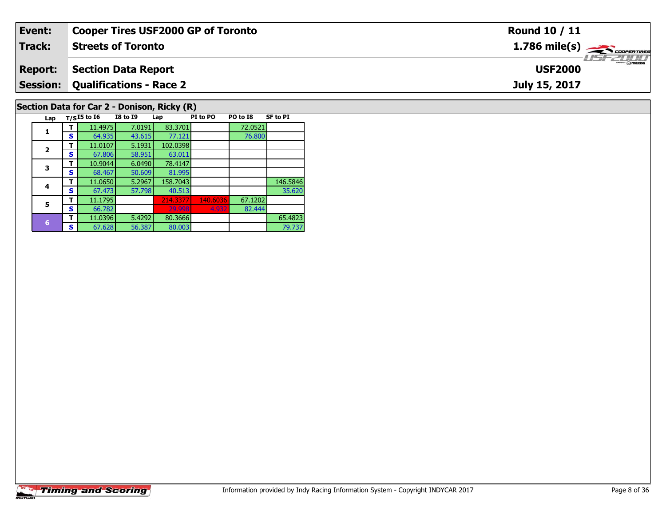| Event:                                      | <b>Cooper Tires USF2000 GP of Toronto</b> | Round 10 / 11                                          |  |  |  |  |  |  |  |
|---------------------------------------------|-------------------------------------------|--------------------------------------------------------|--|--|--|--|--|--|--|
| Track:                                      | <b>Streets of Toronto</b>                 | $1.786$ mile(s) $\overbrace{\hspace{2cm}}$ coorentines |  |  |  |  |  |  |  |
| <b>Report:</b>                              | <b>Section Data Report</b>                | <b>LISF 2000</b><br><b>USF2000</b>                     |  |  |  |  |  |  |  |
|                                             | <b>Session: Qualifications - Race 2</b>   | July 15, 2017                                          |  |  |  |  |  |  |  |
| Section Data for Car 2 - Donison, Ricky (R) |                                           |                                                        |  |  |  |  |  |  |  |

| Lap                     |   | $T/SI5$ to $I6$ | <b>I8 to I9</b> | Lap      | PI to PO | PO to I8 | <b>SF to PI</b> |
|-------------------------|---|-----------------|-----------------|----------|----------|----------|-----------------|
| 1                       |   | 11.4975         | 7.0191          | 83.3701  |          | 72.0521  |                 |
|                         | S | 64.935          | 43.615          | 77.121   |          | 76.800   |                 |
| $\overline{\mathbf{z}}$ | т | 11.0107         | 5.1931          | 102.0398 |          |          |                 |
|                         | S | 67.806          | 58.951          | 63.011   |          |          |                 |
| 3                       | т | 10.9044         | 6.0490          | 78.4147  |          |          |                 |
|                         | S | 68.467          | 50.609          | 81.995   |          |          |                 |
| 4                       |   | 11.0650         | 5.2967          | 158.7043 |          |          | 146.5846        |
|                         | s | 67.473          | 57.798          | 40.513   |          |          | 35.620          |
| 5                       | т | 11.1795         |                 | 214.3377 | 140.6036 | 67.1202  |                 |
|                         | s | 66.782          |                 | 29.998   | 4.932    | 82.444   |                 |
| 6                       | т | 11.0396         | 5.4292          | 80.3666  |          |          | 65.4823         |
|                         | S | 67.628          | 56.387          | 80.003   |          |          | 79.737          |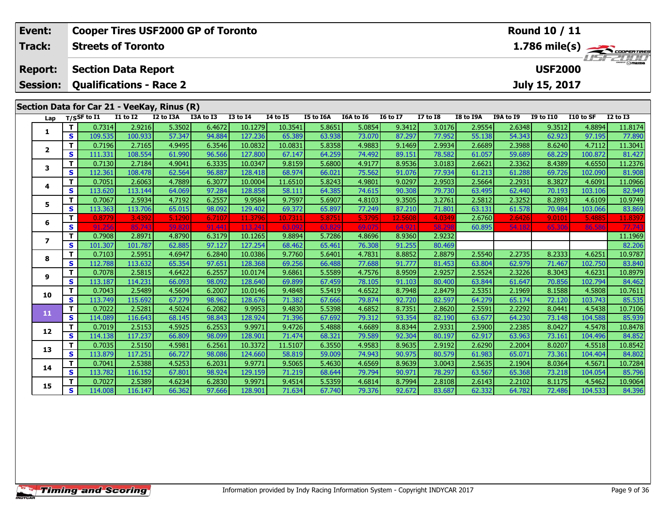| Event:          |                         | <b>Cooper Tires USF2000 GP of Toronto</b>   |                                    |                  |                  |                    | Round 10 / 11     |                  |                  |                  |                  |                  |                  |                  |                   |                                              |
|-----------------|-------------------------|---------------------------------------------|------------------------------------|------------------|------------------|--------------------|-------------------|------------------|------------------|------------------|------------------|------------------|------------------|------------------|-------------------|----------------------------------------------|
| Track:          |                         | <b>Streets of Toronto</b>                   |                                    |                  |                  |                    |                   |                  |                  |                  |                  |                  |                  |                  |                   | $\frac{1.786 \text{ mile(s)}}{1157 - 21111}$ |
| <b>Report:</b>  |                         | <b>Section Data Report</b>                  |                                    |                  |                  |                    |                   |                  |                  |                  |                  |                  |                  | <b>USF2000</b>   |                   |                                              |
| <b>Session:</b> |                         | <b>Qualifications - Race 2</b>              |                                    |                  |                  |                    |                   |                  |                  |                  |                  |                  |                  | July 15, 2017    |                   |                                              |
|                 |                         |                                             |                                    |                  |                  |                    |                   |                  |                  |                  |                  |                  |                  |                  |                   |                                              |
|                 |                         | Section Data for Car 21 - VeeKay, Rinus (R) |                                    |                  |                  |                    |                   |                  |                  |                  |                  |                  |                  |                  |                   |                                              |
| Lap             |                         | $T/S$ SF to I1                              | $\overline{11}$ to $\overline{12}$ | I2 to I3A        | I3A to I3        | <b>I3 to I4</b>    | <b>I4 to I5</b>   | <b>I5 to I6A</b> | <b>I6A to I6</b> | <b>I6 to I7</b>  | <b>I7 to 18</b>  | <b>I8 to I9A</b> | I9A to I9        | <b>I9 to I10</b> | I10 to SF         | $I2$ to $I3$                                 |
| 1               | T<br>$\mathbf{s}$       | 0.7314<br>109.535                           | 2.9216<br>100.933                  | 5.3502           | 6.4672<br>94.884 | 10.1279<br>127.236 | 10.3541<br>65.389 | 5.8651           | 5.0854<br>73.070 | 9.3412<br>87.297 | 3.0176<br>77.952 | 2.9554           | 2.6348<br>54.343 | 9.3512<br>62.923 | 4.8894<br>97.195  | 11.8174                                      |
|                 | T                       | 0.7196                                      | 2.7165                             | 57.347<br>4.9495 | 6.3546           | 10.0832            | 10.0831           | 63.938<br>5.8358 | 4.9883           | 9.1469           | 2.9934           | 55.138<br>2.6689 | 2.3988           | 8.6240           | 4.7112            | 77.890<br>11.3041                            |
| $\mathbf{2}$    | $\mathbf{s}$            | 111.331                                     | 108.554                            | 61.990           | 96.566           | 127.800            | 67.147            | 64.259           | 74.492           | 89.151           | 78.582           | 61.057           | 59.689           | 68.229           | 100.872           | 81.427                                       |
|                 | T                       | 0.7130                                      | 2.7184                             | 4.9041           | 6.3335           | 10.0347            | 9.8159            | 5.6800           | 4.9177           | 8.9536           | 3.0183           | 2.6621           | 2.3362           | 8.4389           | 4.6550            | 11.2376                                      |
| 3               | $\mathbf{s}$            | 112.361                                     | 108.478                            | 62.564           | 96.887           | 128,418            | 68.974            | 66.021           | 75.562           | 91.076           | 77.934           | 61.213           | 61.288           | 69.726           | 102.090           | 81.908                                       |
|                 | $\mathbf T$             | 0.7051                                      | 2.6063                             | 4.7889           | 6.3077           | 10.0004            | 11.6510           | 5.8243           | 4.9801           | 9.0297           | 2.9503           | 2.5664           | 2.2931           | 8.3827           | 4.6091            | 11.0966                                      |
| 4               | $\mathbf{s}$            | 113.620                                     | 113.144                            | 64.069           | 97.284           | 128.858            | 58.111            | 64.385           | 74.615           | 90.308           | 79.730           | 63.495           | 62.440           | 70.193           | 103.106           | 82.949                                       |
| 5               | T                       | 0.7067                                      | 2.5934                             | 4.7192           | 6.2557           | 9.9584             | 9.7597            | 5.6907           | 4.8103           | 9.3505           | 3.2761           | 2.5812           | 2.3252           | 8.2893           | 4.6109            | 10.9749                                      |
|                 | $\mathbf{s}$            | 113.363                                     | 113.706                            | 65.015           | 98.092           | 129.402            | 69.372            | 65.897           | 77.249           | 87.210           | 71.801           | 63.131           | 61.578           | 70.984           | 103.066           | 83.869                                       |
| 6               | T.                      | 0.8779                                      | 3.4392                             | 5.1290           | 6.7107           | 11.3796            | 10.7311           | 5.8751           | 5.3795           | 12.5608          | 4.0349           | 2.6760           | 2.6426           | 9.0101           | 5.4885            | 11.8397                                      |
|                 | $\mathbf{s}$            |                                             | 85.74                              |                  | 91.44            | 113.               |                   |                  | 69.              | 64.5             |                  | 60.895           | 54.182           | 65.30            | 86.586            | 77.74                                        |
| $\overline{ }$  | T                       | 0.7908                                      | 2.8971                             | 4.8790           | 6.3179           | 10.1265            | 9.8894            | 5.7286           | 4.8696           | 8.9360           | 2.9232           |                  |                  |                  |                   | 11.1969                                      |
|                 | $\mathbf{s}$            | 101.307                                     | 101.787                            | 62.885           | 97.127<br>6.2840 | 127.254            | 68.462            | 65.461           | 76.308           | 91.255           | 80.469           |                  |                  |                  |                   | 82.206                                       |
| 8               | T.<br>S                 | 0.7103<br>112.788                           | 2.5951<br>113.632                  | 4.6947           | 97.651           | 10.0386<br>128.368 | 9.7760<br>69.256  | 5.6401<br>66.488 | 4.7831<br>77.688 | 8.8852<br>91.777 | 2.8879           | 2.5540<br>63.804 | 2.2735<br>62.979 | 8.2333<br>71.467 | 4.6251<br>102.750 | 10.9787                                      |
|                 | T                       | 0.7078                                      | 2.5815                             | 65.354<br>4.6422 | 6.2557           | 10.0174            | 9.6861            | 5.5589           | 4.7576           | 8.9509           | 81.453<br>2.9257 | 2.5524           | 2.3226           | 8.3043           | 4.6231            | 83.840<br>10.8979                            |
| 9               | $\overline{\mathbf{s}}$ | 113.187                                     | 114.231                            | 66.093           | 98.092           | 128.640            | 69.899            | 67.459           | 78.105           | 91.103           | 80.400           | 63.844           | 61.647           | 70.856           | 102.794           | 84.462                                       |
|                 | T                       | 0.7043                                      | 2.5489                             | 4.5604           | 6.2007           | 10.0146            | 9.4848            | 5.5419           | 4.6522           | 8.7948           | 2.8479           | 2.5351           | 2.1969           | 8.1588           | 4.5808            | 10.7611                                      |
| 10              | $\mathbf{s}$            | 113.749                                     | 115.692                            | 67.279           | 98.962           | 128.676            | 71.382            | 67.666           | 79.874           | 92.720           | 82.597           | 64.279           | 65.174           | 72.120           | 103.743           | 85.535                                       |
|                 | T                       | 0.7022                                      | 2.5281                             | 4.5024           | 6.2082           | 9.9953             | 9.4830            | 5.5398           | 4.6852           | 8.7351           | 2.8620           | 2.5591           | 2.2292           | 8.0441           | 4.5438            | 10.7106                                      |
| 11              | S                       | 114.089                                     | 116.643                            | 68.145           | 98.843           | 128.924            | 71.396            | 67.692           | 79.312           | 93.354           | 82.190           | 63.677           | 64.230           | 73.148           | 104.588           | 85.939                                       |
| 12              | T                       | 0.7019                                      | 2.5153                             | 4.5925           | 6.2553           | 9.9971             | 9.4726            | 5.4888           | 4.6689           | 8.8344           | 2.9331           | 2.5900           | 2.2385           | 8.0427           | 4.5478            | 10.8478                                      |
|                 | $\mathbf{s}$            | 114.138                                     | 117.237                            | 66.809           | 98.099           | 128.901            | 71.474            | 68.321           | 79.589           | 92.304           | 80.197           | 62.917           | 63.963           | 73.161           | 104.496           | 84.852                                       |
| 13              | T                       | 0.7035                                      | 2.5150                             | 4.5981           | 6.2561           | 10.3372            | 11.5107           | 6.3550           | 4.9583           | 8.9635           | 2.9192           | 2.6290           | 2.2004           | 8.0207           | 4.5518            | 10.8542                                      |
|                 | $\mathbf{s}$            | 113.879                                     | 117.251                            | 66.727           | 98.086           | 124.660            | 58.819            | 59.009           | 74.943           | 90.975           | 80.579           | 61.983           | 65.071           | 73.361           | 104.404           | 84.802                                       |
| 14              | Т                       | 0.7041                                      | 2.5388                             | 4.5253           | 6.2031           | 9.9771             | 9.5065            | 5.4630           | 4.6569           | 8.9639           | 3.0043           | 2.5635           | 2.1904           | 8.0364           | 4.5671            | 10.7284                                      |
|                 | $\mathbf{s}$            | 113.782                                     | 116.152                            | 67.801           | 98.924           | 129.159            | 71.219            | 68.644           | 79.794           | 90.971           | 78.297           | 63.567           | 65.368           | 73.218           | 104.054           | 85.796                                       |
| 15              | Т                       | 0.7027                                      | 2.5389                             | 4.6234           | 6.2830           | 9.9971             | 9.4514            | 5.5359           | 4.6814           | 8.7994           | 2.8108           | 2.6143           | 2.2102           | 8.1175           | 4.5462            | 10.9064                                      |
|                 | $\mathbf{s}$            | 114.008                                     | 116.147                            | 66.362           | 97.666           | 128.901            | 71.634            | 67.740           | 79.376           | 92.672           | 83.687           | 62.332           | 64.782           | 72.486           | 104.533           | 84.396                                       |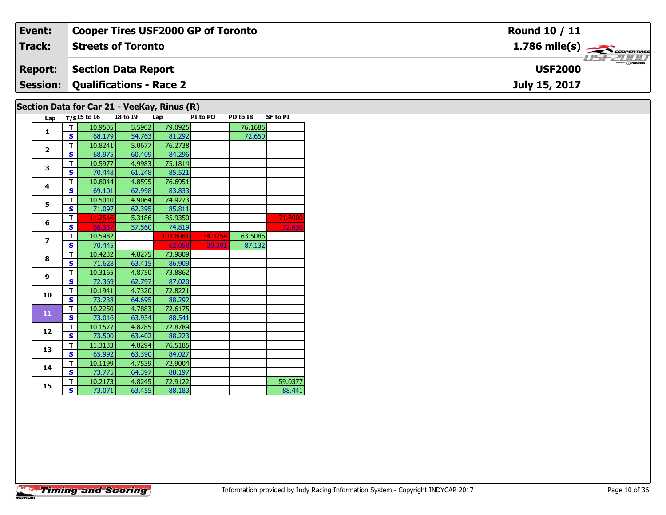| Event:          | <b>Cooper Tires USF2000 GP of Toronto</b>   | Round 10 / 11                                             |
|-----------------|---------------------------------------------|-----------------------------------------------------------|
| Track:          | <b>Streets of Toronto</b>                   | $1.786$ mile(s) $\overbrace{\hspace{2.5cm}}$ coorer TIRES |
| <b>Report:</b>  | <b>Section Data Report</b>                  | <b>USF2000</b>                                            |
| <b>Session:</b> | Qualifications - Race 2                     | July 15, 2017                                             |
|                 | Section Data for Car 21 - VeeKay, Rinus (R) |                                                           |

# **Section Data for Car 21 - VeeKay, Rinus (R)**

| Lap                      |   | $T/SI5$ to $I6$ | <b>I8 to 19</b> | Lap      | PI to PO | PO to I8 | <b>SF to PI</b> |
|--------------------------|---|-----------------|-----------------|----------|----------|----------|-----------------|
| 1                        | т | 10.9505         | 5.5902          | 79.0925  |          | 76.1685  |                 |
|                          | Ś | 68.179          | 54.763          | 81.292   |          | 72.650   |                 |
| $\overline{2}$           | T | 10.8241         | 5.0677          | 76.2738  |          |          |                 |
|                          | S | 68.975          | 60.409          | 84.296   |          |          |                 |
| 3                        | T | 10.5977         | 4.9983          | 75.1814  |          |          |                 |
|                          | S | 70.448          | 61.248          | 85.521   |          |          |                 |
| 4                        | т | 10.8044         | 4.8595          | 76.6951  |          |          |                 |
|                          | Ś | 69.101          | 62.998          | 83.833   |          |          |                 |
| 5                        | T | 10.5010         | 4.9064          | 74.9273  |          |          |                 |
|                          | Ś | 71.097          | 62.395          | 85.811   |          |          |                 |
| 6                        | T | 11.2546         | 5.3186          | 85.9350  |          |          | 71.8900         |
|                          | Ś | 66.337          | 57.560          | 74.819   |          |          | 72.630          |
| $\overline{\phantom{a}}$ | T | 10.5982         |                 | 103.6061 | 34.3254  | 63.5085  |                 |
|                          | S | 70.445          |                 | 62.058   | 20.201   | 87.132   |                 |
| 8                        | T | 10.4232         | 4.8275          | 73.9809  |          |          |                 |
|                          | S | 71.628          | 63.415          | 86.909   |          |          |                 |
| 9                        | т | 10.3165         | 4.8750          | 73.8862  |          |          |                 |
|                          | S | 72.369          | 62.797          | 87.020   |          |          |                 |
| 10                       | T | 10.1941         | 4.7320          | 72.8221  |          |          |                 |
|                          | Ś | 73.238          | 64.695          | 88.292   |          |          |                 |
| 11                       | T | 10.2250         | 4.7883          | 72.6175  |          |          |                 |
|                          | Ś | 73.016          | 63.934          | 88.541   |          |          |                 |
| 12                       | T | 10.1577         | 4.8285          | 72.8789  |          |          |                 |
|                          | S | 73.500          | 63.402          | 88.223   |          |          |                 |
| 13                       | т | 11.3133         | 4.8294          | 76.5185  |          |          |                 |
|                          | Ś | 65.992          | 63.390          | 84.027   |          |          |                 |
| 14                       | т | 10.1199         | 4.7539          | 72.9004  |          |          |                 |
|                          | S | 73.775          | 64.397          | 88.197   |          |          |                 |
| 15                       | T | 10.2173         | 4.8245          | 72.9122  |          |          | 59.0377         |
|                          | Ś | 73.071          | 63.455          | 88.183   |          |          | 88.441          |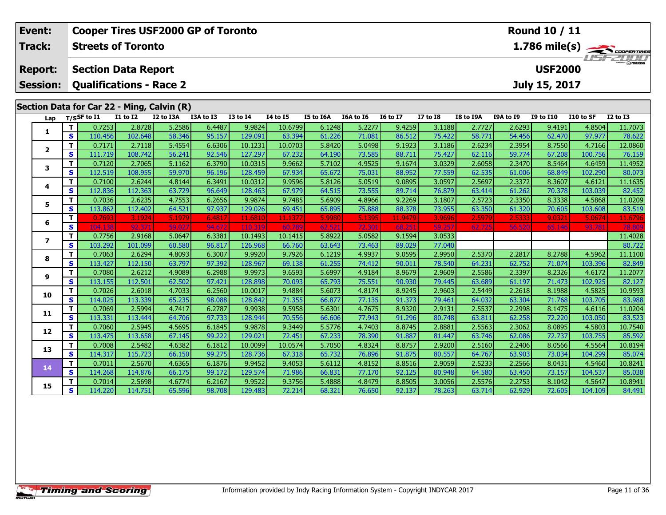| Event:          | <b>Cooper Tires USF2000 GP of Toronto</b><br>Round 10 / 11 |                                            |                                    |                  |                  |                   |                   |                  |                  |                  |                  |                  |                  |                  |                   |                                                            |
|-----------------|------------------------------------------------------------|--------------------------------------------|------------------------------------|------------------|------------------|-------------------|-------------------|------------------|------------------|------------------|------------------|------------------|------------------|------------------|-------------------|------------------------------------------------------------|
| Track:          |                                                            | <b>Streets of Toronto</b>                  |                                    |                  |                  |                   |                   |                  |                  |                  |                  |                  |                  |                  |                   | $\frac{1.786 \text{ mile(s)}}{1157 - 200 \text{ minutes}}$ |
| <b>Report:</b>  |                                                            | <b>Section Data Report</b>                 |                                    |                  |                  |                   |                   |                  |                  |                  |                  |                  |                  | <b>USF2000</b>   |                   |                                                            |
|                 |                                                            |                                            |                                    |                  |                  |                   |                   |                  |                  |                  |                  |                  |                  |                  |                   |                                                            |
| <b>Session:</b> |                                                            | <b>Qualifications - Race 2</b>             |                                    |                  |                  |                   |                   |                  |                  |                  |                  |                  |                  | July 15, 2017    |                   |                                                            |
|                 |                                                            |                                            |                                    |                  |                  |                   |                   |                  |                  |                  |                  |                  |                  |                  |                   |                                                            |
|                 |                                                            | Section Data for Car 22 - Ming, Calvin (R) |                                    |                  |                  |                   |                   |                  |                  |                  |                  |                  |                  |                  |                   |                                                            |
| Lap             |                                                            | $T/S$ SF to $I1$                           | $\overline{11}$ to $\overline{12}$ | I2 to I3A        | I3A to I3        | <b>I3 to I4</b>   | <b>14 to 15</b>   | I5 to I6A        | I6A to I6        | <b>I6 to I7</b>  | $I7$ to $I8$     | <b>I8 to I9A</b> | I9A to I9        | <b>I9 to I10</b> | I10 to SF         | <b>I2 to I3</b>                                            |
| 1               | т<br>$\mathbf{s}$                                          | 0.7253<br>110.456                          | 2.8728<br>102.648                  | 5.2586<br>58.346 | 6.4487<br>95.157 | 9.9824<br>129.091 | 10.6799           | 6.1248           | 5.2277<br>71.081 | 9.4259           | 3.1188<br>75.422 | 2.7727<br>58.771 | 2.6293<br>54.456 | 9.4191<br>62.470 | 4.8504<br>97.977  | 11.7073<br>78.622                                          |
|                 | T                                                          | 0.7171                                     | 2.7118                             | 5.4554           | 6.6306           | 10.1231           | 63.394<br>10.0703 | 61.226<br>5.8420 | 5.0498           | 86.512<br>9.1923 | 3.1186           | 2.6234           | 2.3954           | 8.7550           | 4.7166            | 12.0860                                                    |
| $\mathbf{2}$    | $\mathbf{s}$                                               | 111.719                                    | 108.742                            | 56.241           | 92.546           | 127.297           | 67.232            | 64.190           | 73.585           | 88.711           | 75.427           | 62.116           | 59.774           | 67.208           | 100.756           | 76.159                                                     |
|                 | T                                                          | 0.7120                                     | 2.7065                             | 5.1162           | 6.3790           | 10.0315           | 9.9662            | 5.7102           | 4.9525           | 9.1674           | 3.0329           | 2.6058           | 2.3470           | 8.5464           | 4.6459            | 11.4952                                                    |
| 3               | $\mathbf{s}$                                               | 112.519                                    | 108.955                            | 59.970           | 96.196           | 128.459           | 67.934            | 65.672           | 75.031           | 88.952           | 77.559           | 62.535           | 61.006           | 68.849           | 102.290           | 80.073                                                     |
|                 | T                                                          | 0.7100                                     | 2.6244                             | 4.8144           | 6.3491           | 10.0312           | 9.9596            | 5.8126           | 5.0519           | 9.0895           | 3.0597           | 2.5697           | 2.3372           | 8.3607           | 4.6121            | 11.1635                                                    |
| 4               | $\mathbf{s}$                                               | 112.836                                    | 112.363                            | 63.729           | 96.649           | 128,463           | 67.979            | 64.515           | 73.555           | 89.714           | 76.879           | 63.414           | 61.262           | 70.378           | 103.039           | 82.452                                                     |
| 5               | T                                                          | 0.7036                                     | 2.6235                             | 4.7553           | 6.2656           | 9.9874            | 9.7485            | 5.6909           | 4.8966           | 9.2269           | 3.1807           | 2.5723           | 2.3350           | 8.3338           | 4.5868            | 11.0209                                                    |
|                 | $\mathbf{s}$                                               | 113.862                                    | 112.402                            | 64.521           | 97.937           | 129.026           | 69.451            | 65.895           | 75.888           | 88.378           | 73.955           | 63.350           | 61.320           | 70.605           | 103.608           | 83.519                                                     |
| 6               | T.                                                         | 0.7693                                     | 3.1924                             | 5.1979           | 6.4817           | 11.6810           | 11.1377           | 5.9980           | 5.1395           | 11.9479          | 3.9696           | 2.5979           | 2.5333           | 9.0321           | 5.0674            | 11.6796                                                    |
|                 | S                                                          | 104.13                                     | 92.37                              | 59.0             | 94.67            | 110.3             | .60               | 62.5             | 72.3             | 68.2             | 59.25            | 62.72            | 56.520           | 65.146           | 93.781            |                                                            |
| $\overline{ }$  | T                                                          | 0.7756                                     | 2.9168                             | 5.0647           | 6.3381           | 10.1493           | 10.1415           | 5.8922           | 5.0582           | 9.1594           | 3.0533           |                  |                  |                  |                   | 11.4028                                                    |
|                 | $\mathbf{s}$                                               | 103.292                                    | 101.099                            | 60.580           | 96.817           | 126.968           | 66.760            | 63.643           | 73.463           | 89.029           | 77.040           |                  |                  |                  |                   | 80.722                                                     |
| 8               | т                                                          | 0.7063                                     | 2.6294                             | 4.8093           | 6.3007           | 9.9920            | 9.7926            | 6.1219           | 4.9937           | 9.0595           | 2.9950           | 2.5370           | 2.2817           | 8.2788           | 4.5962            | 11.1100                                                    |
|                 | $\mathbf{s}$<br>T                                          | 113.427<br>0.7080                          | 112.150<br>2.6212                  | 63.797<br>4.9089 | 97.392<br>6.2988 | 128.967<br>9.9973 | 69.138<br>9.6593  | 61.255<br>5.6997 | 74.412<br>4.9184 | 90.011<br>8.9679 | 78.540<br>2.9609 | 64.231<br>2.5586 | 62.752<br>2.3397 | 71.074<br>8.2326 | 103.396<br>4.6172 | 82.849<br>11.2077                                          |
| 9               | $\mathbf{s}$                                               | 113.155                                    | 112.501                            | 62.502           | 97.421           | 128.898           | 70.093            | 65.793           | 75.551           | 90.930           | 79.445           | 63.689           | 61.197           | 71.473           | 102.925           | 82.127                                                     |
|                 | T                                                          | 0.7026                                     | 2.6018                             | 4.7033           | 6.2560           | 10.0017           | 9.4884            | 5.6073           | 4.8174           | 8.9245           | 2.9603           | 2.5449           | 2.2618           | 8.1988           | 4.5825            | 10.9593                                                    |
| 10              | $\mathbf{s}$                                               | 114.025                                    | 113.339                            | 65.235           | 98.088           | 128.842           | 71.355            | 66.877           | 77.135           | 91.373           | 79.461           | 64.032           | 63.304           | 71.768           | 103.705           | 83.988                                                     |
|                 | T                                                          | 0.7069                                     | 2.5994                             | 4.7417           | 6.2787           | 9.9938            | 9.5958            | 5.6301           | 4.7675           | 8.9320           | 2.9131           | 2.5537           | 2.2998           | 8.1475           | 4.6116            | 11.0204                                                    |
| 11              | $\mathbf{s}$                                               | 113.331                                    | 113.444                            | 64.706           | 97.733           | 128.944           | 70.556            | 66.606           | 77.943           | 91.296           | 80.748           | 63.811           | 62.258           | 72.220           | 103.050           | 83.523                                                     |
|                 | т                                                          | 0.7060                                     | 2.5945                             | 4.5695           | 6.1845           | 9.9878            | 9.3449            | 5.5776           | 4.7403           | 8.8745           | 2.8881           | 2.5563           | 2.3062           | 8.0895           | 4.5803            | 10.7540                                                    |
| 12              | $\mathbf{s}$                                               | 113.475                                    | 113.658                            | 67.145           | 99.222           | 129.021           | 72.451            | 67.233           | 78.390           | 91.887           | 81.447           | 63.746           | 62.086           | 72.737           | 103.755           | 85.592                                                     |
| 13              | T                                                          | 0.7008                                     | 2.5482                             | 4.6382           | 6.1812           | 10.0099           | 10.0574           | 5.7050           | 4.8324           | 8.8757           | 2.9200           | 2.5160           | 2.2406           | 8.0566           | 4.5564            | 10.8194                                                    |
|                 | $\mathbf{s}$                                               | 114.317                                    | 115.723                            | 66.150           | 99.275           | 128.736           | 67.318            | 65.732           | 76.896           | 91.875           | 80.557           | 64.767           | 63.903           | 73.034           | 104.299           | 85.074                                                     |
| 14              | T.                                                         | 0.7011                                     | 2.5670                             | 4.6365           | 6.1876           | 9.9452            | 9.4053            | 5.6112           | 4.8152           | 8.8516           | 2.9059           | 2.5233           | 2.2566           | 8.0431           | 4.5460            | 10.8241                                                    |
|                 | $\mathbf{s}$                                               | 114.268                                    | 114.876                            | 66.175           | 99.172           | 129.574           | 71.986            | 66.831           | 77.170           | 92.125           | 80.948           | 64.580           | 63.450           | 73.157           | 104.537           | 85.038                                                     |
| 15              | т                                                          | 0.7014                                     | 2.5698                             | 4.6774           | 6.2167           | 9.9522            | 9.3756            | 5.4888           | 4.8479           | 8.8505           | 3.0056           | 2.5576           | 2.2753           | 8.1042           | 4.5647            | 10.8941                                                    |
|                 | $\mathbf{s}$                                               | 114.220                                    | 114.751                            | 65.596           | 98.708           | 129.483           | 72.214            | 68.321           | 76.650           | 92.137           | 78.263           | 63.714           | 62.929           | 72.605           | 104.109           | 84.491                                                     |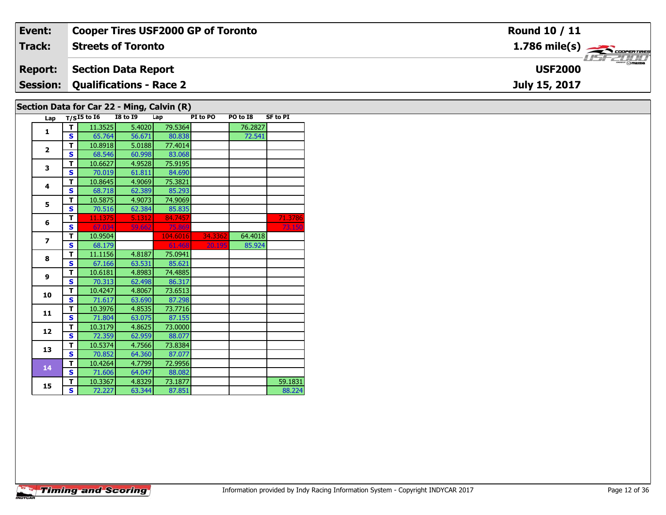| Event:                                     | <b>Cooper Tires USF2000 GP of Toronto</b> | <b>Round 10 / 11</b>                      |  |  |  |  |  |  |  |
|--------------------------------------------|-------------------------------------------|-------------------------------------------|--|--|--|--|--|--|--|
| Track:                                     | <b>Streets of Toronto</b>                 | $1.786$ mile(s) $\rightarrow$ Coorentines |  |  |  |  |  |  |  |
| <b>Report:</b>                             | <b>Section Data Report</b>                | <b>LISF 2000</b><br><b>USF2000</b>        |  |  |  |  |  |  |  |
| <b>Session:</b>                            | <b>Qualifications - Race 2</b>            | July 15, 2017                             |  |  |  |  |  |  |  |
| Section Data for Car 22 - Ming, Calvin (R) |                                           |                                           |  |  |  |  |  |  |  |

| Lap            |              | $T/SI5$ to $\overline{16}$ | <b>I8 to I9</b> | Lung, sarrun (n)<br>Lap | PI to PO | PO to I8 | <b>SF to PI</b> |
|----------------|--------------|----------------------------|-----------------|-------------------------|----------|----------|-----------------|
|                | т            | 11.3525                    | 5.4020          | 79.5364                 |          | 76.2827  |                 |
| 1              | $\mathbf{s}$ | 65.764                     | 56.671          | 80.838                  |          | 72.541   |                 |
|                | T            | 10.8918                    | 5.0188          | 77.4014                 |          |          |                 |
| $\overline{2}$ | S            | 68.546                     | 60.998          | 83.068                  |          |          |                 |
| 3              | т            | 10.6627                    | 4.9528          | 75.9195                 |          |          |                 |
|                | S            | 70.019                     | 61.811          | 84.690                  |          |          |                 |
| 4              | T            | 10.8645                    | 4.9069          | 75.3821                 |          |          |                 |
|                | $\mathbf{s}$ | 68.718                     | 62.389          | 85.293                  |          |          |                 |
| 5              | T            | 10.5875                    | 4.9073          | 74.9069                 |          |          |                 |
|                | S            | 70.516                     | 62.384          | 85.835                  |          |          |                 |
| 6              | T            | 11.1375                    | 5.1312          | 84.7457                 |          |          | 71.3786         |
|                | S            | 67.034                     | 59.662          | 75.869                  |          |          | 73.150          |
| $\overline{ }$ | т            | 10.9504                    |                 | 104.6016                | 34.3362  | 64.4018  |                 |
|                | $\mathbf{s}$ | 68.179                     |                 | 61.468                  | 20.195   | 85.924   |                 |
| 8              | T            | 11.1156                    | 4.8187          | 75.0941                 |          |          |                 |
|                | $\mathbf{s}$ | 67.166                     | 63.531          | 85.621                  |          |          |                 |
| 9              | т            | 10.6181                    | 4.8983          | 74.4885                 |          |          |                 |
|                | $\mathbf{s}$ | 70.313                     | 62.498          | 86.317                  |          |          |                 |
| 10             | т            | 10.4247                    | 4.8067          | 73.6513                 |          |          |                 |
|                | $\mathbf{s}$ | 71.617                     | 63.690          | 87.298                  |          |          |                 |
| 11             | т            | 10.3976                    | 4.8535          | 73.7716                 |          |          |                 |
|                | S            | 71.804                     | 63.075          | 87.155                  |          |          |                 |
| 12             | T            | 10.3179                    | 4.8625          | 73.0000                 |          |          |                 |
|                | $\mathbf{s}$ | 72.359                     | 62.959          | 88.077                  |          |          |                 |
| 13             | T            | 10.5374                    | 4.7566          | 73.8384                 |          |          |                 |
|                | $\mathbf{s}$ | 70.852                     | 64.360          | 87.077                  |          |          |                 |
| 14             | T            | 10.4264                    | 4.7799          | 72.9956                 |          |          |                 |
|                | $\mathbf{s}$ | 71.606                     | 64.047          | 88.082                  |          |          |                 |
| 15             | т            | 10.3367                    | 4.8329          | 73.1877                 |          |          | 59.1831         |
|                | S            | 72.227                     | 63.344          | 87.851                  |          |          | 88.224          |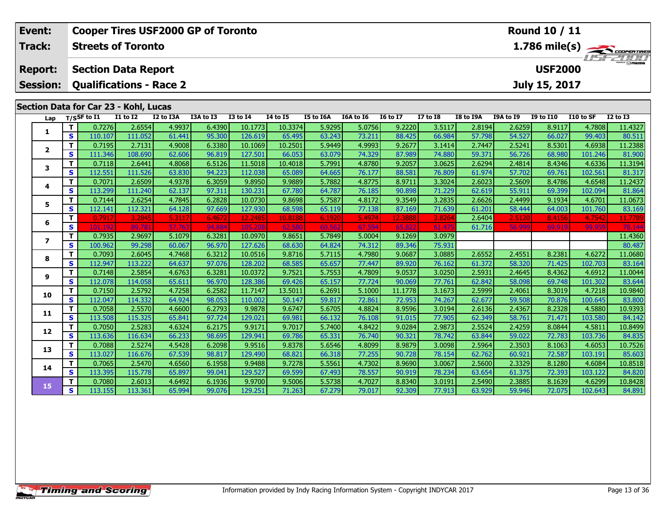| Event:                   |                         | <b>Cooper Tires USF2000 GP of Toronto</b>                                                                                                                                                                                      |                  |                  |                 |                |                  |        |                 |                |                  |                     | <b>Round 10 / 11</b> |                  |           |                                               |  |
|--------------------------|-------------------------|--------------------------------------------------------------------------------------------------------------------------------------------------------------------------------------------------------------------------------|------------------|------------------|-----------------|----------------|------------------|--------|-----------------|----------------|------------------|---------------------|----------------------|------------------|-----------|-----------------------------------------------|--|
| <b>Track:</b>            |                         | <b>Streets of Toronto</b>                                                                                                                                                                                                      |                  |                  |                 |                |                  |        |                 |                |                  |                     |                      |                  |           | $\frac{1.786 \text{ mile(s)}}{1.157 - 21111}$ |  |
| <b>Report:</b>           |                         | <b>Section Data Report</b>                                                                                                                                                                                                     |                  |                  |                 |                |                  |        |                 |                |                  |                     |                      | <b>USF2000</b>   |           |                                               |  |
| <b>Session:</b>          |                         | <b>Qualifications - Race 2</b>                                                                                                                                                                                                 |                  |                  |                 |                |                  |        |                 |                |                  |                     |                      | July 15, 2017    |           |                                               |  |
|                          |                         |                                                                                                                                                                                                                                |                  |                  |                 |                |                  |        |                 |                |                  |                     |                      |                  |           |                                               |  |
| Lap                      |                         | Section Data for Car 23 - Kohl, Lucas<br>$\overline{11}$ to $\overline{12}$<br>I3A to I3<br>$T/S$ SF to I1<br>I2 to I3A<br><b>I3 to I4</b><br>$I4$ to $I5$<br><b>I5 to I6A</b><br>I6A to I6<br><b>I6 to I7</b><br>$17$ to $18$ |                  |                  |                 |                |                  |        |                 |                |                  |                     | <b>I9A to I9</b>     | <b>I9 to I10</b> | I10 to SF | <b>I2 to I3</b>                               |  |
|                          | T                       | 0.7276                                                                                                                                                                                                                         | 2.6554           | 4.9937           | 6.4390          | 10.1773        | 10.3374          | 5.9295 | 5.0756          | 9.2220         | 3.5117           | I8 to I9A<br>2.8194 | 2.6259               | 8.9117           | 4.7808    | 11.4327                                       |  |
| 1                        | $\mathbf{s}$            | 110.107                                                                                                                                                                                                                        | 111.052          | 61.441           | 95.300          | 126.619        | 65.495           | 63.243 | 73.211          | 88.425         | 66.984           | 57.798              | 54.527               | 66.027           | 99.403    | 80.511                                        |  |
|                          | т                       | 0.7195                                                                                                                                                                                                                         | 2.7131           | 4.9008           | 6.3380          | 10.1069        | 10.2501          | 5.9449 | 4.9993          | 9.2677         | 3.1414           | 2.7447              | 2.5241               | 8.5301           | 4.6938    | 11.2388                                       |  |
| $\mathbf{2}$             | $\mathbf{s}$            | 111.346                                                                                                                                                                                                                        | 108.690          | 62.606           | 96.819          | 127.501        | 66.053           | 63.079 | 74.329          | 87.989         | 74.880           | 59.371              | 56.726               | 68.980           | 101.246   | 81.900                                        |  |
| 3                        | T                       | 0.7118                                                                                                                                                                                                                         | 2.6441           | 4.8068           | 6.5126          | 11.5018        | 10.4018          | 5.7991 | 4.8780          | 9.2057         | 3.0625           | 2.6294              | 2.4814               | 8.4346           | 4.6336    | 11.3194                                       |  |
|                          | $\mathbf{s}$            | 112.551                                                                                                                                                                                                                        | 111.526          | 63.830           | 94.223          | 112.038        | 65.089           | 64.665 | 76.177          | 88.581         | 76.809           | 61.974              | 57.702               | 69.761           | 102.561   | 81.317                                        |  |
| 4                        | T                       | 0.7071                                                                                                                                                                                                                         | 2.6509           | 4.9378           | 6.3059          | 9.8950         | 9.9889           | 5.7882 | 4.8775          | 8.9711         | 3.3024           | 2.6023              | 2.5609               | 8.4786           | 4.6548    | 11.2437                                       |  |
|                          | $\mathbf{s}$            | 113.299                                                                                                                                                                                                                        | 111.240          | 62.137           | 97.311          | 130.231        | 67.780           | 64.787 | 76.185          | 90.898         | 71.229           | 62.619              | 55.911               | 69.399           | 102.094   | 81.864                                        |  |
| 5                        | T                       | 0.7144                                                                                                                                                                                                                         | 2.6254           | 4.7845           | 6.2828          | 10.0730        | 9.8698           | 5.7587 | 4.8172          | 9.3549         | 3.2835           | 2.6626              | 2.4499               | 9.1934           | 4.6701    | 11.0673                                       |  |
|                          | $\mathbf{s}$            | 112.141                                                                                                                                                                                                                        | 112.321          | 64.128           | 97.669          | 127.930        | 68.598           | 65.119 | 77.138          | 87.169         | 71.639           | 61.201              | 58.444               | 64.003           | 101.760   | 83.169                                        |  |
| 6                        | T.                      | 0.7917<br>101                                                                                                                                                                                                                  | 3.2845           | 5.3117           | 6.4672          | 12,2485        | 10.8188          | 6.1920 | 5.4974          | 12.3888        | 3.8264           | 2.6404              | 2.5120               | 8.4156           | 4.7542    | 11.778                                        |  |
|                          | $\mathbf{s}$<br>T       |                                                                                                                                                                                                                                | 89.78            | 57.76            | 94.88<br>6.3281 | 105<br>10.0970 |                  | 5.7849 | 67.59<br>5.0004 | 65.8<br>9.1269 | 61.47            | 61.716              | 56.999               | 69.919           | 99.959    | 78.14                                         |  |
| $\overline{\phantom{a}}$ | $\overline{\mathbf{s}}$ | 0.7935<br>100.962                                                                                                                                                                                                              | 2.9697<br>99.298 | 5.1079<br>60.067 | 96.970          | 127.626        | 9.8651<br>68.630 | 64.824 | 74.312          | 89.346         | 3.0979<br>75.931 |                     |                      |                  |           | 11.4360<br>80.487                             |  |
|                          | T                       | 0.7093                                                                                                                                                                                                                         | 2.6045           | 4.7468           | 6.3212          | 10.0516        | 9.8716           | 5.7115 | 4.7980          | 9.0687         | 3.0885           | 2.6552              | 2.4551               | 8.2381           | 4.6272    | 11.0680                                       |  |
| 8                        | $\mathbf{s}$            | 112.947                                                                                                                                                                                                                        | 113.222          | 64.637           | 97.076          | 128.202        | 68.585           | 65.657 | 77.447          | 89.920         | 76.162           | 61.372              | 58.320               | 71.425           | 102.703   | 83.164                                        |  |
|                          | т                       | 0.7148                                                                                                                                                                                                                         | 2.5854           | 4.6763           | 6.3281          | 10.0372        | 9.7521           | 5.7553 | 4.7809          | 9.0537         | 3.0250           | 2.5931              | 2.4645               | 8.4362           | 4.6912    | 11.0044                                       |  |
| 9                        | $\mathbf{s}$            | 112.078                                                                                                                                                                                                                        | 114.058          | 65.611           | 96.970          | 128.386        | 69.426           | 65.157 | 77.724          | 90.069         | 77.761           | 62.842              | 58.098               | 69.748           | 101.302   | 83.644                                        |  |
|                          | T                       | 0.7150                                                                                                                                                                                                                         | 2.5792           | 4.7258           | 6.2582          | 11.7147        | 13.5011          | 6.2691 | 5.1000          | 11.1778        | 3.1673           | 2.5999              | 2.4061               | 8.3019           | 4.7218    | 10.9840                                       |  |
| 10                       | $\mathbf{s}$            | 112.047                                                                                                                                                                                                                        | 114.332          | 64.924           | 98.053          | 110.002        | 50.147           | 59.817 | 72.861          | 72.953         | 74.267           | 62.677              | 59.508               | 70.876           | 100.645   | 83.800                                        |  |
|                          | T                       | 0.7058                                                                                                                                                                                                                         | 2.5570           | 4.6600           | 6.2793          | 9.9878         | 9.6747           | 5.6705 | 4.8824          | 8.9596         | 3.0194           | 2.6136              | 2.4367               | 8.2328           | 4.5880    | 10.9393                                       |  |
| 11                       | $\mathbf{s}$            | 113.508                                                                                                                                                                                                                        | 115.325          | 65.841           | 97.724          | 129.021        | 69.981           | 66.132 | 76.108          | 91.015         | 77.905           | 62.349              | 58.761               | 71.471           | 103.580   | 84.142                                        |  |
| 12                       | Т                       | 0.7050                                                                                                                                                                                                                         | 2.5283           | 4.6324           | 6.2175          | 9.9171         | 9.7017           | 5.7400 | 4.8422          | 9.0284         | 2.9873           | 2.5524              | 2.4259               | 8.0844           | 4.5811    | 10.8499                                       |  |
|                          | $\mathbf{s}$            | 113.636                                                                                                                                                                                                                        | 116.634          | 66.233           | 98.695          | 129.941        | 69.786           | 65.331 | 76.740          | 90.321         | 78.742           | 63.844              | 59.022               | 72.783           | 103.736   | 84.835                                        |  |
| 13                       | T                       | 0.7088                                                                                                                                                                                                                         | 2.5274           | 4.5428           | 6.2098          | 9.9516         | 9.8378           | 5.6546 | 4.8099          | 8.9879         | 3.0098           | 2.5964              | 2.3503               | 8.1063           | 4.6053    | 10.7526                                       |  |
|                          | $\mathbf{s}$            | 113.027                                                                                                                                                                                                                        | 116.676          | 67.539           | 98.817          | 129.490        | 68.821           | 66.318 | 77.255          | 90.728         | 78.154           | 62.762              | 60.921               | 72.587           | 103.191   | 85.603                                        |  |
| 14                       | т                       | 0.7065                                                                                                                                                                                                                         | 2.5470           | 4.6560           | 6.1958          | 9.9488         | 9.7278           | 5.5561 | 4.7302          | 8.9690         | 3.0067           | 2.5600              | 2.3329               | 8.1280           | 4.6084    | 10.8518                                       |  |
|                          | $\mathbf{s}$            | 113.395                                                                                                                                                                                                                        | 115.778          | 65.897           | 99.041          | 129.527        | 69.599           | 67.493 | 78.557          | 90.919         | 78.234           | 63.654              | 61.375               | 72.393           | 103.122   | 84.820                                        |  |
| 15                       | Т                       | 0.7080                                                                                                                                                                                                                         | 2.6013           | 4.6492           | 6.1936          | 9.9700         | 9.5006           | 5.5738 | 4.7027          | 8.8340         | 3.0191           | 2.5490              | 2.3885               | 8.1639           | 4.6299    | 10.8428                                       |  |
|                          | $\mathbf{s}$            | 113.155                                                                                                                                                                                                                        | 113.361          | 65.994           | 99.076          | 129.251        | 71.263           | 67.279 | 79.017          | 92.309         | 77.913           | 63.929              | 59.946               | 72.075           | 102.643   | 84.891                                        |  |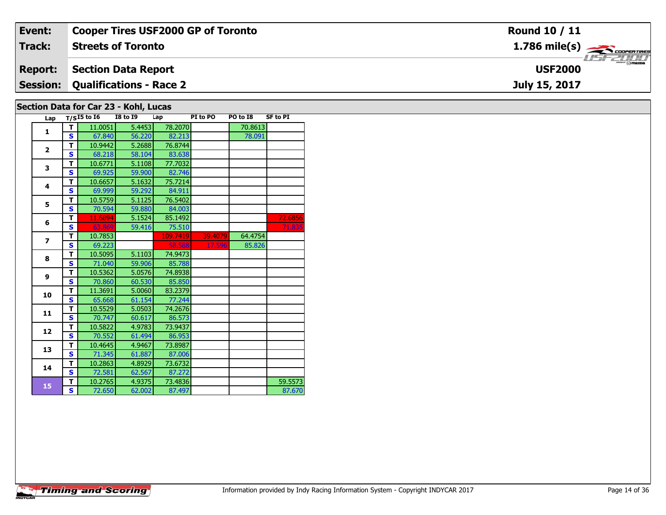| Event:          | <b>Cooper Tires USF2000 GP of Toronto</b> | <b>Round 10 / 11</b>                      |
|-----------------|-------------------------------------------|-------------------------------------------|
| Track:          | <b>Streets of Toronto</b>                 | $1.786$ mile(s) $\rightarrow$ Coorentines |
| <b>Report:</b>  | <b>Section Data Report</b>                | <b>LISF 2000</b><br><b>USF2000</b>        |
| <b>Session:</b> | <b>Qualifications - Race 2</b>            | July 15, 2017                             |
|                 | Section Data for Car 23 - Kohl, Lucas     |                                           |

| Lap            |              | $T/SI5$ to $I6$ | ∾…<br><b>I8 to 19</b> | Lap      | PI to PO | PO to I8 | <b>SF to PI</b> |
|----------------|--------------|-----------------|-----------------------|----------|----------|----------|-----------------|
|                | т            | 11.0051         | 5.4453                | 78.2070  |          | 70.8613  |                 |
| $\mathbf{1}$   | Ś            | 67.840          | 56.220                | 82.213   |          | 78.091   |                 |
|                | т            | 10.9442         | 5.2688                | 76.8744  |          |          |                 |
| $\overline{2}$ | S            | 68.218          | 58.104                | 83.638   |          |          |                 |
| 3              | T            | 10.6771         | 5.1108                | 77.7032  |          |          |                 |
|                | S            | 69.925          | 59.900                | 82.746   |          |          |                 |
| 4              | T            | 10.6657         | 5.1632                | 75.7214  |          |          |                 |
|                | S            | 69.999          | 59.292                | 84.911   |          |          |                 |
| 5              | T            | 10.5759         | 5.1125                | 76.5402  |          |          |                 |
|                | $\mathbf{s}$ | 70.594          | 59.880                | 84.003   |          |          |                 |
| 6              | т            | 11.6894         | 5.1524                | 85.1492  |          |          | 72.6856         |
|                | S            | 63.869          | 59.416                | 75.510   |          |          | 71.835          |
| $\overline{ }$ | T            | 10.7853         |                       | 109.7419 | 39.4079  | 64.4754  |                 |
|                | $\mathbf{s}$ | 69.223          |                       | 58.588   | 17.596   | 85.826   |                 |
| 8              | T            | 10.5095         | 5.1103                | 74.9473  |          |          |                 |
|                | S            | 71.040          | 59.906                | 85.788   |          |          |                 |
| 9              | T            | 10.5362         | 5.0576                | 74.8938  |          |          |                 |
|                | S            | 70.860          | 60.530                | 85.850   |          |          |                 |
| 10             | т            | 11.3691         | 5.0060                | 83.2379  |          |          |                 |
|                | $\mathbf{s}$ | 65.668          | 61.154                | 77.244   |          |          |                 |
| 11             | T            | 10.5529         | 5.0503                | 74.2676  |          |          |                 |
|                | S            | 70.747          | 60.617                | 86.573   |          |          |                 |
| 12             | T            | 10.5822         | 4.9783                | 73.9437  |          |          |                 |
|                | S            | 70.552          | 61.494                | 86.953   |          |          |                 |
| 13             | T            | 10.4645         | 4.9467                | 73.8987  |          |          |                 |
|                | $\mathbf{s}$ | 71.345          | 61.887                | 87.006   |          |          |                 |
| 14             | т            | 10.2863         | 4.8929                | 73.6732  |          |          |                 |
|                | S            | 72.581          | 62.567                | 87.272   |          |          |                 |
| 15             | T            | 10.2765         | 4.9375                | 73.4836  |          |          | 59.5573         |
|                | S            | 72.650          | 62.002                | 87.497   |          |          | 87.670          |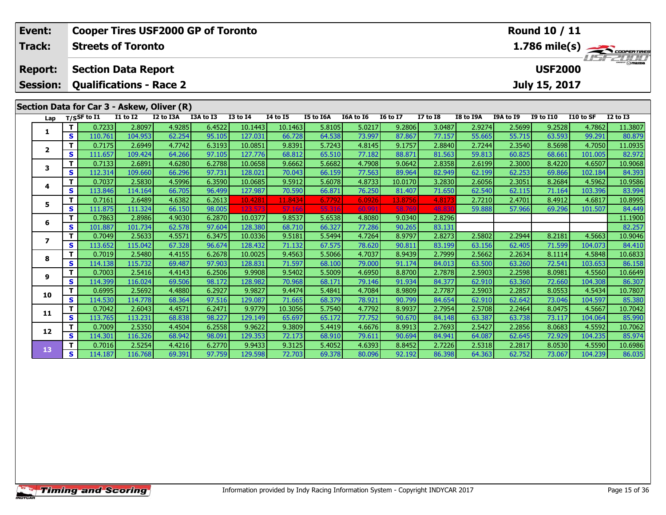| Event:          | Round 10 / 11<br><b>Cooper Tires USF2000 GP of Toronto</b> |                            |                   |                                            |                  |                   |                                    |                  |                  |                  |                  |                  |                  |                  |                   |                         |
|-----------------|------------------------------------------------------------|----------------------------|-------------------|--------------------------------------------|------------------|-------------------|------------------------------------|------------------|------------------|------------------|------------------|------------------|------------------|------------------|-------------------|-------------------------|
| Track:          |                                                            | <b>Streets of Toronto</b>  |                   |                                            |                  |                   |                                    |                  |                  |                  |                  |                  |                  |                  |                   | $1.786 \text{ mile(s)}$ |
| <b>Report:</b>  |                                                            | <b>Section Data Report</b> |                   |                                            |                  |                   |                                    |                  |                  |                  |                  |                  |                  | <b>USF2000</b>   |                   |                         |
| <b>Session:</b> |                                                            |                            |                   | <b>Qualifications - Race 2</b>             |                  |                   |                                    |                  |                  |                  |                  |                  |                  | July 15, 2017    |                   |                         |
|                 |                                                            |                            |                   | Section Data for Car 3 - Askew, Oliver (R) |                  |                   |                                    |                  |                  |                  |                  |                  |                  |                  |                   |                         |
| Lap             |                                                            | $T/S$ SF to $I1$           | <b>I1 to I2</b>   | I2 to I3A                                  | I3A to I3        | <b>I3 to I4</b>   | $\overline{14}$ to $\overline{15}$ | I5 to I6A        | I6A to I6        | <b>I6 to I7</b>  | <b>I7 to I8</b>  | I8 to I9A        | I9A to I9        | I9 to I10        | I10 to SF         | <b>I2 to I3</b>         |
| $\mathbf{1}$    | T                                                          | 0.7233                     | 2.8097            | 4.9285                                     | 6.4522           | 10.1443           | 10.1463                            | 5.8105           | 5.0217           | 9.2806           | 3.0487           | 2.9274           | 2.5699           | 9.2528           | 4.7862            | 11.3807                 |
|                 | $\mathbf{s}$                                               | 110.761                    | 104.953           | 62.254                                     | 95.105           | 127.031           | 66.728                             | 64.538           | 73.997           | 87.867           | 77.157           | 55.665           | 55.715           | 63.593           | 99.291            | 80.879                  |
| $\mathbf{2}$    | T                                                          | 0.7175                     | 2.6949            | 4.7742                                     | 6.3193           | 10.0851           | 9.8391                             | 5.7243           | 4.8145           | 9.1757           | 2.8840           | 2.7244           | 2.3540           | 8.5698           | 4.7050            | 11.0935                 |
|                 | $\mathbf{s}$                                               | 111.657                    | 109.424           | 64.266                                     | 97.105           | 127.776           | 68.812                             | 65.510           | 77.182           | 88.871           | 81.563           | 59.813           | 60.825           | 68.661           | 101.005           | 82.972                  |
| 3               | T                                                          | 0.7133                     | 2.6891            | 4.6280                                     | 6.2788           | 10.0658           | 9.6662                             | 5.6682           | 4.7908           | 9.0642           | 2.8358           | 2.6199           | 2.3000           | 8.4220           | 4.6507            | 10.9068                 |
|                 | S                                                          | 112.314                    | 109.660           | 66.296                                     | 97.731           | 128.021           | 70.043                             | 66.159           | 77.563           | 89.964           | 82.949           | 62.199           | 62.253           | 69.866           | 102.184           | 84.393                  |
| 4               | T                                                          | 0.7037                     | 2.5830            | 4.5996                                     | 6.3590           | 10.0685           | 9.5912                             | 5.6078           | 4.8733           | 10.0170          | 3.2830           | 2.6056           | 2.3051           | 8.2684           | 4.5962            | 10.9586                 |
|                 | $\mathbf{s}$                                               | 113.846                    | 114.164           | 66.705                                     | 96.499           | 127.987           | 70.590                             | 66.871           | 76.250           | 81.407           | 71.650           | 62.540           | 62.115           | 71.164           | 103.396           | 83.994                  |
| 5               | т                                                          | 0.7161                     | 2.6489            | 4.6382                                     | 6.2613           | 10.4281           | 11.8434                            | 6.7792           | 6.0926           | 13.8756          | 4.8173           | 2.7210           | 2.4701           | 8.4912           | 4.6817            | 10.8995                 |
|                 | S                                                          | 111.875                    | 111.324           | 66.150                                     | 98.005           | 123.5             | 57.166                             | 55.3             | 60.99            | 58.7             | 48.8             | 59.888           | 57.966           | 69.296           | 101.507           | 84.449                  |
| 6               | т                                                          | 0.7863                     | 2.8986            | 4.9030                                     | 6.2870           | 10.0377           | 9.8537                             | 5.6538           | 4.8080           | 9.0340           | 2.8296           |                  |                  |                  |                   | 11.1900                 |
|                 | S                                                          | 101.887                    | 101.734           | 62.578                                     | 97.604           | 128.380           | 68.710                             | 66.327           | 77.286           | 90.265           | 83.131           |                  |                  |                  |                   | 82.257                  |
| $\overline{ }$  | т                                                          | 0.7049                     | 2.5633            | 4.5571                                     | 6.3475           | 10.0336           | 9.5181                             | 5.5494           | 4.7264           | 8.9797           | 2.8273           | 2.5802           | 2.2944           | 8.2181           | 4.5663            | 10.9046                 |
|                 | S                                                          | 113.652                    | 115.042           | 67.328                                     | 96.674           | 128.432           | 71.132                             | 67.575           | 78.620           | 90.811           | 83.199           | 63.156           | 62.405           | 71.599           | 104.073           | 84.410                  |
| 8               | $\mathbf{T}$<br>$\mathbf{s}$                               | 0.7019<br>114.138          | 2.5480            | 4.4155                                     | 6.2678           | 10.0025           | 9.4563                             | 5.5066           | 4.7037<br>79,000 | 8.9439<br>91.174 | 2.7999           | 2.5662           | 2.2634<br>63.260 | 8.1114           | 4.5848            | 10.6833                 |
|                 | т                                                          | 0.7003                     | 115.732<br>2.5416 | 69.487<br>4.4143                           | 97.903<br>6.2506 | 128.831<br>9.9908 | 71.597<br>9.5402                   | 68.100<br>5.5009 | 4.6950           | 8.8700           | 84.013<br>2.7878 | 63.500<br>2.5903 | 2.2598           | 72.541<br>8.0981 | 103.653<br>4.5560 | 86.158<br>10.6649       |
| 9               | $\mathbf{s}$                                               | 114.399                    | 116.024           | 69.506                                     | 98.172           | 128.982           | 70.968                             | 68.171           | 79.146           | 91.934           | 84.377           | 62.910           | 63.360           | 72.660           | 104.308           | 86.307                  |
|                 | т                                                          | 0.6995                     | 2.5692            | 4.4880                                     | 6.2927           | 9.9827            | 9.4474                             | 5.4841           | 4.7084           | 8.9809           | 2.7787           | 2.5903           | 2.2857           | 8.0553           | 4.5434            | 10.7807                 |
| 10              | $\mathbf{s}$                                               | 114.530                    | 114.778           | 68.364                                     | 97.516           | 129.087           | 71.665                             | 68.379           | 78.921           | 90.799           | 84.654           | 62.910           | 62.642           | 73.046           | 104.597           | 85.380                  |
|                 | т                                                          | 0.7042                     | 2.6043            | 4.4571                                     | 6.2471           | 9.9779            | 10.3056                            | 5.7540           | 4.7792           | 8.9937           | 2.7954           | 2.5708           | 2.2464           | 8.0475           | 4.5667            | 10.7042                 |
| 11              | $\mathbf{s}$                                               | 113.765                    | 113.231           | 68.838                                     | 98.227           | 129.149           | 65.697                             | 65.172           | 77.752           | 90.670           | 84.148           | 63.387           | 63.738           | 73.117           | 104.064           | 85.990                  |
|                 | т                                                          | 0.7009                     | 2.5350            | 4.4504                                     | 6.2558           | 9.9622            | 9.3809                             | 5.4419           | 4.6676           | 8.9913           | 2.7693           | 2.5427           | 2.2856           | 8.0683           | 4.5592            | 10.7062                 |
| 12              | S                                                          | 114.301                    | 116.326           | 68.942                                     | 98.091           | 129.353           | 72.173                             | 68.910           | 79.611           | 90.694           | 84.941           | 64.087           | 62.645           | 72.929           | 104.235           | 85.974                  |
|                 | т                                                          | 0.7016                     | 2.5254            | 4.4216                                     | 6.2770           | 9.9433            | 9.3125                             | 5.4052           | 4.6393           | 8.8452           | 2.7226           | 2.5318           | 2.2817           | 8.0530           | 4.5590            | 10.6986                 |
| 13              | S                                                          | 114.187                    | 116.768           | 69.391                                     | 97.759           | 129.598           | 72.703                             | 69.378           | 80.096           | 92.192           | 86.398           | 64.363           | 62.752           | 73.067           | 104.239           | 86.035                  |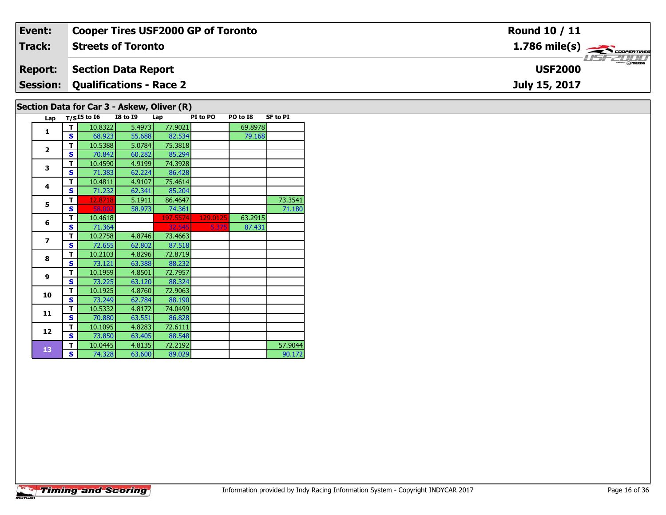| Event:         | <b>Cooper Tires USF2000 GP of Toronto</b>  | <b>Round 10 / 11</b>                                      |
|----------------|--------------------------------------------|-----------------------------------------------------------|
| <b>Track:</b>  | <b>Streets of Toronto</b>                  | $1.786$ mile(s) $\overbrace{\hspace{2.5cm}}$ cooren TIRES |
| <b>Report:</b> | <b>Section Data Report</b>                 | <b>LISF 2000</b><br><b>USF2000</b>                        |
|                | <b>Session: Qualifications - Race 2</b>    | July 15, 2017                                             |
|                | Section Data for Car 3 - Askew, Oliver (R) |                                                           |

| Lap                     |   | $T/SI5$ to $I6$ | <b>I8 to 19</b> | Lap      | PI to PO | PO to I8 | <b>SF to PI</b> |
|-------------------------|---|-----------------|-----------------|----------|----------|----------|-----------------|
| $\mathbf{1}$            | т | 10.8322         | 5.4973          | 77.9021  |          | 69.8978  |                 |
|                         | S | 68.923          | 55.688          | 82.534   |          | 79.168   |                 |
| $\overline{2}$          | T | 10.5388         | 5.0784          | 75.3818  |          |          |                 |
|                         | S | 70.842          | 60.282          | 85.294   |          |          |                 |
| 3                       | т | 10.4590         | 4.9199          | 74.3928  |          |          |                 |
|                         | S | 71.383          | 62.224          | 86.428   |          |          |                 |
| 4                       | т | 10.4811         | 4.9107          | 75.4614  |          |          |                 |
|                         | S | 71.232          | 62.341          | 85.204   |          |          |                 |
| 5                       | т | 12.8718         | 5.1911          | 86.4647  |          |          | 73.3541         |
|                         | S | 58.002          | 58.973          | 74.361   |          |          | 71.180          |
| 6                       | т | 10.4618         |                 | 197.5574 | 129.0125 | 63.2915  |                 |
|                         | S | 71.364          |                 | 32.545   | 5.375    | 87.431   |                 |
| $\overline{\mathbf{z}}$ | т | 10.2758         | 4.8746          | 73.4663  |          |          |                 |
|                         | S | 72.655          | 62.802          | 87.518   |          |          |                 |
| 8                       | т | 10.2103         | 4.8296          | 72.8719  |          |          |                 |
|                         | S | 73.121          | 63.388          | 88.232   |          |          |                 |
| 9                       | т | 10.1959         | 4.8501          | 72.7957  |          |          |                 |
|                         | S | 73.225          | 63.120          | 88.324   |          |          |                 |
| 10                      | т | 10.1925         | 4.8760          | 72.9063  |          |          |                 |
|                         | S | 73.249          | 62.784          | 88.190   |          |          |                 |
| 11                      | т | 10.5332         | 4.8172          | 74.0499  |          |          |                 |
|                         | S | 70.880          | 63.551          | 86.828   |          |          |                 |
| 12                      | т | 10.1095         | 4.8283          | 72.6111  |          |          |                 |
|                         | S | 73.850          | 63.405          | 88.548   |          |          |                 |
| 13                      | T | 10.0445         | 4.8135          | 72.2192  |          |          | 57.9044         |
|                         | S | 74.328          | 63.600          | 89.029   |          |          | 90.172          |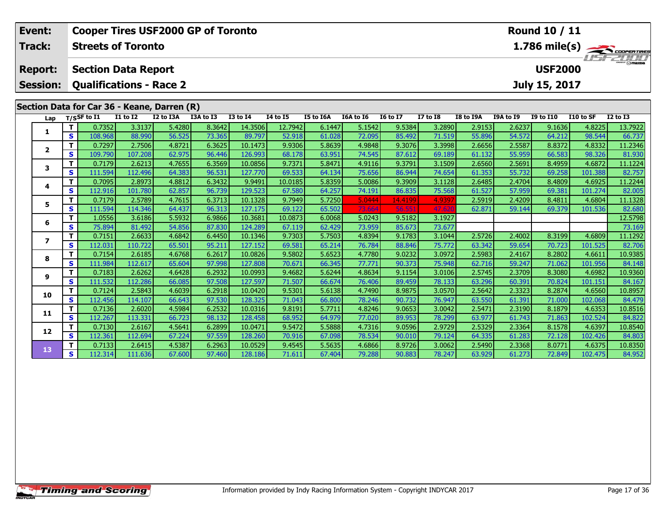| Event:          |                   | <b>Round 10 / 11</b><br><b>Cooper Tires USF2000 GP of Toronto</b><br>$\frac{1.786 \text{ mile(s)}}{1.157 - 21111}$<br><b>Streets of Toronto</b> |                   |                                             |                  |                    |                  |                  |                  |                  |                  |                  |                  |                  |                   |                   |
|-----------------|-------------------|-------------------------------------------------------------------------------------------------------------------------------------------------|-------------------|---------------------------------------------|------------------|--------------------|------------------|------------------|------------------|------------------|------------------|------------------|------------------|------------------|-------------------|-------------------|
| Track:          |                   |                                                                                                                                                 |                   |                                             |                  |                    |                  |                  |                  |                  |                  |                  |                  |                  |                   |                   |
| <b>Report:</b>  |                   | <b>Section Data Report</b>                                                                                                                      |                   |                                             |                  |                    |                  |                  |                  |                  |                  |                  |                  | <b>USF2000</b>   |                   |                   |
| <b>Session:</b> |                   |                                                                                                                                                 |                   | <b>Qualifications - Race 2</b>              |                  |                    |                  |                  |                  |                  |                  |                  |                  | July 15, 2017    |                   |                   |
|                 |                   |                                                                                                                                                 |                   | Section Data for Car 36 - Keane, Darren (R) |                  |                    |                  |                  |                  |                  |                  |                  |                  |                  |                   |                   |
| Lap             |                   | $T/S$ SF to $I1$                                                                                                                                | $I1$ to $I2$      | I2 to I3A                                   | I3A to I3        | <b>I3 to I4</b>    | <b>I4 to I5</b>  | <b>I5 to I6A</b> | I6A to I6        | <b>I6 to I7</b>  | $I7$ to $I8$     | <b>I8 to I9A</b> | <b>I9A to I9</b> | <b>I9 to I10</b> | I10 to SF         | $I2$ to $I3$      |
| 1               | T                 | 0.7352                                                                                                                                          | 3.3137            | 5.4280                                      | 8.3642           | 14.3506            | 12.7942          | 6.1447           | 5.1542           | 9.5384           | 3.2890           | 2.9153           | 2.6237           | 9.1636           | 4.8225            | 13.7922           |
|                 | $\mathbf{s}$      | 108.968                                                                                                                                         | 88.990            | 56.525                                      | 73.365           | 89.797             | 52.918           | 61.028           | 72.095           | 85.492           | 71.519           | 55.896           | 54.572           | 64.212           | 98.544            | 66.737            |
| $\overline{2}$  | T                 | 0.7297                                                                                                                                          | 2.7506            | 4.8721                                      | 6.3625           | 10.1473            | 9.9306           | 5.8639           | 4.9848           | 9.3076           | 3.3998           | 2.6656           | 2.5587           | 8.8372           | 4.8332            | 11.2346           |
|                 | S                 | 109.790                                                                                                                                         | 107.208           | 62.975                                      | 96.446           | 126.993            | 68.178           | 63.951           | 74.545           | 87.612           | 69.189           | 61.132           | 55.959           | 66.583           | 98.326            | 81.930            |
| 3               | T                 | 0.7179                                                                                                                                          | 2.6213            | 4.7655                                      | 6.3569           | 10.0856            | 9.7371           | 5.8471           | 4.9116           | 9.3791           | 3.1509           | 2.6560           | 2.5691           | 8.4959           | 4.6872            | 11.1224           |
|                 | $\mathbf s$       | 111.594                                                                                                                                         | 112.496           | 64.383                                      | 96.531           | 127.770            | 69.533           | 64.134           | 75.656           | 86.944           | 74.654           | 61.353           | 55.732           | 69.258           | 101.388           | 82.757            |
| 4               | T                 | 0.7095                                                                                                                                          | 2.8973            | 4.8812                                      | 6.3432           | 9.9491             | 10.0185          | 5.8359           | 5.0086           | 9.3909           | 3.1128           | 2.6485           | 2.4704           | 8.4809           | 4.6925            | 11.2244           |
|                 | S                 | 112.916                                                                                                                                         | 101.780           | 62.857                                      | 96.739           | 129.523            | 67.580           | 64.257           | 74.191           | 86.835           | 75.568           | 61.527           | 57.959           | 69.381           | 101.274           | 82.005            |
| 5               | T                 | 0.7179                                                                                                                                          | 2.5789            | 4.7615                                      | 6.3713           | 10.1328            | 9.7949           | 5.7250           | 5.0444           | 14.4199          | 4.9397           | 2.5919           | 2.4209           | 8.4811           | 4.6804            | 11.1328           |
|                 | S                 | 111.594                                                                                                                                         | 114.346           | 64.437                                      | 96.313           | 127.175            | 69.122           | 65.502           | 73.664           | 56.55            | 47.62            | 62.871           | 59.144           | 69.379           | 101.536           | 82.680            |
| 6               | T                 | 1.0556                                                                                                                                          | 3.6186            | 5.5932                                      | 6.9866           | 10.3681            | 10.0873          | 6.0068           | 5.0243           | 9.5182           | 3.1927           |                  |                  |                  |                   | 12.5798           |
|                 | S                 | 75.894                                                                                                                                          | 81.492            | 54.856                                      | 87.830           | 124.289            | 67.119           | 62.429           | 73.959           | 85.673           | 73.677           |                  |                  |                  |                   | 73.169            |
| $\overline{ }$  | T                 | 0.7151                                                                                                                                          | 2.6633            | 4.6842                                      | 6.4450           | 10.1346            | 9.7303           | 5.7503           | 4.8394           | 9.1783           | 3.1044           | 2.5726           | 2.4002           | 8.3199           | 4.6809            | 11.1292           |
|                 | $\mathbf{s}$      | 112.031                                                                                                                                         | 110.722           | 65.501                                      | 95.211           | 127.152            | 69.581           | 65.214           | 76.784           | 88.846           | 75.772           | 63.342           | 59.654           | 70.723           | 101.525           | 82.706            |
| 8               | T.                | 0.7154                                                                                                                                          | 2.6185            | 4.6768                                      | 6.2617           | 10.0826            | 9.5802           | 5.6523           | 4.7780           | 9.0232           | 3.0972           | 2.5983           | 2.4167           | 8.2802           | 4.6611            | 10.9385           |
|                 | $\mathbf{s}$      | 111.984                                                                                                                                         | 112.617           | 65.604                                      | 97.998           | 127,808            | 70.671           | 66.345           | 77.771           | 90.373           | 75.948           | 62.716           | 59.247           | 71.062           | 101.956           | 84.148            |
| 9               | T                 | 0.7183                                                                                                                                          | 2.6262            | 4.6428                                      | 6.2932           | 10.0993            | 9.4682           | 5.6244           | 4.8634           | 9.1154           | 3.0106           | 2.5745           | 2.3709           | 8.3080           | 4.6982            | 10.9360           |
|                 | S<br>T            | 111.532                                                                                                                                         | 112.286           | 66.085                                      | 97.508           | 127.597            | 71.507           | 66.674           | 76.406           | 89.459           | 78.133           | 63.296           | 60.391           | 70.824           | 101.151           | 84.167            |
| 10              | $\mathbf{s}$      | 0.7124<br>112.456                                                                                                                               | 2.5843<br>114.107 | 4.6039<br>66.643                            | 6.2918<br>97.530 | 10.0420<br>128.325 | 9.5301<br>71.043 | 5.6138           | 4.7490<br>78.246 | 8.9875<br>90.732 | 3.0570           | 2.5642<br>63.550 | 2.3323<br>61.391 | 8.2874<br>71.000 | 4.6560<br>102.068 | 10.8957           |
|                 | T                 | 0.7136                                                                                                                                          | 2.6020            | 4.5984                                      | 6.2532           | 10.0316            | 9.8191           | 66.800<br>5.7711 | 4.8246           | 9.0653           | 76.947<br>3.0042 | 2.5471           | 2.3190           | 8.1879           | 4.6353            | 84.479<br>10.8516 |
| 11              | $\mathbf{s}$      | 112.267                                                                                                                                         | 113.331           | 66.723                                      | 98.132           | 128.458            | 68.952           | 64.979           | 77.020           | 89.953           | 78.299           | 63.977           | 61.743           | 71.863           | 102.524           | 84.822            |
|                 | T                 | 0.7130                                                                                                                                          | 2.6167            | 4.5641                                      | 6.2899           | 10.0471            | 9.5472           | 5.5888           | 4.7316           | 9.0596           | 2.9729           | 2.5329           | 2.3364           | 8.1578           | 4.6397            | 10.8540           |
| 12              | <b>S</b>          | 112.361                                                                                                                                         | 112.694           | 67.224                                      | 97.559           | 128.260            | 70.916           | 67.098           | 78.534           | 90.010           | 79.124           | 64.335           | 61.283           | 72.128           | 102.426           | 84.803            |
|                 |                   |                                                                                                                                                 |                   |                                             |                  |                    |                  |                  |                  |                  |                  |                  |                  |                  |                   |                   |
|                 |                   |                                                                                                                                                 |                   |                                             |                  |                    |                  |                  |                  |                  |                  |                  |                  |                  |                   | 84.952            |
| 13              | $\mathbf{T}$<br>S | 0.7133<br>112.314                                                                                                                               | 2.6415<br>111.636 | 4.5387<br>67.600                            | 6.2963<br>97.460 | 10.0529<br>128.186 | 9.4545<br>71.611 | 5.5635<br>67.404 | 4.6866<br>79.288 | 8.9726<br>90.883 | 3.0062<br>78.247 | 2.5490<br>63.929 | 2.3368<br>61.273 | 8.0771<br>72.849 | 4.6375<br>102.475 | 10.8350           |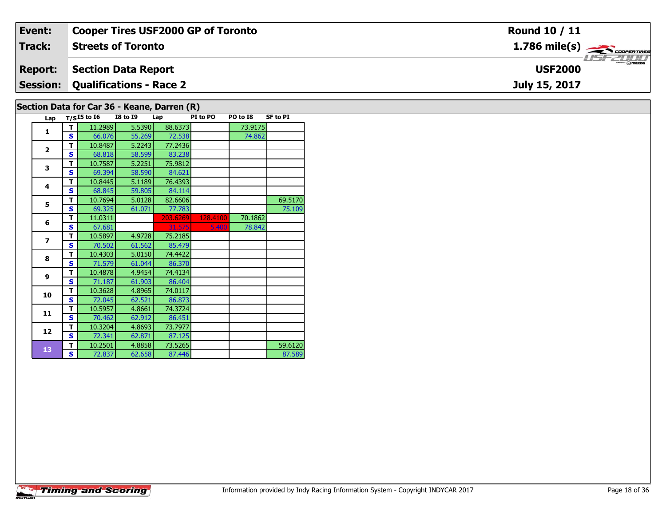| Event:         | <b>Cooper Tires USF2000 GP of Toronto</b>   | <b>Round 10 / 11</b>                                      |
|----------------|---------------------------------------------|-----------------------------------------------------------|
| <b>Track:</b>  | <b>Streets of Toronto</b>                   | $1.786$ mile(s) $\overbrace{\hspace{2.5cm}}$ coorer TIRES |
| <b>Report:</b> | <b>Section Data Report</b>                  | <b>USF2000</b>                                            |
|                | <b>Session: Qualifications - Race 2</b>     | July 15, 2017                                             |
|                | Section Data for Car 36 - Keane, Darren (D) |                                                           |

## **Section Data for Car 36 - Keane, Darren (R)**

| Lap                      |   | $T/SI5$ to $I6$ | <b>I8 to 19</b> | Lap      | PI to PO | PO to I8 | <b>SF to PI</b> |
|--------------------------|---|-----------------|-----------------|----------|----------|----------|-----------------|
| 1                        | т | 11.2989         | 5.5390          | 88.6373  |          | 73.9175  |                 |
|                          | S | 66.076          | 55.269          | 72.538   |          | 74.862   |                 |
| $\overline{2}$           | т | 10.8487         | 5.2243          | 77.2436  |          |          |                 |
|                          | Ś | 68.818          | 58.599          | 83.238   |          |          |                 |
| 3                        | т | 10.7587         | 5.2251          | 75.9812  |          |          |                 |
|                          | S | 69.394          | 58.590          | 84.621   |          |          |                 |
| 4                        | т | 10.8445         | 5.1189          | 76.4393  |          |          |                 |
|                          | Ś | 68.845          | 59.805          | 84.114   |          |          |                 |
| 5                        | т | 10.7694         | 5.0128          | 82.6606  |          |          | 69.5170         |
|                          | S | 69.325          | 61.071          | 77.783   |          |          | 75.109          |
| 6                        | т | 11.0311         |                 | 203.6269 | 128.4100 | 70.1862  |                 |
|                          | Ś | 67.681          |                 | 31.575   | 5.400    | 78.842   |                 |
| $\overline{\phantom{a}}$ | т | 10.5897         | 4.9728          | 75.2185  |          |          |                 |
|                          | S | 70.502          | 61.562          | 85.479   |          |          |                 |
| 8                        | т | 10.4303         | 5.0150          | 74.4422  |          |          |                 |
|                          | Ś | 71.579          | 61.044          | 86.370   |          |          |                 |
| 9                        | т | 10.4878         | 4.9454          | 74.4134  |          |          |                 |
|                          | S | 71.187          | 61.903          | 86.404   |          |          |                 |
| 10                       | т | 10.3628         | 4.8965          | 74.0117  |          |          |                 |
|                          | Ś | 72.045          | 62.521          | 86.873   |          |          |                 |
| 11                       | т | 10.5957         | 4.8661          | 74.3724  |          |          |                 |
|                          | S | 70.462          | 62.912          | 86.451   |          |          |                 |
| 12                       | T | 10.3204         | 4.8693          | 73.7977  |          |          |                 |
|                          | Ś | 72.341          | 62.871          | 87.125   |          |          |                 |
| 13                       | т | 10.2501         | 4.8858          | 73.5265  |          |          | 59.6120         |
|                          | S | 72.837          | 62.658          | 87.446   |          |          | 87.589          |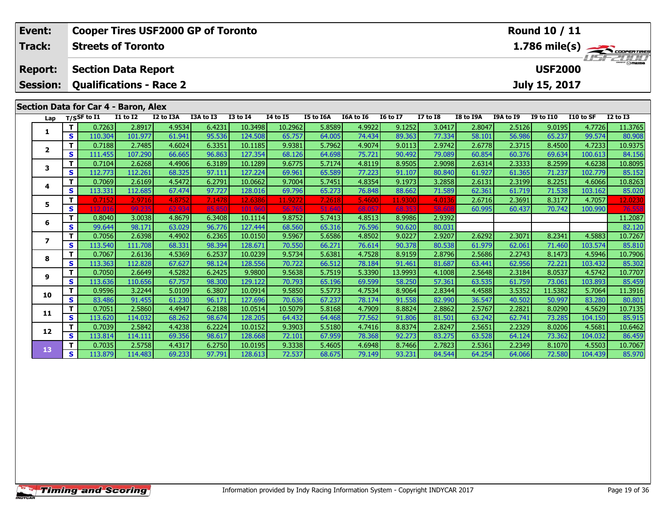| Event:<br>Track: |              | <b>Streets of Toronto</b>            |                   | <b>Cooper Tires USF2000 GP of Toronto</b> |                  |                    |                  |                  |                  |                  |                  |                  |                  | <b>Round 10 / 11</b> |                   |                   |
|------------------|--------------|--------------------------------------|-------------------|-------------------------------------------|------------------|--------------------|------------------|------------------|------------------|------------------|------------------|------------------|------------------|----------------------|-------------------|-------------------|
| <b>Report:</b>   |              | <b>Section Data Report</b>           |                   |                                           |                  |                    |                  |                  |                  |                  |                  |                  |                  | <b>USF2000</b>       |                   | 1.786 mile(s)     |
| <b>Session:</b>  |              |                                      |                   | <b>Qualifications - Race 2</b>            |                  |                    |                  |                  |                  |                  |                  |                  |                  | July 15, 2017        |                   |                   |
|                  |              | Section Data for Car 4 - Baron, Alex |                   |                                           |                  |                    |                  |                  |                  |                  |                  |                  |                  |                      |                   |                   |
| Lap              |              | T/SSF to I1                          | <b>I1 to I2</b>   | I2 to I3A                                 | I3A to I3        | <b>I3 to I4</b>    | <b>I4 to I5</b>  | I5 to I6A        | I6A to I6        | <b>I6 to I7</b>  | <b>I7 to I8</b>  | <b>I8 to I9A</b> | <b>I9A to I9</b> | <b>I9 to I10</b>     | I10 to SF         | <b>I2 to I3</b>   |
|                  | T            | 0.7263                               | 2.8917            | 4.9534                                    | 6.4231           | 10.3498            | 10.2962          | 5.8589           | 4.9922           | 9.1252           | 3.0417           | 2.8047           | 2.5126           | 9.0195               | 4.7726            | 11.3765           |
| 1                | $\mathbf{s}$ | 110.304                              | 101.977           | 61.941                                    | 95.536           | 124.508            | 65.757           | 64.005           | 74.434           | 89.363           | 77.334           | 58.101           | 56.986           | 65.237               | 99.574            | 80.908            |
|                  | т            | 0.7188                               | 2.7485            | 4.6024                                    | 6.3351           | 10.1185            | 9.9381           | 5.7962           | 4.9074           | 9.0113           | 2.9742           | 2.6778           | 2.3715           | 8.4500               | 4.7233            | 10.9375           |
| $\mathbf{2}$     | $\mathbf{s}$ | 111.455                              | 107.290           | 66.665                                    | 96.863           | 127.354            | 68.126           | 64.698           | 75.721           | 90.492           | 79.089           | 60.854           | 60.376           | 69.634               | 100.613           | 84.156            |
| 3                | т            | 0.7104                               | 2.6268            | 4.4906                                    | 6.3189           | 10.1289            | 9.6775           | 5.7174           | 4.8119           | 8.9505           | 2.9098           | 2.6314           | 2.3333           | 8.2599               | 4.6238            | 10.8095           |
|                  | $\mathbf{s}$ | 112.773                              | 112.261           | 68.325                                    | 97.111           | 127.224            | 69.961           | 65.589           | 77.223           | 91.107           | 80.840           | 61.927           | 61.365           | 71.237               | 102.779           | 85.152            |
| 4                | T.           | 0.7069                               | 2.6169            | 4.5472                                    | 6.2791           | 10.0662            | 9.7004           | 5.7451           | 4.8354           | 9.1973           | 3.2858           | 2.6131           | 2.3199           | 8.2251               | 4.6066            | 10.8263           |
|                  | S            | 113.331                              | 112.685           | 67.474                                    | 97.727           | 128.016            | 69.796           | 65.273           | 76.848           | 88.662           | 71.589           | 62.361           | 61.719           | 71.538               | 103.162           | 85.020            |
| 5.               | T.           | 0.7152                               | 2.9716            | 4.8752                                    | 7.1478           | 12.6386            | 11.9272          | 7.2618           | 5.4600           | 11.9300          | 4.0136           | 2.6716           | 2.3691           | 8.3177               | 4.7057            | 12.0230           |
|                  | S            | 112,016                              | 99.23             | 62.934                                    | 85.85            | 101.96             | 56.76            | 51.64            | 68.057           | 68.35            | 58.60            | 60.995           | 60.437           | 70.742               | 100.990           | 76.55             |
| 6                | T.           | 0.8040                               | 3.0038            | 4.8679                                    | 6.3408           | 10.1114            | 9.8752           | 5.7413           | 4.8513           | 8.9986           | 2.9392           |                  |                  |                      |                   | 11.2087           |
|                  | S<br>T.      | 99.644<br>0.7056                     | 98.171            | 63.029                                    | 96.776<br>6.2365 | 127.444            | 68.560           | 65.316           | 76.596<br>4.8502 | 90.620<br>9.0227 | 80.031           | 2.6292           |                  |                      |                   | 82.120            |
| 7                | $\mathbf{s}$ | 113.540                              | 2.6398<br>111.708 | 4.4902<br>68.331                          | 98.394           | 10.0150<br>128.671 | 9.5967<br>70.550 | 5.6586<br>66.271 | 76.614           | 90.378           | 2.9207<br>80.538 | 61.979           | 2.3071<br>62.061 | 8.2341<br>71.460     | 4.5883<br>103.574 | 10.7267<br>85.810 |
|                  | T            | 0.7067                               | 2.6136            | 4.5369                                    | 6.2537           | 10.0239            | 9.5734           | 5.6381           | 4.7528           | 8.9159           | 2.8796           | 2.5686           | 2.2743           | 8.1473               | 4.5946            | 10.7906           |
| 8                | $\mathbf{s}$ | 113.363                              | 112.828           | 67.627                                    | 98.124           | 128.556            | 70.722           | 66.512           | 78.184           | 91.461           | 81.687           | 63.441           | 62.956           | 72.221               | 103.432           | 85.302            |
|                  | T            | 0.7050                               | 2.6649            | 4.5282                                    | 6.2425           | 9.9800             | 9.5638           | 5.7519           | 5.3390           | 13.9993          | 4.1008           | 2.5648           | 2.3184           | 8.0537               | 4.5742            | 10.7707           |
| 9                | S            | 113.636                              | 110.656           | 67.757                                    | 98.300           | 129.122            | 70.793           | 65.196           | 69.599           | 58.250           | 57.361           | 63.535           | 61.759           | 73.061               | 103.893           | 85.459            |
|                  | T            | 0.9596                               | 3.2244            | 5.0109                                    | 6.3807           | 10.0914            | 9.5850           | 5.5773           | 4.7534           | 8.9064           | 2.8344           | 4.4588           | 3.5352           | 11.5382              | 5.7064            | 11.3916           |
| 10               | S            | 83.486                               | 91.455            | 61.230                                    | 96.171           | 127.696            | 70.636           | 67.237           | 78.174           | 91.558           | 82.990           | 36.547           | 40.502           | 50.997               | 83.280            | 80.801            |
|                  | т            | 0.7051                               | 2.5860            | 4.4947                                    | 6.2188           | 10.0514            | 10.5079          | 5.8168           | 4.7909           | 8.8824           | 2.8862           | 2.5767           | 2.2821           | 8.0290               | 4.5629            | 10.7135           |
| 11               | $\mathbf{s}$ | 113.620                              | 114.032           | 68.262                                    | 98.674           | 128.205            | 64.432           | 64.468           | 77.562           | 91.806           | 81.501           | 63.242           | 62.741           | 73.285               | 104.150           | 85.915            |
| 12               | T            | 0.7039                               | 2.5842            | 4.4238                                    | 6.2224           | 10.0152            | 9.3903           | 5.5180           | 4.7416           | 8.8374           | 2.8247           | 2.5651           | 2.2329           | 8.0206               | 4.5681            | 10.6462           |
|                  | S            | 113.814                              | 114.111           | 69.356                                    | 98.617           | 128.668            | 72.101           | 67.959           | 78.368           | 92.273           | 83.275           | 63.528           | 64.124           | 73.362               | 104.032           | 86.459            |
| 13               | т            | 0.7035                               | 2.5758            | 4.4317                                    | 6.2750           | 10.0195            | 9.3338           | 5.4605           | 4.6948           | 8.7466           | 2.7823           | 2.5361           | 2.2349           | 8.1070               | 4.5503            | 10.7067           |
|                  | S            | 113.879                              | 114.483           | 69.233                                    | 97.791           | 128.613            | 72.537           | 68.675           | 79.149           | 93.231           | 84.544           | 64.254           | 64.066           | 72.580               | 104.439           | 85.970            |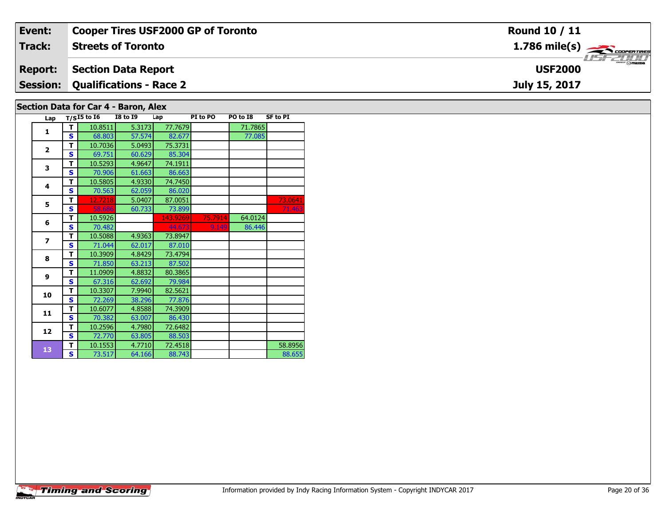| Event:         | <b>Cooper Tires USF2000 GP of Toronto</b> | <b>Round 10 / 11</b>                                    |
|----------------|-------------------------------------------|---------------------------------------------------------|
| Track:         | <b>Streets of Toronto</b>                 | $1.786$ mile(s) $\overbrace{\hspace{2cm}}$ cooper TIRES |
| <b>Report:</b> | Section Data Report                       | <b>USF2000</b>                                          |
|                | <b>Session: Qualifications - Race 2</b>   | July 15, 2017                                           |
|                | Section Data for Car 4 - Baron, Alex      |                                                         |

| Lap            |   | $T/S$ I5 to I6 I8 to I9 |        | Lap      | PI to PO | PO to I8 | <b>SF to PI</b> |
|----------------|---|-------------------------|--------|----------|----------|----------|-----------------|
| 1              | т | 10.8511                 | 5.3173 | 77.7679  |          | 71.7865  |                 |
|                | Ś | 68.803                  | 57.574 | 82.677   |          | 77.085   |                 |
| $\overline{2}$ | т | 10.7036                 | 5.0493 | 75.3731  |          |          |                 |
|                | S | 69.751                  | 60.629 | 85.304   |          |          |                 |
| 3              | т | 10.5293                 | 4.9647 | 74.1911  |          |          |                 |
|                | S | 70.906                  | 61.663 | 86.663   |          |          |                 |
| 4              | T | 10.5805                 | 4.9330 | 74.7450  |          |          |                 |
|                | S | 70.563                  | 62.059 | 86.020   |          |          |                 |
| 5              | т | 12.7218                 | 5.0407 | 87.0051  |          |          | 73.0641         |
|                | S | 58.686                  | 60.733 | 73.899   |          |          | 71.463          |
| 6              | т | 10.5926                 |        | 143.9269 | 75.7914  | 64.0124  |                 |
|                | Ś | 70.482                  |        | 44.673   | 9.149    | 86.446   |                 |
| $\overline{z}$ | т | 10.5088                 | 4.9363 | 73.8947  |          |          |                 |
|                | S | 71.044                  | 62.017 | 87.010   |          |          |                 |
| 8              | т | 10.3909                 | 4.8429 | 73.4794  |          |          |                 |
|                | Ś | 71.850                  | 63.213 | 87.502   |          |          |                 |
| 9              | т | 11.0909                 | 4.8832 | 80.3865  |          |          |                 |
|                | S | 67.316                  | 62.692 | 79.984   |          |          |                 |
| 10             | т | 10.3307                 | 7.9940 | 82.5621  |          |          |                 |
|                | S | 72.269                  | 38.296 | 77.876   |          |          |                 |
| 11             | т | 10.6077                 | 4.8588 | 74.3909  |          |          |                 |
|                | S | 70.382                  | 63.007 | 86.430   |          |          |                 |
| 12             | T | 10.2596                 | 4.7980 | 72.6482  |          |          |                 |
|                | S | 72.770                  | 63.805 | 88.503   |          |          |                 |
| 13             | т | 10.1553                 | 4.7710 | 72.4518  |          |          | 58.8956         |
|                | S | 73.517                  | 64.166 | 88.743   |          |          | 88.655          |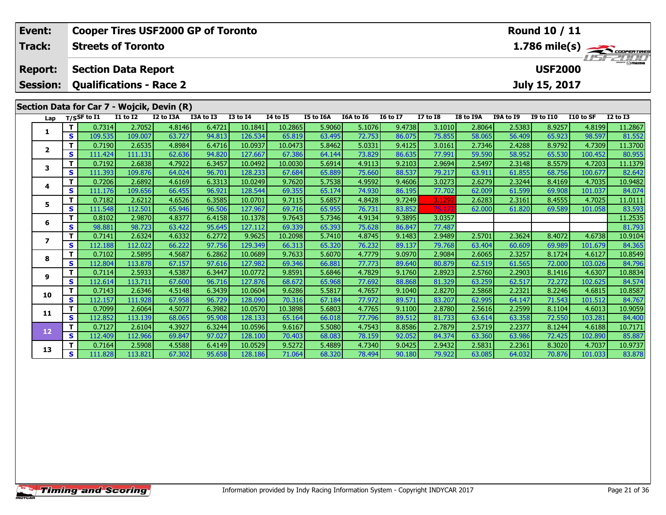| Event:                  |              |                            |                                    | <b>Cooper Tires USF2000 GP of Toronto</b>  |                  |                    |                  |                  |                  |                  |                 |                  |                  | Round 10 / 11    |           |                                              |
|-------------------------|--------------|----------------------------|------------------------------------|--------------------------------------------|------------------|--------------------|------------------|------------------|------------------|------------------|-----------------|------------------|------------------|------------------|-----------|----------------------------------------------|
| Track:                  |              | <b>Streets of Toronto</b>  |                                    |                                            |                  |                    |                  |                  |                  |                  |                 |                  |                  |                  |           | $\frac{1.786 \text{ mile(s)}}{1.57 - 21111}$ |
| <b>Report:</b>          |              | <b>Section Data Report</b> |                                    |                                            |                  |                    |                  |                  |                  |                  |                 |                  |                  | <b>USF2000</b>   |           |                                              |
| <b>Session:</b>         |              |                            |                                    | <b>Qualifications - Race 2</b>             |                  |                    |                  |                  |                  |                  |                 |                  |                  | July 15, 2017    |           |                                              |
|                         |              |                            |                                    | Section Data for Car 7 - Wojcik, Devin (R) |                  |                    |                  |                  |                  |                  |                 |                  |                  |                  |           |                                              |
| Lap                     |              | $T/S$ SF to I1             | $\overline{11}$ to $\overline{12}$ | I2 to I3A                                  | I3A to I3        | <b>I3 to I4</b>    | <b>I4 to I5</b>  | I5 to I6A        | I6A to I6        | <b>I6 to I7</b>  | $I7$ to $I8$    | <b>I8 to I9A</b> | <b>I9A to I9</b> | <b>I9 to I10</b> | I10 to SF | $\overline{12}$ to $\overline{13}$           |
|                         | T            | 0.7314                     | 2.7052                             | 4.8146                                     | 6.4721           | 10.1841            | 10.2865          | 5.9060           | 5.1076           | 9.4738           | 3.1010          | 2.8064           | 2.5383           | 8.9257           | 4.8199    | 11.2867                                      |
| 1                       | $\mathbf{s}$ | 109.535                    | 109.007                            | 63.727                                     | 94.813           | 126.534            | 65.819           | 63.495           | 72.753           | 86.075           | 75.855          | 58.065           | 56.409           | 65.923           | 98.597    | 81.552                                       |
| $\mathbf{2}$            | T.           | 0.7190                     | 2.6535                             | 4.8984                                     | 6.4716           | 10.0937            | 10.0473          | 5.8462           | 5.0331           | 9.4125           | 3.0161          | 2.7346           | 2.4288           | 8.9792           | 4.7309    | 11.3700                                      |
|                         | $\mathbf{s}$ | 111.424                    | 111.131                            | 62.636                                     | 94.820           | 127.667            | 67.386           | 64.144           | 73.829           | 86.635           | 77.991          | 59.590           | 58.952           | 65.530           | 100.452   | 80.955                                       |
| 3                       | T            | 0.7192                     | 2.6838                             | 4.7922                                     | 6.3457           | 10.0492            | 10.0030          | 5.6914           | 4.9113           | 9.2103           | 2.9694          | 2.5497           | 2.3148           | 8.5579           | 4.7203    | 11.1379                                      |
|                         | S            | 111.393                    | 109.876                            | 64.024                                     | 96.701           | 128.233            | 67.684           | 65.889           | 75.660           | 88.537           | 79.217          | 63.911           | 61.855           | 68.756           | 100.677   | 82.642                                       |
| 4                       | T            | 0.7206                     | 2.6892                             | 4.6169                                     | 6.3313           | 10.0249            | 9.7620           | 5.7538           | 4.9592           | 9.4606           | 3.0273          | 2.6279           | 2.3244           | 8.4169           | 4.7035    | 10.9482                                      |
|                         | S            | 111.176                    | 109.656                            | 66.455                                     | 96.921           | 128.544            | 69.355           | 65.174           | 74.930           | 86.195           | 77.702          | 62.009           | 61.599           | 69.908           | 101.037   | 84.074                                       |
| 5                       | т            | 0.7182                     | 2.6212                             | 4.6526                                     | 6.3585           | 10.0701            | 9.7115           | 5.6857           | 4.8428<br>76.731 | 9.7249           | 3.1292          | 2.6283           | 2.3161           | 8.4555           | 4.7025    | 11.0111                                      |
|                         | S<br>т       | 111.548<br>0.8102          | 112.501<br>2.9870                  | 65.946<br>4.8377                           | 96.506<br>6.4158 | 127.967<br>10.1378 | 69.716<br>9.7643 | 65.955<br>5.7346 | 4.9134           | 83.852<br>9.3895 | 75.17<br>3.0357 | 62.000           | 61.820           | 69.589           | 101.058   | 83.593                                       |
| 6                       | S            | 98.881                     | 98.723                             | 63.422                                     | 95.645           | 127.112            | 69.339           | 65.393           | 75.628           | 86.847           | 77.487          |                  |                  |                  |           | 11.2535<br>81.793                            |
|                         | T            | 0.7141                     | 2.6324                             | 4.6332                                     | 6.2772           | 9.9625             | 10.2098          | 5.7410           | 4.8745           | 9.1483           | 2.9489          | 2.5701           | 2.3624           | 8.4072           | 4.6738    | 10.9104                                      |
| $\overline{\mathbf{z}}$ | $\mathbf{s}$ | 112.188                    | 112.022                            | 66.222                                     | 97.756           | 129.349            | 66.313           | 65.320           | 76.232           | 89.137           | 79.768          | 63.404           | 60.609           | 69.989           | 101.679   | 84.365                                       |
|                         | T.           | 0.7102                     | 2.5895                             | 4.5687                                     | 6.2862           | 10.0689            | 9.7633           | 5.6070           | 4.7779           | 9.0970           | 2.9084          | 2.6065           | 2.3257           | 8.1724           | 4.6127    | 10.8549                                      |
| 8                       | $\mathbf{s}$ | 112.804                    | 113.878                            | 67.157                                     | 97.616           | 127.982            | 69.346           | 66.881           | 77.773           | 89.640           | 80.879          | 62.519           | 61.565           | 72.000           | 103.026   | 84.796                                       |
|                         | т            | 0.7114                     | 2.5933                             | 4.5387                                     | 6.3447           | 10.0772            | 9.8591           | 5.6846           | 4.7829           | 9.1760           | 2.8923          | 2.5760           | 2.2903           | 8.1416           | 4.6307    | 10.8834                                      |
| 9                       | $\mathbf{s}$ | 112.614                    | 113.711                            | 67.600                                     | 96.716           | 127.876            | 68.672           | 65.968           | 77.692           | 88.868           | 81.329          | 63.259           | 62.517           | 72.272           | 102.625   | 84.574                                       |
|                         | T            | 0.7143                     | 2.6346                             | 4.5148                                     | 6.3439           | 10.0604            | 9.6286           | 5.5817           | 4.7657           | 9.1040           | 2.8270          | 2.5868           | 2.2321           | 8.2246           | 4.6815    | 10.8587                                      |
| 10                      | $\mathbf{s}$ | 112.157                    | 111.928                            | 67.958                                     | 96.729           | 128.090            | 70.316           | 67.184           | 77.972           | 89.571           | 83.207          | 62.995           | 64.147           | 71.543           | 101.512   | 84.767                                       |
|                         | т            | 0.7099                     | 2.6064                             | 4.5077                                     | 6.3982           | 10.0570            | 10.3898          | 5.6803           | 4.7765           | 9.1100           | 2.8780          | 2.5616           | 2.2599           | 8.1104           | 4.6013    | 10.9059                                      |
| 11                      | $\mathbf{s}$ | 112.852                    | 113.139                            | 68.065                                     | 95.908           | 128.133            | 65.164           | 66.018           | 77.796           | 89.512           | 81.733          | 63.614           | 63.358           | 72.550           | 103.281   | 84.400                                       |
| 12                      | $\mathbf{T}$ | 0.7127                     | 2.6104                             | 4.3927                                     | 6.3244           | 10.0596            | 9.6167           | 5.5080           | 4.7543           | 8.8586           | 2.7879          | 2.5719           | 2.2377           | 8.1244           | 4.6188    | 10.7171                                      |
|                         | S            | 112.409                    | 112.966                            | 69.847                                     | 97.027           | 128.100            | 70.403           | 68.083           | 78.159           | 92.052           | 84.374          | 63.360           | 63.986           | 72.425           | 102.890   | 85.887                                       |
| 13                      | т            | 0.7164                     | 2.5908                             | 4.5588                                     | 6.4149           | 10.0529            | 9.5272           | 5.4889           | 4.7340           | 9.0425           | 2.9432          | 2.5831           | 2.2361           | 8.3020           | 4.7037    | 10.9737                                      |
|                         | S            | 111.828                    | 113.821                            | 67.302                                     | 95.658           | 128.186            | 71.064           | 68.320           | 78.494           | 90.180           | 79.922          | 63.085           | 64.032           | 70.876           | 101.033   | 83.878                                       |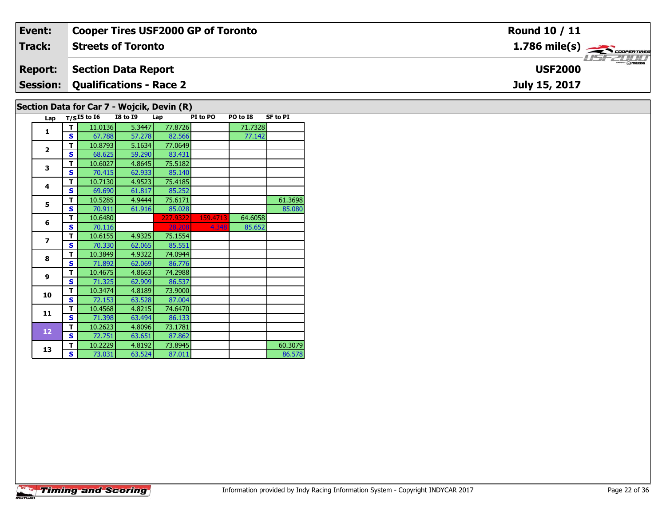| Event:         | <b>Cooper Tires USF2000 GP of Toronto</b>  | Round 10 / 11                                           |
|----------------|--------------------------------------------|---------------------------------------------------------|
| Track:         | <b>Streets of Toronto</b>                  | $1.786$ mile(s) $\overbrace{\hspace{2cm}}$ coorer TIRES |
| <b>Report:</b> | Section Data Report                        | <b>LISF 2000</b><br><b>USF2000</b>                      |
|                | <b>Session: Qualifications - Race 2</b>    | July 15, 2017                                           |
|                | Section Data for Car 7 - Wojcik, Devin (R) |                                                         |

| Lap                      |              | $T/SI5$ to $\overline{16}$ | <b>I8 to 19</b> | Lap      | PI to PO | PO to I8 | <b>SF to PI</b> |
|--------------------------|--------------|----------------------------|-----------------|----------|----------|----------|-----------------|
| $\mathbf{1}$             | т            | 11.0136                    | 5.3447          | 77.8726  |          | 71.7328  |                 |
|                          | S            | 67.788                     | 57.278          | 82.566   |          | 77.142   |                 |
|                          | т            | 10.8793                    | 5.1634          | 77.0649  |          |          |                 |
| $\overline{2}$           | S            | 68.625                     | 59.290          | 83.431   |          |          |                 |
| 3                        | т            | 10.6027                    | 4.8645          | 75.5182  |          |          |                 |
|                          | $\mathbf{s}$ | 70.415                     | 62.933          | 85.140   |          |          |                 |
| 4                        | т            | 10.7130                    | 4.9523          | 75.4185  |          |          |                 |
|                          | S            | 69.690                     | 61.817          | 85.252   |          |          |                 |
| 5                        | Т            | 10.5285                    | 4.9444          | 75.6171  |          |          | 61.3698         |
|                          | S            | 70.911                     | 61.916          | 85.028   |          |          | 85.080          |
| 6                        | т            | 10.6480                    |                 | 227.9322 | 159.4713 | 64.6058  |                 |
|                          | S            | 70.116                     |                 | 28,208   | 4.348    | 85.652   |                 |
| $\overline{\phantom{a}}$ | т            | 10.6155                    | 4.9325          | 75.1554  |          |          |                 |
|                          | S            | 70.330                     | 62.065          | 85.551   |          |          |                 |
| 8                        | т            | 10.3849                    | 4.9322          | 74.0944  |          |          |                 |
|                          | S            | 71.892                     | 62.069          | 86.776   |          |          |                 |
| $\mathbf{9}$             | т            | 10.4675                    | 4.8663          | 74.2988  |          |          |                 |
|                          | S            | 71.325                     | 62.909          | 86.537   |          |          |                 |
| 10                       | т            | 10.3474                    | 4.8189          | 73.9000  |          |          |                 |
|                          | S            | 72.153                     | 63.528          | 87.004   |          |          |                 |
| 11                       | т            | 10.4568                    | 4.8215          | 74.6470  |          |          |                 |
|                          | S            | 71.398                     | 63.494          | 86.133   |          |          |                 |
| 12                       | T            | 10.2623                    | 4.8096          | 73.1781  |          |          |                 |
|                          | $\mathbf{s}$ | 72.751                     | 63.651          | 87.862   |          |          |                 |
| 13                       | т            | 10.2229                    | 4.8192          | 73.8945  |          |          | 60.3079         |
|                          | S            | 73.031                     | 63.524          | 87.011   |          |          | 86.578          |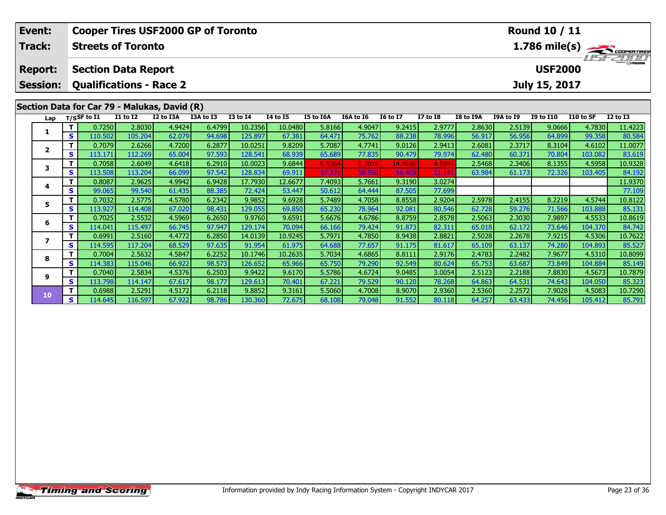| Event:          |              |                                              | <b>Cooper Tires USF2000 GP of Toronto</b> |                  |                  |                   |                  |                  |                  |                  | <b>Round 10 / 11</b> |                  |                  |                  |                         |                   |
|-----------------|--------------|----------------------------------------------|-------------------------------------------|------------------|------------------|-------------------|------------------|------------------|------------------|------------------|----------------------|------------------|------------------|------------------|-------------------------|-------------------|
| <b>Track:</b>   |              | <b>Streets of Toronto</b>                    |                                           |                  |                  |                   |                  |                  |                  |                  |                      |                  |                  |                  | $1.786 \text{ mile(s)}$ |                   |
| <b>Report:</b>  |              | <b>Section Data Report</b>                   |                                           |                  |                  |                   |                  |                  |                  |                  |                      |                  |                  | <b>USF2000</b>   |                         |                   |
| <b>Session:</b> |              | <b>Qualifications - Race 2</b>               |                                           |                  |                  |                   |                  |                  |                  |                  |                      |                  |                  | July 15, 2017    |                         |                   |
|                 |              | Section Data for Car 79 - Malukas, David (R) |                                           |                  |                  |                   |                  |                  |                  |                  |                      |                  |                  |                  |                         |                   |
| Lap             |              | T/SSF to I1                                  | <b>I1 to I2</b>                           | I2 to I3A        | I3A to I3        | <b>I3 to I4</b>   | <b>14 to 15</b>  | I5 to I6A        | I6A to I6        | <b>I6 to I7</b>  | <b>I7 to 18</b>      | I8 to I9A        | I9A to I9        | <b>I9 to I10</b> | I10 to SF               | <b>I2 to I3</b>   |
| 1               |              | 0.7250                                       | 2.8030                                    | 4.9424           | 6.4799           | 10.2356           | 10.0480          | 5.8166           | 4.9047           | 9.2415           | 2.9777               | 2.8630           | 2.5139           | 9.0666           | 4.7830                  | 11.4223           |
|                 | S            | 110.502                                      | 105.204                                   | 62.079           | 94.698           | 125.897           | 67.381           | 64.471           | 75.762           | 88.238           | 78.996               | 56.917           | 56.956           | 64.899           | 99.358                  | 80.584            |
| 2               |              | 0.7079                                       | 2.6266                                    | 4.7200           | 6.2877           | 10.0251           | 9.8209           | 5.7087           | 4.7741           | 9.0126           | 2.9413               | 2.6081           | 2.3717           | 8.3104           | 4.6102                  | 11.0077           |
|                 | $\mathbf{s}$ | 113.171                                      | 112.269                                   | 65.004           | 97.593           | 128.541           | 68.939           | 65.689           | 77.835           | 90.479           | 79.974               | 62.480           | 60.371           | 70.804           | 103.082                 | 83.619            |
| 3               | т            | 0.7058                                       | 2.6049                                    | 4.6418           | 6.2910           | 10.0023           | 9.6844           | 6.5364           | 6.3035           | 14.4560          | 4.5996               | 2.5468           | 2.3406           | 8.1355           | 4.5958                  | 10.9328           |
|                 | S            | 113.508                                      | 113.204                                   | 66.099           | 97.542           | 128.834           | 69.911           | 57.371           | 58.95            | 56,409           | 51.141               | 63.984           | 61.173           | 72.326           | 103.405                 | 84.192            |
| 4               |              | 0.8087                                       | 2.9625                                    | 4.9942           | 6.9428           | 17.7930           | 12.6677          | 7.4093           | 5.7661           | 9.3190           | 3.0274               |                  |                  |                  |                         | 11.9370           |
|                 | S            | 99.065                                       | 99.540                                    | 61.435           | 88.385           | 72.424            | 53.447           | 50.612           | 64.444           | 87.505           | 77.699               |                  |                  |                  |                         | 77.109            |
| 5               | т<br>S       | 0.7032<br>113.927                            | 2.5775                                    | 4.5780<br>67.020 | 6.2342<br>98.431 | 9.9852<br>129.055 | 9.6928           | 5.7489<br>65.230 | 4.7058<br>78.964 | 8.8558<br>92.081 | 2.9204<br>80.546     | 2.5978<br>62.728 | 2.4155<br>59.276 | 8.2219<br>71.566 | 4.5744<br>103.888       | 10.8122           |
|                 | т            | 0.7025                                       | 114.408<br>2.5532                         | 4.5969           | 6.2650           | 9.9760            | 69.850<br>9.6591 | 5.6676           | 4.6786           | 8.8759           | 2.8578               | 2.5063           | 2.3030           | 7.9897           | 4.5533                  | 85.131<br>10.8619 |
| 6               | S            | 114.041                                      | 115.497                                   | 66.745           | 97.947           | 129.174           | 70.094           | 66.166           | 79.424           | 91.873           | 82.311               | 65.018           | 62.172           | 73.646           | 104.370                 | 84.742            |
|                 | т            | 0.6991                                       | 2.5160                                    | 4.4772           | 6.2850           | 14.0139           | 10.9245          | 5.7971           | 4.7850           | 8.9438           | 2.8821               | 2.5028           | 2.2678           | 7.9215           | 4.5306                  | 10.7622           |
| 7               | S            | 114.595                                      | 117.204                                   | 68.529           | 97.635           | 91.954            | 61.975           | 64.688           | 77.657           | 91.175           | 81.617               | 65.109           | 63.137           | 74.280           | 104.893                 | 85.527            |
|                 |              | 0.7004                                       | 2.5632                                    | 4.5847           | 6.2252           | 10.1746           | 10.2635          | 5.7034           | 4.6865           | 8.8111           | 2.9176               | 2.4783           | 2.2482           | 7.9677           | 4.5310                  | 10.8099           |
| 8               | S            | 114.383                                      | 115.046                                   | 66.922           | 98.573           | 126.652           | 65.966           | 65.750           | 79.290           | 92.549           | 80.624               | 65.753           | 63.687           | 73.849           | 104.884                 | 85.149            |
|                 |              | 0.7040                                       | 2.5834                                    | 4.5376           | 6.2503           | 9.9422            | 9.6170           | 5.5786           | 4.6724           | 9.0485           | 3.0054               | 2.5123           | 2.2188           | 7.8830           | 4.5673                  | 10.7879           |
| 9               | $\mathbf{s}$ | 113.798                                      | 114.147                                   | 67.617           | 98.177           | 129.613           | 70.401           | 67.221           | 79.529           | 90.120           | 78.268               | 64.863           | 64.531           | 74.643           | 104.050                 | 85.323            |
|                 | т            | 0.6988                                       | 2.5291                                    | 4.5172           | 6.2118           | 9.8852            | 9.3161           | 5.5060           | 4.7008           | 8.9070           | 2.9360               | 2.5360           | 2.2572           | 7.9028           | 4.5083                  | 10.7290           |
| 10              | S            | 114.645                                      | 116.597                                   | 67.922           | 98.786           | 130.360           | 72.675           | 68.108           | 79.048           | 91.552           | 80.118               | 64.257           | 63.433           | 74.456           | 105.412                 | 85.791            |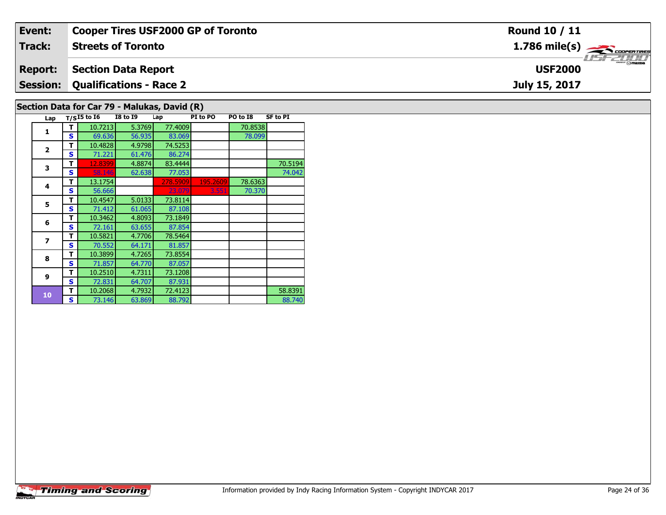| Event:          | <b>Cooper Tires USF2000 GP of Toronto</b>    | <b>Round 10 / 11</b>                                      |
|-----------------|----------------------------------------------|-----------------------------------------------------------|
| Track:          | <b>Streets of Toronto</b>                    | $1.786$ mile(s) $\overbrace{\hspace{2.5cm}}$ coorer TIRES |
| <b>Report:</b>  | <b>Section Data Report</b>                   | <b>USF2000</b>                                            |
| <b>Session:</b> | Qualifications - Race 2                      | July 15, 2017                                             |
|                 | Section Data for Car 79 - Malukas, David (R) |                                                           |

# **Section Data for Car 79 - Malukas, David (R)**

| Lap            |   | $T/SI5$ to $I6$ | <b>I8 to I9</b> | Lap      | PI to PO | PO to I8 | <b>SF to PI</b> |
|----------------|---|-----------------|-----------------|----------|----------|----------|-----------------|
| 1              | т | 10.7213         | 5.3769          | 77,4009  |          | 70.8538  |                 |
|                | s | 69.636          | 56.935          | 83.069   |          | 78.099   |                 |
| $\overline{2}$ | т | 10.4828         | 4.9798          | 74.5253  |          |          |                 |
|                | s | 71.221          | 61.476          | 86.274   |          |          |                 |
| 3              | т | 12.8399         | 4.8874          | 83.4444  |          |          | 70.5194         |
|                | S | 58.146          | 62.638          | 77.053   |          |          | 74.042          |
| 4              | т | 13.1754         |                 | 278.5909 | 195.2609 | 78.6363  |                 |
|                | S | 56.666          |                 | 23.079   | 3.551    | 70.370   |                 |
| 5              | т | 10.4547         | 5.0133          | 73.8114  |          |          |                 |
|                | S | 71.412          | 61.065          | 87.108   |          |          |                 |
| 6              | т | 10.3462         | 4.8093          | 73.1849  |          |          |                 |
|                | s | 72.161          | 63.655          | 87.854   |          |          |                 |
| $\overline{z}$ | т | 10.5821         | 4.7706          | 78.5464  |          |          |                 |
|                | S | 70.552          | 64.171          | 81.857   |          |          |                 |
| 8              | т | 10.3899         | 4.7265          | 73.8554  |          |          |                 |
|                | S | 71.857          | 64.770          | 87.057   |          |          |                 |
| 9              | т | 10.2510         | 4.7311          | 73.1208  |          |          |                 |
|                | S | 72.831          | 64.707          | 87.931   |          |          |                 |
| 10             | т | 10.2068         | 4.7932          | 72.4123  |          |          | 58.8391         |
|                | S | 73.146          | 63.869          | 88.792   |          |          | 88.740          |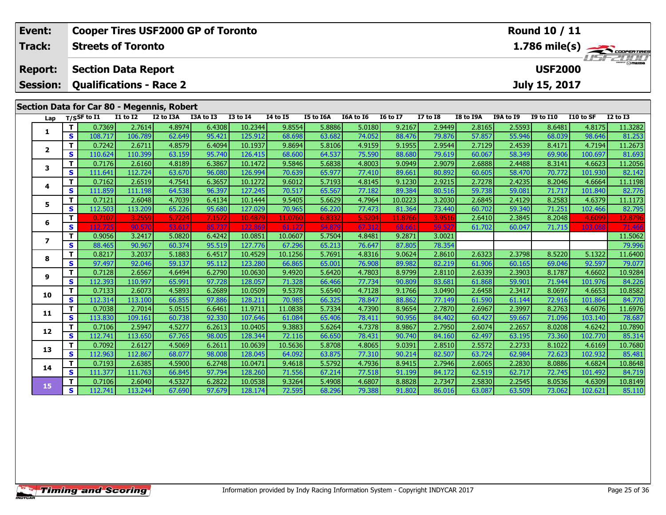| Event:          | <b>Cooper Tires USF2000 GP of Toronto</b><br>Round 10 / 11 |                                                                |                  |                  |                  |                    |                   |                  |                  |                  |                  |                  |                  |                  |           |                                                             |
|-----------------|------------------------------------------------------------|----------------------------------------------------------------|------------------|------------------|------------------|--------------------|-------------------|------------------|------------------|------------------|------------------|------------------|------------------|------------------|-----------|-------------------------------------------------------------|
| <b>Track:</b>   |                                                            | <b>Streets of Toronto</b>                                      |                  |                  |                  |                    |                   |                  |                  |                  |                  |                  |                  |                  |           | $\frac{1.786 \text{ mile(s)}}{1.157 - 200 \text{ minutes}}$ |
| <b>Report:</b>  |                                                            | <b>Section Data Report</b>                                     |                  |                  |                  |                    |                   |                  |                  |                  |                  |                  |                  | <b>USF2000</b>   |           |                                                             |
| <b>Session:</b> |                                                            | <b>Qualifications - Race 2</b>                                 |                  |                  |                  |                    |                   |                  |                  |                  |                  |                  |                  | July 15, 2017    |           |                                                             |
|                 |                                                            |                                                                |                  |                  |                  |                    |                   |                  |                  |                  |                  |                  |                  |                  |           |                                                             |
|                 |                                                            | Section Data for Car 80 - Megennis, Robert<br>$T/S$ SF to $I1$ | $I1$ to $I2$     | I2 to I3A        | I3A to I3        | $I3$ to $I4$       | $I4$ to $I5$      | I5 to I6A        | I6A to I6        | <b>I6 to I7</b>  | $I7$ to $I8$     | <b>I8 to I9A</b> | <b>I9A to I9</b> | <b>I9 to I10</b> | I10 to SF | $I2$ to $I3$                                                |
| Lap             | T                                                          | 0.7369                                                         | 2.7614           | 4.8974           | 6.4308           | 10.2344            | 9.8554            | 5.8886           | 5.0180           | 9.2167           | 2.9449           | 2.8165           | 2.5593           | 8.6481           | 4.8175    | 11.3282                                                     |
| 1               | $\mathbf{s}$                                               | 108.717                                                        | 106.789          | 62.649           | 95.421           | 125.912            | 68.698            | 63.682           | 74.052           | 88.476           | 79.876           | 57.857           | 55.946           | 68.039           | 98.646    | 81.253                                                      |
|                 | T                                                          | 0.7242                                                         | 2.6711           | 4.8579           | 6.4094           | 10.1937            | 9.8694            | 5.8106           | 4.9159           | 9.1955           | 2.9544           | 2.7129           | 2.4539           | 8.4171           | 4.7194    | 11.2673                                                     |
| 2               | S                                                          | 110.624                                                        | 110.399          | 63.159           | 95.740           | 126.415            | 68.600            | 64.537           | 75.590           | 88.680           | 79.619           | 60.067           | 58.349           | 69.906           | 100.697   | 81.693                                                      |
|                 | Т                                                          | 0.7176                                                         | 2.6160           | 4.8189           | 6.3867           | 10.1472            | 9.5846            | 5.6838           | 4.8003           | 9.0949           | 2.9079           | 2.6888           | 2.4488           | 8.3141           | 4.6623    | 11.2056                                                     |
| 3               | $\mathbf{s}$                                               | 111.641                                                        | 112.724          | 63.670           | 96.080           | 126.994            | 70.639            | 65.977           | 77.410           | 89.661           | 80.892           | 60.605           | 58.470           | 70.772           | 101.930   | 82.142                                                      |
| 4               | Т                                                          | 0.7162                                                         | 2.6519           | 4.7541           | 6.3657           | 10.1272            | 9.6012            | 5.7193           | 4.8145           | 9.1230           | 2.9215           | 2.7278           | 2.4235           | 8.2046           | 4.6664    | 11.1198                                                     |
|                 | $\mathbf{s}$                                               | 111.859                                                        | 111.198          | 64.538           | 96.397           | 127.245            | 70.517            | 65.567           | 77.182           | 89.384           | 80.516           | 59.738           | 59.081           | 71.717           | 101.840   | 82.776                                                      |
| 5               | T.                                                         | 0.7121                                                         | 2.6048           | 4.7039           | 6.4134           | 10.1444            | 9.5405            | 5.6629           | 4.7964           | 10.0223          | 3.2030           | 2.6845           | 2.4129           | 8.2583           | 4.6379    | 11.1173                                                     |
|                 | S                                                          | 112.503                                                        | 113.209          | 65.226           | 95.680           | 127.029            | 70.965            | 66.220           | 77.473           | 81.364           | 73.440           | 60.702           | 59.340           | 71.251           | 102.466   | 82.795                                                      |
| 6               | T.                                                         | 0.7107                                                         | 3.2559           | 5.7224           | 7.1572           | 10.4879            | 11.0760           | 6.833            | 5.5204           | 11.8766          | 3.9516           | 2.6410           | 2.3845           | 8.2048           | 4.6099    | 12.8796                                                     |
|                 | $\mathbf{s}$                                               |                                                                | 90.              |                  | 85.              | 122                |                   | 54.8             |                  | 68.              | 59.5             | 61.702           | 60.047           | 71.715           | 103.088   |                                                             |
| 7               | T.                                                         | 0.9056                                                         | 3.2417<br>90.967 | 5.0820<br>60.374 | 6.4242<br>95.519 | 10.0851            | 10.0607           | 5.7504<br>65.213 | 4.8481<br>76.647 | 9.2871           | 3.0021           |                  |                  |                  |           | 11.5062                                                     |
|                 | $\mathbf{s}$<br>T.                                         | 88.465<br>0.8217                                               | 3.2037           | 5.1883           | 6.4517           | 127.776<br>10.4529 | 67.296<br>10.1256 | 5.7691           | 4.8316           | 87.805<br>9.0624 | 78.354<br>2.8610 | 2.6323           | 2.3798           | 8.5220           | 5.1322    | 79.996<br>11.6400                                           |
| 8               | S                                                          | 97.497                                                         | 92.046           | 59.137           | 95.112           | 123.280            | 66.865            | 65.001           | 76.908           | 89.982           | 82.219           | 61.906           | 60.165           | 69.046           | 92.597    | 79.077                                                      |
|                 | Т                                                          | 0.7128                                                         | 2.6567           | 4.6494           | 6.2790           | 10.0630            | 9.4920            | 5.6420           | 4.7803           | 8.9799           | 2.8110           | 2.6339           | 2.3903           | 8.1787           | 4.6602    | 10.9284                                                     |
| 9               | $\mathbf{s}$                                               | 112.393                                                        | 110.997          | 65.991           | 97.728           | 128.057            | 71.328            | 66.466           | 77.734           | 90.809           | 83.681           | 61.868           | 59.901           | 71.944           | 101.976   | 84.226                                                      |
|                 | $\mathbf T$                                                | 0.7133                                                         | 2.6073           | 4.5893           | 6.2689           | 10.0509            | 9.5378            | 5.6540           | 4.7128           | 9.1766           | 3.0490           | 2.6458           | 2.3417           | 8.0697           | 4.6653    | 10.8582                                                     |
| 10              | $\mathbf{s}$                                               | 112.314                                                        | 113.100          | 66.855           | 97.886           | 128.211            | 70.985            | 66.325           | 78.847           | 88.862           | 77.149           | 61.590           | 61.144           | 72.916           | 101.864   | 84.770                                                      |
|                 | T.                                                         | 0.7038                                                         | 2.7014           | 5.0515           | 6.6461           | 11.9711            | 11.0838           | 5.7334           | 4.7390           | 8.9654           | 2.7870           | 2.6967           | 2.3997           | 8.2763           | 4.6076    | 11.6976                                                     |
| 11              | S                                                          | 113.830                                                        | 109.161          | 60.738           | 92.330           | 107.646            | 61.084            | 65.406           | 78.411           | 90.956           | 84.402           | 60.427           | 59.667           | 71.096           | 103.140   | 78.687                                                      |
| 12              | T                                                          | 0.7106                                                         | 2.5947           | 4.5277           | 6.2613           | 10.0405            | 9.3883            | 5.6264           | 4.7378           | 8.9867           | 2.7950           | 2.6074           | 2.2657           | 8.0208           | 4.6242    | 10.7890                                                     |
|                 | $\mathbf{s}$                                               | 112.741                                                        | 113.650          | 67.765           | 98.005           | 128.344            | 72.116            | 66.650           | 78.431           | 90.740           | 84.160           | 62.497           | 63.195           | 73.360           | 102.770   | 85.314                                                      |
| 13              | T                                                          | 0.7092                                                         | 2.6127           | 4.5069           | 6.2611           | 10.0639            | 10.5636           | 5.8708           | 4.8065           | 9.0391           | 2.8510           | 2.5572           | 2.2733           | 8.1022           | 4.6169    | 10.7680                                                     |
|                 | $\mathbf{s}$                                               | 112.963                                                        | 112.867          | 68.077           | 98.008           | 128.045            | 64.092            | 63.875           | 77.310           | 90.214           | 82.507           | 63.724           | 62.984           | 72.623           | 102.932   | 85.481                                                      |
| 14              | T.                                                         | 0.7193                                                         | 2.6385           | 4.5900           | 6.2748           | 10.0471            | 9.4618            | 5.5792           | 4.7936           | 8.9415           | 2.7946           | 2.6065           | 2.2830           | 8.0886           | 4.6824    | 10.8648                                                     |
|                 | S                                                          | 111.377                                                        | 111.763          | 66.845           | 97.794           | 128.260            | 71.556            | 67.214           | 77.518           | 91.199           | 84.172           | 62.519           | 62.717           | 72.745           | 101.492   | 84.719                                                      |
| 15              | т                                                          | 0.7106                                                         | 2.6040           | 4.5327           | 6.2822           | 10.0538            | 9.3264            | 5.4908           | 4.6807           | 8.8828           | 2.7347           | 2.5830           | 2.2545           | 8.0536           | 4.6309    | 10.8149                                                     |
|                 | $\mathbf{s}$                                               | 112.741                                                        | 113.244          | 67.690           | 97.679           | 128.174            | 72.595            | 68.296           | 79.388           | 91.802           | 86.016           | 63.087           | 63.509           | 73.062           | 102.621   | 85.110                                                      |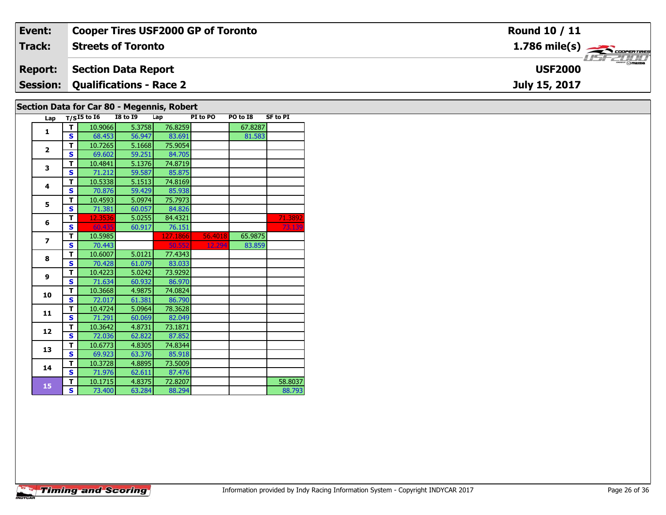| Event:         | <b>Cooper Tires USF2000 GP of Toronto</b> | <b>Round 10 / 11</b>                                      |
|----------------|-------------------------------------------|-----------------------------------------------------------|
| Track:         | <b>Streets of Toronto</b>                 | $1.786$ mile(s) $\overbrace{\hspace{2.5cm}}$ coorer TIRES |
| <b>Report:</b> | Section Data Report                       | <b>USF2000</b>                                            |
|                | <b>Session: Qualifications - Race 2</b>   | July 15, 2017                                             |
|                | Section Data for Car 80 - Megannic Pobert |                                                           |

#### **Section Data for Car 80 - Megennis, Robert**

| Lap            |                         | $T/SI5$ to $I6$ I8 to I9 |        | Lap      | PI to PO | PO to I8 | <b>SF to PI</b> |
|----------------|-------------------------|--------------------------|--------|----------|----------|----------|-----------------|
| $\mathbf{1}$   | т                       | 10.9066                  | 5.3758 | 76.8259  |          | 67.8287  |                 |
|                | Ś                       | 68.453                   | 56.947 | 83.691   |          | 81.583   |                 |
| $\overline{2}$ | T                       | 10.7265                  | 5.1668 | 75.9054  |          |          |                 |
|                | S                       | 69.602                   | 59.251 | 84.705   |          |          |                 |
| 3              | т                       | 10.4841                  | 5.1376 | 74.8719  |          |          |                 |
|                | S                       | 71.212                   | 59.587 | 85.875   |          |          |                 |
| 4              | T                       | 10.5338                  | 5.1513 | 74.8169  |          |          |                 |
|                | S                       | 70.876                   | 59.429 | 85.938   |          |          |                 |
| 5              | т                       | 10.4593                  | 5.0974 | 75.7973  |          |          |                 |
|                | S                       | 71.381                   | 60.057 | 84.826   |          |          |                 |
| 6              | т                       | 12.3536                  | 5.0255 | 84.4321  |          |          | 71.3892         |
|                | Ś                       | 60.435                   | 60.917 | 76.151   |          |          | 73.139          |
| $\overline{ }$ | T                       | 10.5985                  |        | 127.1866 | 56.4018  | 65.9875  |                 |
|                | S                       | 70.443                   |        | 50.552   | 12.294   | 83.859   |                 |
| 8              | T                       | 10.6007                  | 5.0121 | 77.4343  |          |          |                 |
|                | S                       | 70.428                   | 61.079 | 83.033   |          |          |                 |
| 9              | т                       | 10.4223                  | 5.0242 | 73.9292  |          |          |                 |
|                | S                       | 71.634                   | 60.932 | 86.970   |          |          |                 |
| 10             | т                       | 10.3668                  | 4.9875 | 74.0824  |          |          |                 |
|                | S                       | 72.017                   | 61.381 | 86.790   |          |          |                 |
| 11             | T                       | 10.4724                  | 5.0964 | 78.3628  |          |          |                 |
|                | Ś                       | 71.291                   | 60.069 | 82.049   |          |          |                 |
| 12             | T                       | 10.3642                  | 4.8731 | 73.1871  |          |          |                 |
|                | S                       | 72.036                   | 62.822 | 87.852   |          |          |                 |
| 13             | т                       | 10.6773                  | 4.8305 | 74.8344  |          |          |                 |
|                | S                       | 69.923                   | 63.376 | 85.918   |          |          |                 |
| 14             | т                       | 10.3728                  | 4.8895 | 73.5009  |          |          |                 |
|                | S                       | 71.976                   | 62.611 | 87.476   |          |          |                 |
| 15             | T                       | 10.1715                  | 4.8375 | 72.8207  |          |          | 58.8037         |
|                | $\overline{\mathbf{s}}$ | 73.400                   | 63.284 | 88.294   |          |          | 88.793          |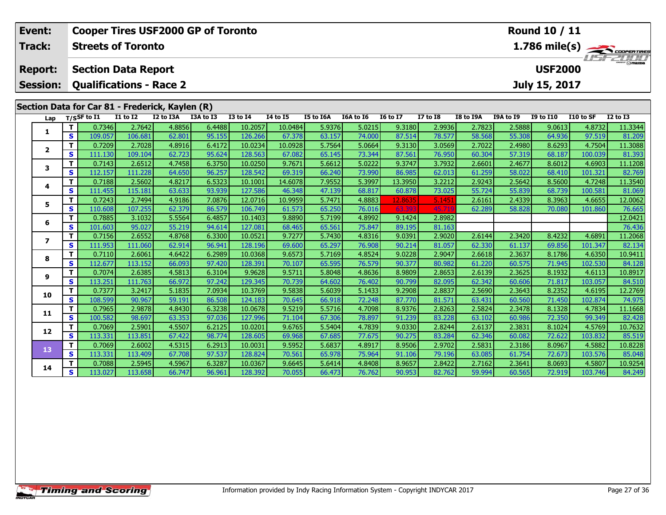| Event:                            | <b>Cooper Tires USF2000 GP of Toronto</b><br>Round 10 / 11 |                                                              |                  |                  |                  |                    |                  |                  |                  |                  |                  |           |                  |                                 |           |                         |
|-----------------------------------|------------------------------------------------------------|--------------------------------------------------------------|------------------|------------------|------------------|--------------------|------------------|------------------|------------------|------------------|------------------|-----------|------------------|---------------------------------|-----------|-------------------------|
| Track:                            |                                                            | <b>Streets of Toronto</b>                                    |                  |                  |                  |                    |                  |                  |                  |                  |                  |           |                  |                                 |           | $1.786 \text{ mile(s)}$ |
| <b>Report:</b><br><b>Session:</b> |                                                            | <b>Section Data Report</b><br><b>Qualifications - Race 2</b> |                  |                  |                  |                    |                  |                  |                  |                  |                  |           |                  | <b>USF2000</b><br>July 15, 2017 |           |                         |
|                                   |                                                            | Section Data for Car 81 - Frederick, Kaylen (R)              |                  |                  |                  |                    |                  |                  |                  |                  |                  |           |                  |                                 |           |                         |
| Lap                               |                                                            | T/SSF to I1                                                  | $I1$ to $I2$     | I2 to I3A        | I3A to I3        | <b>I3 to I4</b>    | <b>14 to 15</b>  | <b>I5 to I6A</b> | I6A to I6        | <b>I6 to I7</b>  | <b>I7 to I8</b>  | I8 to I9A | <b>I9A to I9</b> | <b>I9 to I10</b>                | I10 to SF | <b>I2 to I3</b>         |
|                                   | T.                                                         | 0.7346                                                       | 2.7642           | 4.8856           | 6.4488           | 10.2057            | 10.0484          | 5.9376           | 5.0215           | 9.3180           | 2.9936           | 2.7823    | 2.5888           | 9.0613                          | 4.8732    | 11.3344                 |
| 1                                 | S                                                          | 109.057                                                      | 106.681          | 62.801           | 95.155           | 126.266            | 67.378           | 63.157           | 74.000           | 87.514           | 78.577           | 58.568    | 55.308           | 64.936                          | 97.519    | 81.209                  |
|                                   | T                                                          | 0.7209                                                       | 2.7028           | 4.8916           | 6.4172           | 10.0234            | 10.0928          | 5.7564           | 5.0664           | 9.3130           | 3.0569           | 2.7022    | 2.4980           | 8.6293                          | 4.7504    | 11.3088                 |
| $\mathbf{2}$                      | $\mathbf{s}$                                               | 111.130                                                      | 109.104          | 62.723           | 95.624           | 128.563            | 67.082           | 65.145           | 73.344           | 87.561           | 76.950           | 60.304    | 57.319           | 68.187                          | 100.039   | 81.393                  |
| 3                                 | T                                                          | 0.7143                                                       | 2.6512           | 4.7458           | 6.3750           | 10.0250            | 9.7671           | 5.6612           | 5.0222           | 9.3747           | 3.7932           | 2.6601    | 2.4677           | 8.6012                          | 4.6903    | 11.1208                 |
|                                   | $\mathbf{s}$                                               | 112.157                                                      | 111.228          | 64.650           | 96.257           | 128.542            | 69.319           | 66.240           | 73.990           | 86.985           | 62.013           | 61.259    | 58.022           | 68.410                          | 101.321   | 82.769                  |
| 4                                 | т                                                          | 0.7188                                                       | 2.5602           | 4.8217           | 6.5323           | 10.1001            | 14.6078          | 7.9552           | 5.3997           | 13.3950          | 3.2212           | 2.9243    | 2.5642           | 8.5600                          | 4.7248    | 11.3540                 |
|                                   | $\mathbf{s}$                                               | 111.455                                                      | 115.181          | 63.633           | 93.939           | 127.586            | 46.348           | 47.139           | 68.817           | 60.878           | 73.025           | 55.724    | 55.839           | 68.739                          | 100.581   | 81.069                  |
| 5                                 | Т                                                          | 0.7243                                                       | 2.7494           | 4.9186           | 7.0876           | 12.0716            | 10.9959          | 5.7471           | 4.8883           | 12.8635          | 5.1451           | 2.6161    | 2.4339           | 8.3963                          | 4.6655    | 12.0062                 |
|                                   | S                                                          | 110.608                                                      | 107.255          | 62.379           | 86.579           | 106.749            | 61.573           | 65.250           | 76.016           | 63.39            | 45.71            | 62.289    | 58.828           | 70.080                          | 101.860   | 76.665                  |
| 6                                 | T<br>$\mathbf{s}$                                          | 0.7885                                                       | 3.1032           | 5.5564           | 6.4857           | 10.1403            | 9.8890           | 5.7199           | 4.8992           | 9.1424           | 2.8982           |           |                  |                                 |           | 12.0421                 |
|                                   | T                                                          | 101.603<br>0.7156                                            | 95.027<br>2.6552 | 55.219<br>4.8768 | 94.614<br>6.3300 | 127.081<br>10.0521 | 68.465<br>9.7277 | 65.561<br>5.7430 | 75.847<br>4.8316 | 89.195<br>9.0391 | 81.163<br>2.9020 | 2.6144    | 2.3420           | 8.4232                          | 4.6891    | 76.436<br>11.2068       |
| $\overline{ }$                    | $\mathbf{s}$                                               | 111.953                                                      | 111.060          | 62.914           | 96.941           | 128.196            | 69.600           | 65.297           | 76.908           | 90.214           | 81.057           | 62.330    | 61.137           | 69.856                          | 101.347   | 82.134                  |
|                                   | T                                                          | 0.7110                                                       | 2.6061           | 4.6422           | 6.2989           | 10.0368            | 9.6573           | 5.7169           | 4.8524           | 9.0228           | 2.9047           | 2.6618    | 2.3637           | 8.1786                          | 4.6350    | 10.9411                 |
| 8                                 | $\mathbf{s}$                                               | 112.677                                                      | 113.152          | 66.093           | 97.420           | 128.391            | 70.107           | 65.595           | 76.579           | 90.377           | 80.982           | 61.220    | 60.575           | 71.945                          | 102.530   | 84.128                  |
|                                   | T                                                          | 0.7074                                                       | 2.6385           | 4.5813           | 6.3104           | 9.9628             | 9.5711           | 5.8048           | 4.8636           | 8.9809           | 2.8653           | 2.6139    | 2.3625           | 8.1932                          | 4.6113    | 10.8917                 |
| 9                                 | $\mathbf{s}$                                               | 113.251                                                      | 111.763          | 66.972           | 97.242           | 129.345            | 70.739           | 64.602           | 76.402           | 90.799           | 82.095           | 62.342    | 60.606           | 71.817                          | 103.057   | 84.510                  |
|                                   | T                                                          | 0.7377                                                       | 3.2417           | 5.1835           | 7.0934           | 10.3769            | 9.5838           | 5.6039           | 5.1433           | 9.2908           | 2.8837           | 2.5690    | 2.3643           | 8.2352                          | 4.6195    | 12.2769                 |
| 10                                | $\mathbf{s}$                                               | 108.599                                                      | 90.967           | 59.191           | 86.508           | 124.183            | 70.645           | 66.918           | 72.248           | 87.770           | 81.571           | 63.431    | 60.560           | 71.450                          | 102.874   | 74.975                  |
| 11                                | т                                                          | 0.7965                                                       | 2.9878           | 4.8430           | 6.3238           | 10.0678            | 9.5219           | 5.5716           | 4.7098           | 8.9376           | 2.8263           | 2.5824    | 2.3478           | 8.1328                          | 4.7834    | 11.1668                 |
|                                   | S                                                          | 100.582                                                      | 98.697           | 63.353           | 97.036           | 127.996            | 71.104           | 67.306           | 78.897           | 91.239           | 83.228           | 63.102    | 60.986           | 72.350                          | 99.349    | 82.428                  |
| 12                                | т                                                          | 0.7069                                                       | 2.5901           | 4.5507           | 6.2125           | 10.0201            | 9.6765           | 5.5404           | 4.7839           | 9.0330           | 2.8244           | 2.6137    | 2.3831           | 8.1024                          | 4.5769    | 10.7632                 |
|                                   | $\mathbf{s}$                                               | 113.331                                                      | 113.851          | 67.422           | 98.774           | 128.605            | 69.968           | 67.685           | 77.675           | 90.275           | 83.284           | 62.346    | 60.082           | 72.622                          | 103.832   | 85.519                  |
| 13                                | Т                                                          | 0.7069                                                       | 2.6002           | 4.5315           | 6.2913           | 10.0031            | 9.5952           | 5.6837           | 4.8917           | 8.9506           | 2.9702           | 2.5831    | 2.3186           | 8.0967                          | 4.5882    | 10.8228                 |
|                                   | $\mathbf{s}$                                               | 113.331                                                      | 113.409          | 67.708           | 97.537           | 128.824            | 70.561           | 65.978           | 75.964           | 91.106           | 79.196           | 63.085    | 61.754           | 72.673                          | 103.576   | 85.048                  |
| 14                                | т                                                          | 0.7088                                                       | 2.5945           | 4.5967           | 6.3287           | 10.0367            | 9.6645           | 5.6414           | 4.8408           | 8.9657           | 2.8422           | 2.7162    | 2.3641           | 8.0693                          | 4.5807    | 10.9254                 |
|                                   | $\mathbf{s}$                                               | 113.027                                                      | 113.658          | 66.747           | 96.961           | 128.392            | 70.055           | 66.473           | 76.762           | 90.953           | 82.762           | 59.994    | 60.565           | 72.919                          | 103.746   | 84.249                  |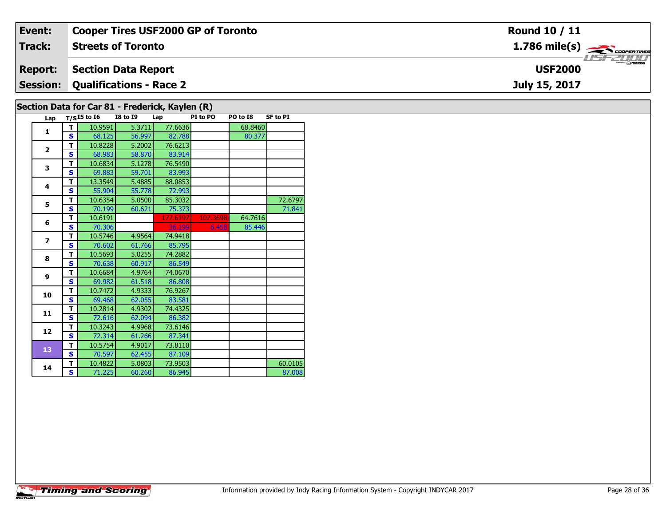| Event:         | <b>Cooper Tires USF2000 GP of Toronto</b>      | <b>Round 10 / 11</b>                                      |
|----------------|------------------------------------------------|-----------------------------------------------------------|
| Track:         | <b>Streets of Toronto</b>                      | $1.786$ mile(s) $\overbrace{\hspace{2.5cm}}$ coorer TIRES |
| <b>Report:</b> | <b>Section Data Report</b>                     | <b>USF2000</b>                                            |
|                | <b>Session: Qualifications - Race 2</b>        | July 15, 2017                                             |
|                | Section Data for Car 81 - Frederick Kaylon (D) |                                                           |

# **Section Data for Car 81 - Frederick, Kaylen (R)**

| Lap                      |   | $T/SI5$ to $I6$ | <b>I8 to I9</b> | Lap      | PI to PO | PO to I8 | <b>SF to PI</b> |
|--------------------------|---|-----------------|-----------------|----------|----------|----------|-----------------|
| 1                        | т | 10.9591         | 5.3711          | 77.6636  |          | 68.8460  |                 |
|                          | S | 68.125          | 56.997          | 82.788   |          | 80.377   |                 |
| $\overline{2}$           | т | 10.8228         | 5.2002          | 76.6213  |          |          |                 |
|                          | S | 68.983          | 58.870          | 83.914   |          |          |                 |
| 3                        | т | 10.6834         | 5.1278          | 76.5490  |          |          |                 |
|                          | S | 69.883          | 59.701          | 83.993   |          |          |                 |
| 4                        | T | 13.3549         | 5.4885          | 88.0853  |          |          |                 |
|                          | S | 55.904          | 55.778          | 72.993   |          |          |                 |
| 5                        | т | 10.6354         | 5.0500          | 85.3032  |          |          | 72.6797         |
|                          | S | 70.199          | 60.621          | 75.373   |          |          | 71.841          |
| 6                        | т | 10.6191         |                 | 177.6197 | 107.3698 | 64.7616  |                 |
|                          | Š | 70.306          |                 | 36.199   | 6.458    | 85.446   |                 |
| $\overline{\phantom{a}}$ | T | 10.5746         | 4.9564          | 74.9418  |          |          |                 |
|                          | S | 70.602          | 61.766          | 85.795   |          |          |                 |
| 8                        | т | 10.5693         | 5.0255          | 74.2882  |          |          |                 |
|                          | S | 70.638          | 60.917          | 86.549   |          |          |                 |
| 9                        | T | 10.6684         | 4.9764          | 74.0670  |          |          |                 |
|                          | Š | 69.982          | 61.518          | 86.808   |          |          |                 |
| 10                       | T | 10.7472         | 4.9333          | 76.9267  |          |          |                 |
|                          | Š | 69.468          | 62.055          | 83.581   |          |          |                 |
| 11                       | T | 10.2814         | 4.9302          | 74.4325  |          |          |                 |
|                          | Š | 72.616          | 62.094          | 86.382   |          |          |                 |
| 12                       | T | 10.3243         | 4.9968          | 73.6146  |          |          |                 |
|                          | S | 72.314          | 61.266          | 87.341   |          |          |                 |
| 13                       | т | 10.5754         | 4.9017          | 73.8110  |          |          |                 |
|                          | Š | 70.597          | 62.455          | 87.109   |          |          |                 |
| 14                       | т | 10.4822         | 5.0803          | 73.9503  |          |          | 60.0105         |
|                          | S | 71.225          | 60.260          | 86.945   |          |          | 87,008          |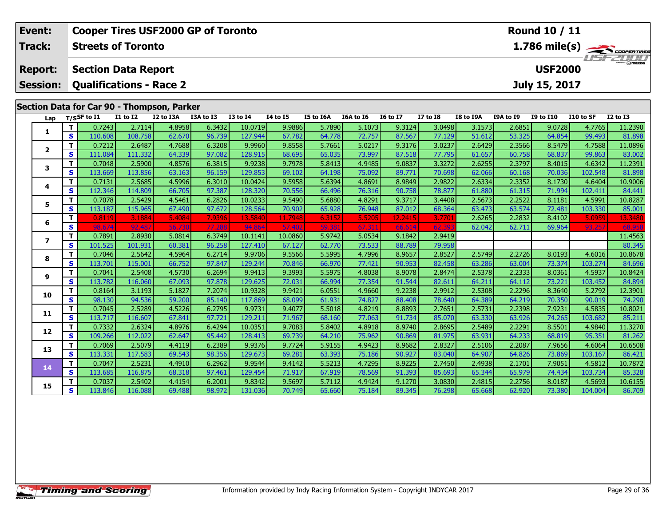| Event:          | <b>Cooper Tires USF2000 GP of Toronto</b> |                                            |                   |                  |                  |                    |                  |                  |                  |                  |                  |                  |                  | <b>Round 10 / 11</b> |                   |                                               |
|-----------------|-------------------------------------------|--------------------------------------------|-------------------|------------------|------------------|--------------------|------------------|------------------|------------------|------------------|------------------|------------------|------------------|----------------------|-------------------|-----------------------------------------------|
| Track:          |                                           | <b>Streets of Toronto</b>                  |                   |                  |                  |                    |                  |                  |                  |                  |                  |                  |                  |                      |                   | $\frac{1.786 \text{ mile(s)}}{1.157 - 21111}$ |
| <b>Report:</b>  |                                           | <b>Section Data Report</b>                 |                   |                  |                  |                    |                  |                  |                  |                  |                  |                  |                  | <b>USF2000</b>       |                   |                                               |
| <b>Session:</b> |                                           | <b>Qualifications - Race 2</b>             |                   |                  |                  |                    |                  |                  |                  |                  |                  |                  |                  | July 15, 2017        |                   |                                               |
|                 |                                           |                                            |                   |                  |                  |                    |                  |                  |                  |                  |                  |                  |                  |                      |                   |                                               |
|                 |                                           | Section Data for Car 90 - Thompson, Parker |                   |                  |                  |                    |                  |                  |                  |                  |                  |                  |                  |                      |                   |                                               |
| Lap             |                                           | $T/S$ SF to I1                             | $I1$ to $I2$      | I2 to I3A        | I3A to I3        | <b>I3 to I4</b>    | $14$ to $15$     | I5 to I6A        | I6A to I6        | <b>I6 to I7</b>  | <b>I7 to I8</b>  | <b>I8 to I9A</b> | <b>I9A to I9</b> | <b>I9 to I10</b>     | I10 to SF         | <b>I2 to I3</b>                               |
| 1               | т<br>S                                    | 0.7243<br>110.608                          | 2.7114<br>108.758 | 4.8958<br>62.670 | 6.3432<br>96.739 | 10.0719<br>127.944 | 9.9886<br>67.782 | 5.7890<br>64.778 | 5.1073<br>72.757 | 9.3124<br>87.567 | 3.0498<br>77.129 | 3.1573<br>51.612 | 2.6851<br>53.325 | 9.0728<br>64.854     | 4.7765<br>99.493  | 11.2390<br>81.898                             |
|                 | T                                         | 0.7212                                     | 2.6487            | 4.7688           | 6.3208           | 9.9960             | 9.8558           | 5.7661           | 5.0217           | 9.3176           | 3.0237           | 2.6429           | 2.3566           | 8.5479               | 4.7588            | 11.0896                                       |
| $\mathbf{2}$    | $\mathbf{s}$                              | 111.084                                    | 111.332           | 64.339           | 97.082           | 128.915            | 68.695           | 65.035           | 73.997           | 87.518           | 77.795           | 61.657           | 60.758           | 68.837               | 99.863            | 83.002                                        |
|                 | Т                                         | 0.7048                                     | 2.5900            | 4.8576           | 6.3815           | 9.9238             | 9.7978           | 5.8413           | 4.9485           | 9.0837           | 3.3272           | 2.6255           | 2.3797           | 8.4015               | 4.6342            | 11.2391                                       |
| 3               | $\mathbf{s}$                              | 113.669                                    | 113.856           | 63.163           | 96.159           | 129.853            | 69.102           | 64.198           | 75.092           | 89.77            | 70.698           | 62.066           | 60.168           | 70.036               | 102.548           | 81.898                                        |
|                 | T                                         | 0.7131                                     | 2.5685            | 4.5996           | 6.3010           | 10.0424            | 9.5958           | 5.6394           | 4.8691           | 8.9849           | 2.9822           | 2.6334           | 2.3352           | 8.1730               | 4.6404            | 10.9006                                       |
| 4               | $\mathbf{s}$                              | 112.346                                    | 114.809           | 66.705           | 97.387           | 128.320            | 70.556           | 66.496           | 76.316           | 90.758           | 78.877           | 61.880           | 61.315           | 71.994               | 102.411           | 84.441                                        |
| 5               | T.                                        | 0.7078                                     | 2.5429            | 4.5461           | 6.2826           | 10.0233            | 9.5490           | 5.6880           | 4.8291           | 9.3717           | 3.4408           | 2.5673           | 2.2522           | 8.1181               | 4.5991            | 10.8287                                       |
|                 | $\mathbf{s}$                              | 113.187                                    | 115.965           | 67.490           | 97.672           | 128.564            | 70.902           | 65.928           | 76.948           | 87.012           | 68.364           | 63.473           | 63.574           | 72.481               | 103.330           | 85.001                                        |
| 6               | T                                         | 0.8119                                     | 3.1884            | 5.4084           | 7.9396           | 13.5840            | 11.7948          | 6.3152           | 5.5205           | 12.2415          | 3.770            | 2.6265           | 2.2832           | 8.4102               | 5.0959            | 13.3480                                       |
|                 | S                                         |                                            | 92.48             | 56.              | 77.28            | 94.8               | 57.              |                  | 67.31            | 66.6             | 62.3             | 62.042           | 62.711           | 69.964               | 93.257            |                                               |
| 7               | T                                         | 0.7891                                     | 2.8930            | 5.0814           | 6.3749           | 10.1141            | 10.0860          | 5.9742           | 5.0534           | 9.1842           | 2.9419           |                  |                  |                      |                   | 11.4563                                       |
|                 | $\mathbf{s}$                              | 101.525                                    | 101.931           | 60.381           | 96.258           | 127.410            | 67.127           | 62.770           | 73.533           | 88.789           | 79.958           |                  |                  |                      |                   | 80.345                                        |
| 8               | T                                         | 0.7046                                     | 2.5642            | 4.5964           | 6.2714           | 9.9706             | 9.5566           | 5.5995           | 4.7996<br>77.421 | 8.9657           | 2.8527           | 2.5749           | 2.2726           | 8.0193               | 4.6016            | 10.8678                                       |
|                 | $\mathbf{s}$<br>T                         | 113.701<br>0.7041                          | 115.001<br>2.5408 | 66.752<br>4.5730 | 97.847<br>6.2694 | 129.244<br>9.9413  | 70.846<br>9.3993 | 66.970<br>5.5975 | 4.8038           | 90.953<br>8.9078 | 82.458<br>2.8474 | 63.286<br>2.5378 | 63.004<br>2.2333 | 73.374<br>8.0361     | 103.274<br>4.5937 | 84.696<br>10.8424                             |
| 9               | $\mathbf{s}$                              | 113.782                                    | 116.060           | 67.093           | 97.878           | 129.625            | 72.031           | 66.994           | 77.354           | 91.544           | 82.611           | 64.211           | 64.112           | 73.221               | 103.452           | 84.894                                        |
|                 | Т                                         | 0.8164                                     | 3.1193            | 5.1827           | 7.2074           | 10.9328            | 9.9421           | 6.0551           | 4.9660           | 9.2238           | 2.9912           | 2.5308           | 2.2296           | 8.3640               | 5.2792            | 12.3901                                       |
| 10              | $\overline{\mathbf{s}}$                   | 98.130                                     | 94.536            | 59.200           | 85.140           | 117.869            | 68.099           | 61.931           | 74.827           | 88.408           | 78.640           | 64.389           | 64.219           | 70.350               | 90.019            | 74.290                                        |
|                 | T.                                        | 0.7045                                     | 2.5289            | 4.5226           | 6.2795           | 9.9731             | 9.4077           | 5.5018           | 4.8219           | 8.8893           | 2.7651           | 2.5731           | 2.2398           | 7.9231               | 4.5835            | 10.8021                                       |
| 11              | $\mathbf{s}$                              | 113.717                                    | 116.607           | 67.841           | 97.721           | 129.211            | 71.967           | 68.160           | 77.063           | 91.734           | 85.070           | 63.330           | 63.926           | 74.265               | 103.682           | 85.211                                        |
| 12              | T                                         | 0.7332                                     | 2.6324            | 4.8976           | 6.4294           | 10.0351            | 9.7083           | 5.8402           | 4.8918           | 8.9740           | 2.8695           | 2.5489           | 2.2291           | 8.5501               | 4.9840            | 11.3270                                       |
|                 | $\mathbf{s}$                              | 109.266                                    | 112.022           | 62.647           | 95.442           | 128.413            | 69.739           | 64.210           | 75.962           | 90.869           | 81.975           | 63.931           | 64.233           | 68.819               | 95.351            | 81.262                                        |
| 13              | Т                                         | 0.7069                                     | 2.5079            | 4.4119           | 6.2389           | 9.9376             | 9.7724           | 5.9155           | 4.9423           | 8.9682           | 2.8327           | 2.5106           | 2.2087           | 7.9656               | 4.6064            | 10.6508                                       |
|                 | $\overline{\mathbf{s}}$                   | 113.331                                    | 117.583           | 69.543           | 98.356           | 129.673            | 69.281           | 63.393           | 75.186           | 90.927           | 83.040           | 64.907           | 64.826           | 73.869               | 103.167           | 86.421                                        |
| 14              | T                                         | 0.7047                                     | 2.5231            | 4.4910           | 6.2962           | 9.9544             | 9.4142           | 5.5213           | 4.7295           | 8.9225           | 2.7450           | 2.4938           | 2.1701           | 7.9051               | 4.5812            | 10.7872                                       |
|                 | S                                         | 113.685                                    | 116.875           | 68.318           | 97.461           | 129.454            | 71.917           | 67.919           | 78.569           | 91.393           | 85.693           | 65.344           | 65.979           | 74.434               | 103.734           | 85.328                                        |
| 15              | Т                                         | 0.7037                                     | 2.5402            | 4.4154           | 6.2001           | 9.8342             | 9.5697           | 5.7112           | 4.9424           | 9.1270           | 3.0830           | 2.4815           | 2.2756           | 8.0187               | 4.5693            | 10.6155                                       |
|                 | $\mathbf{s}$                              | 113.846                                    | 116.088           | 69.488           | 98.972           | 131.036            | 70.749           | 65.660           | 75.184           | 89.345           | 76.298           | 65.668           | 62.920           | 73.380               | 104.004           | 86.709                                        |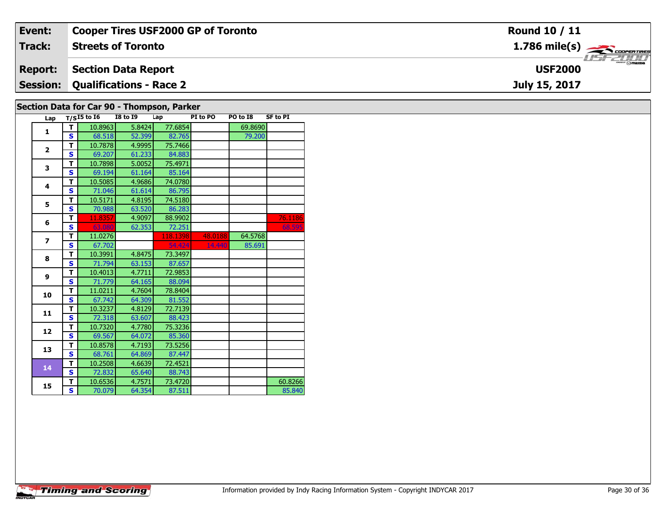| Event:         | <b>Cooper Tires USF2000 GP of Toronto</b>  | <b>Round 10 / 11</b>                      |
|----------------|--------------------------------------------|-------------------------------------------|
| Track:         | <b>Streets of Toronto</b>                  | $1.786$ mile(s) $\rightarrow$ coorentines |
| <b>Report:</b> | Section Data Report                        | <b>USF2000</b>                            |
|                | <b>Session: Qualifications - Race 2</b>    | July 15, 2017                             |
|                | Section Data for Car 90 - Thomnson, Parker |                                           |

| Lap                      |              | $T/SI5$ to $I6$ | <b>I8 to I9</b> | Lap      | PI to PO | PO to I8 | <b>SF to PI</b> |
|--------------------------|--------------|-----------------|-----------------|----------|----------|----------|-----------------|
| 1                        | т            | 10.8963         | 5.8424          | 77.6854  |          | 69.8690  |                 |
|                          | $\mathbf{s}$ | 68.518          | 52.399          | 82.765   |          | 79.200   |                 |
| $\mathbf{2}$             | Т            | 10.7878         | 4.9995          | 75.7466  |          |          |                 |
|                          | S            | 69.207          | 61.233          | 84.883   |          |          |                 |
| 3                        | T            | 10.7898         | 5.0052          | 75.4971  |          |          |                 |
|                          | $\mathbf{s}$ | 69.194          | 61.164          | 85.164   |          |          |                 |
| 4                        | T            | 10.5085         | 4.9686          | 74.0780  |          |          |                 |
|                          | $\mathbf{s}$ | 71.046          | 61.614          | 86.795   |          |          |                 |
| 5                        | T            | 10.5171         | 4.8195          | 74.5180  |          |          |                 |
|                          | $\mathbf{s}$ | 70.988          | 63.520          | 86.283   |          |          |                 |
| 6                        | T            | 11.8357         | 4.9097          | 88.9902  |          |          | 76.1186         |
|                          | $\mathbf{s}$ | 63.080          | 62.353          | 72.251   |          |          | 68.595          |
| $\overline{\phantom{a}}$ | T            | 11.0276         |                 | 118.1398 | 48.0188  | 64.5768  |                 |
|                          | $\mathbf{s}$ | 67.702          |                 | 54.424   | 14.440   | 85.691   |                 |
| 8                        | T            | 10.3991         | 4.8475          | 73.3497  |          |          |                 |
|                          | $\mathbf{s}$ | 71.794          | 63.153          | 87.657   |          |          |                 |
| 9                        | т            | 10.4013         | 4.7711          | 72.9853  |          |          |                 |
|                          | $\mathbf{s}$ | 71.779          | 64.165          | 88.094   |          |          |                 |
| 10                       | T            | 11.0211         | 4.7604          | 78.8404  |          |          |                 |
|                          | $\mathbf{s}$ | 67.742          | 64.309          | 81.552   |          |          |                 |
| 11                       | т            | 10.3237         | 4.8129          | 72.7139  |          |          |                 |
|                          | $\mathbf{s}$ | 72.318          | 63.607          | 88.423   |          |          |                 |
| 12                       | т            | 10.7320         | 4.7780          | 75.3236  |          |          |                 |
|                          | $\mathbf{s}$ | 69.567          | 64.072          | 85.360   |          |          |                 |
| 13                       | T            | 10.8578         | 4.7193          | 73.5256  |          |          |                 |
|                          | $\mathbf{s}$ | 68.761          | 64.869          | 87.447   |          |          |                 |
| 14                       | T            | 10.2508         | 4.6639          | 72.4521  |          |          |                 |
|                          | $\mathbf{s}$ | 72.832          | 65.640          | 88.743   |          |          |                 |
| 15                       | т            | 10.6536         | 4.7571          | 73.4720  |          |          | 60.8266         |
|                          | $\mathbf{s}$ | 70.079          | 64.354          | 87.511   |          |          | 85.840          |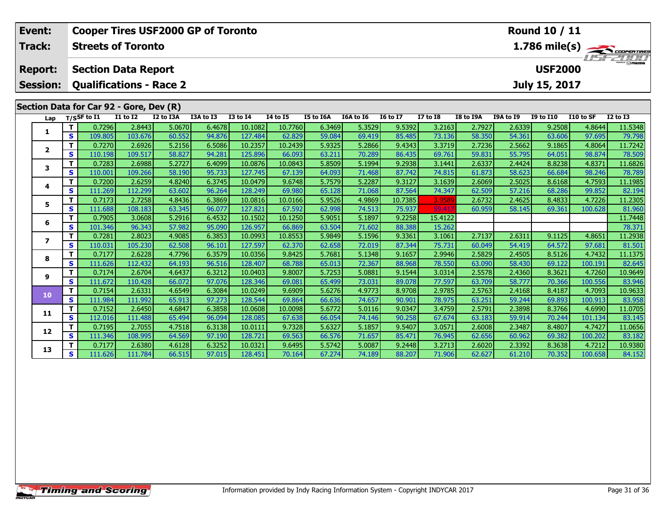| Event:                   | <b>Round 10 / 11</b><br><b>Cooper Tires USF2000 GP of Toronto</b><br>1.786 mile(s) $\frac{1}{\sqrt{1-\frac{1}{2}}}\frac{1}{\sqrt{1-\frac{1}{2}}}\frac{1}{\sqrt{1-\frac{1}{2}}}\frac{1}{\sqrt{1-\frac{1}{2}}}\frac{1}{\sqrt{1-\frac{1}{2}}}\frac{1}{\sqrt{1-\frac{1}{2}}}\frac{1}{\sqrt{1-\frac{1}{2}}}\frac{1}{\sqrt{1-\frac{1}{2}}}\frac{1}{\sqrt{1-\frac{1}{2}}}\frac{1}{\sqrt{1-\frac{1}{2}}}\frac{1}{\sqrt{1-\frac{1}{2}}}\frac{1}{\sqrt{1-\frac{1}{2}}}\frac{1}{\sqrt{1-\frac{1}{$ |                                         |                   |                                |                  |                    |                   |                  |                  |                   |                 |                  |                  |                  |                  |                   |
|--------------------------|-----------------------------------------------------------------------------------------------------------------------------------------------------------------------------------------------------------------------------------------------------------------------------------------------------------------------------------------------------------------------------------------------------------------------------------------------------------------------------------------|-----------------------------------------|-------------------|--------------------------------|------------------|--------------------|-------------------|------------------|------------------|-------------------|-----------------|------------------|------------------|------------------|------------------|-------------------|
| Track:                   |                                                                                                                                                                                                                                                                                                                                                                                                                                                                                         | <b>Streets of Toronto</b>               |                   |                                |                  |                    |                   |                  |                  |                   |                 |                  |                  |                  |                  |                   |
| <b>Report:</b>           |                                                                                                                                                                                                                                                                                                                                                                                                                                                                                         | <b>Section Data Report</b>              |                   |                                |                  |                    |                   |                  |                  |                   |                 |                  |                  | <b>USF2000</b>   |                  |                   |
| <b>Session:</b>          |                                                                                                                                                                                                                                                                                                                                                                                                                                                                                         |                                         |                   | <b>Qualifications - Race 2</b> |                  |                    |                   |                  |                  |                   |                 |                  |                  | July 15, 2017    |                  |                   |
|                          |                                                                                                                                                                                                                                                                                                                                                                                                                                                                                         | Section Data for Car 92 - Gore, Dev (R) |                   |                                |                  |                    |                   |                  |                  |                   |                 |                  |                  |                  |                  |                   |
| Lap                      |                                                                                                                                                                                                                                                                                                                                                                                                                                                                                         | $T/S$ SF to I1                          | $I1$ to $I2$      | I2 to I3A                      | I3A to I3        | <b>I3 to I4</b>    | <b>I4 to I5</b>   | I5 to I6A        | I6A to I6        | <b>I6 to I7</b>   | <b>I7 to I8</b> | I8 to I9A        | <b>I9A to I9</b> | <b>I9 to I10</b> | I10 to SF        | <b>I2 to I3</b>   |
| 1                        | т                                                                                                                                                                                                                                                                                                                                                                                                                                                                                       | 0.7296                                  | 2.8443            | 5.0670                         | 6.4678           | 10.1082            | 10.7760           | 6.3469           | 5.3529           | 9.5392            | 3.2163          | 2.7927           | 2.6339           | 9.2508           | 4.8644           | 11.5348           |
|                          | $\mathbf{s}$                                                                                                                                                                                                                                                                                                                                                                                                                                                                            | 109.805                                 | 103.676           | 60.552                         | 94.876           | 127.484            | 62.829            | 59.084           | 69.419           | 85.485            | 73.136          | 58.350           | 54.361           | 63.606           | 97.695           | 79.798            |
| $\mathbf{2}$             | т                                                                                                                                                                                                                                                                                                                                                                                                                                                                                       | 0.7270                                  | 2.6926            | 5.2156                         | 6.5086           | 10.2357            | 10.2439           | 5.9325           | 5.2866           | 9.4343            | 3.3719          | 2.7236           | 2.5662           | 9.1865           | 4.8064           | 11.7242           |
|                          | $\mathbf{s}$                                                                                                                                                                                                                                                                                                                                                                                                                                                                            | 110.198                                 | 109.517           | 58.827                         | 94.281           | 125.896            | 66.093            | 63.211           | 70.289           | 86.435            | 69.761          | 59.831           | 55.795           | 64.051           | 98.874           | 78.509            |
| 3                        | T                                                                                                                                                                                                                                                                                                                                                                                                                                                                                       | 0.7283                                  | 2.6988            | 5.2727                         | 6.4099           | 10.0876            | 10.0843           | 5.8509           | 5.1994           | 9.2938            | 3.1441          | 2.6337           | 2.4424           | 8.8238           | 4.8371           | 11.6826           |
|                          | S                                                                                                                                                                                                                                                                                                                                                                                                                                                                                       | 110.001                                 | 109.266           | 58.190                         | 95.733           | 127.745            | 67.139            | 64.093           | 71.468           | 87.742            | 74.815          | 61.873           | 58.623           | 66.684           | 98.246           | 78.789            |
| 4                        | T                                                                                                                                                                                                                                                                                                                                                                                                                                                                                       | 0.7200                                  | 2.6259            | 4.8240                         | 6.3745           | 10.0479            | 9.6748            | 5.7579           | 5.2287           | 9.3127            | 3.1639          | 2.6069           | 2.5025           | 8.6168           | 4.7593           | 11.1985           |
|                          | S<br>т                                                                                                                                                                                                                                                                                                                                                                                                                                                                                  | 111.269<br>0.7173                       | 112.299<br>2.7258 | 63.602<br>4.8436               | 96.264<br>6.3869 | 128.249<br>10.0816 | 69.980<br>10.0166 | 65.128<br>5.9526 | 71.068<br>4.9869 | 87.564<br>10.7385 | 74.347          | 62.509<br>2.6732 | 57.216<br>2.4625 | 68.286<br>8.4833 | 99.852<br>4.7226 | 82.194<br>11.2305 |
| 5                        | S                                                                                                                                                                                                                                                                                                                                                                                                                                                                                       | 111.688                                 | 108.183           | 63.345                         | 96.077           | 127.821            | 67.592            | 62.998           | 74.513           | 75.937            | 3.9589<br>59.41 | 60.959           | 58.145           | 69.361           | 100.628          | 81.960            |
|                          | T                                                                                                                                                                                                                                                                                                                                                                                                                                                                                       | 0.7905                                  | 3.0608            | 5.2916                         | 6.4532           | 10.1502            | 10.1250           | 5.9051           | 5.1897           | 9.2258            | 15.4122         |                  |                  |                  |                  | 11.7448           |
| 6                        | S                                                                                                                                                                                                                                                                                                                                                                                                                                                                                       | 101.346                                 | 96.343            | 57.982                         | 95.090           | 126.957            | 66.869            | 63.504           | 71.602           | 88.388            | 15.262          |                  |                  |                  |                  | 78.371            |
|                          | T                                                                                                                                                                                                                                                                                                                                                                                                                                                                                       | 0.7281                                  | 2.8023            | 4.9085                         | 6.3853           | 10.0993            | 10.8553           | 5.9849           | 5.1596           | 9.3361            | 3.1061          | 2.7137           | 2.6311           | 9.1125           | 4.8651           | 11.2938           |
| $\overline{\phantom{a}}$ | $\mathbf{s}$                                                                                                                                                                                                                                                                                                                                                                                                                                                                            | 110.031                                 | 105.230           | 62.508                         | 96.101           | 127.597            | 62.370            | 62.658           | 72.019           | 87.344            | 75.731          | 60.049           | 54.419           | 64.572           | 97.681           | 81.501            |
|                          | T.                                                                                                                                                                                                                                                                                                                                                                                                                                                                                      | 0.7177                                  | 2.6228            | 4.7796                         | 6.3579           | 10.0356            | 9.8425            | 5.7681           | 5.1348           | 9.1657            | 2.9946          | 2.5829           | 2.4505           | 8.5126           | 4.7432           | 11.1375           |
| 8                        | $\mathbf{s}$                                                                                                                                                                                                                                                                                                                                                                                                                                                                            | 111.626                                 | 112.432           | 64.193                         | 96.516           | 128,407            | 68.788            | 65.013           | 72.367           | 88.968            | 78.550          | 63.090           | 58.430           | 69.122           | 100.191          | 82.645            |
| 9                        | т                                                                                                                                                                                                                                                                                                                                                                                                                                                                                       | 0.7174                                  | 2.6704            | 4.6437                         | 6.3212           | 10.0403            | 9.8007            | 5.7253           | 5.0881           | 9.1544            | 3.0314          | 2.5578           | 2.4360           | 8.3621           | 4.7260           | 10.9649           |
|                          | $\mathbf{s}$                                                                                                                                                                                                                                                                                                                                                                                                                                                                            | 111.672                                 | 110.428           | 66.072                         | 97.076           | 128.346            | 69.081            | 65.499           | 73.031           | 89.078            | 77.597          | 63.709           | 58.777           | 70.366           | 100.556          | 83.946            |
| 10                       | T                                                                                                                                                                                                                                                                                                                                                                                                                                                                                       | 0.7154                                  | 2.6331            | 4.6549                         | 6.3084           | 10.0249            | 9.6909            | 5.6276           | 4.9773           | 8.9708            | 2.9785          | 2.5763           | 2.4168           | 8.4187           | 4.7093           | 10.9633           |
|                          | $\mathbf{s}$                                                                                                                                                                                                                                                                                                                                                                                                                                                                            | 111.984                                 | 111.992           | 65.913                         | 97.273           | 128.544            | 69.864            | 66.636           | 74.657           | 90.901            | 78.975          | 63.251           | 59.244           | 69.893           | 100.913          | 83.958            |
| 11                       | T                                                                                                                                                                                                                                                                                                                                                                                                                                                                                       | 0.7152                                  | 2.6450            | 4.6847                         | 6.3858           | 10.0608            | 10.0098           | 5.6772           | 5.0116           | 9.0347            | 3.4759          | 2.5791           | 2.3898           | 8.3766           | 4.6990           | 11.0705           |
|                          | $\mathbf{s}$                                                                                                                                                                                                                                                                                                                                                                                                                                                                            | 112.016                                 | 111.488           | 65.494                         | 96.094           | 128.085            | 67.638            | 66.054           | 74.146           | 90.258            | 67.674          | 63.183           | 59.914           | 70.244           | 101.134          | 83.145            |
| 12                       | T                                                                                                                                                                                                                                                                                                                                                                                                                                                                                       | 0.7195                                  | 2.7055            | 4.7518                         | 6.3138           | 10.0111            | 9.7328            | 5.6327           | 5.1857           | 9.5407            | 3.0571          | 2.6008           | 2.3487           | 8.4807           | 4.7427           | 11.0656           |
|                          | S                                                                                                                                                                                                                                                                                                                                                                                                                                                                                       | 111.346                                 | 108.995           | 64.569                         | 97.190           | 128.721            | 69.563            | 66.576           | 71.657           | 85.471            | 76.945          | 62.656           | 60.962           | 69.382           | 100.202          | 83.182            |
| 13                       | т                                                                                                                                                                                                                                                                                                                                                                                                                                                                                       | 0.7177                                  | 2.6380            | 4.6128                         | 6.3252           | 10.0321            | 9.6495            | 5.5742           | 5.0087           | 9.2448            | 3.2713          | 2.6020           | 2.3392           | 8.3638           | 4.7212           | 10.9380           |
|                          | S                                                                                                                                                                                                                                                                                                                                                                                                                                                                                       | 111.626                                 | 111.784           | 66.515                         | 97.015           | 128.451            | 70.164            | 67.274           | 74.189           | 88.207            | 71.906          | 62.627           | 61.210           | 70.352           | 100.658          | 84.152            |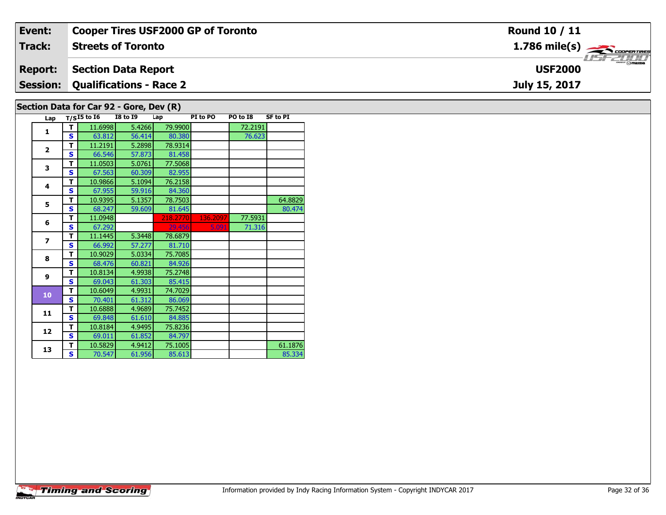| Event:          | <b>Cooper Tires USF2000 GP of Toronto</b> | <b>Round 10 / 11</b>                                      |
|-----------------|-------------------------------------------|-----------------------------------------------------------|
| <b>Track:</b>   | <b>Streets of Toronto</b>                 | $1.786$ mile(s) $\overbrace{\hspace{2.5cm}}$ coorer TIRES |
| <b>Report:</b>  | <b>Section Data Report</b>                | <b>LISF 2000</b><br><b>USF2000</b>                        |
| <b>Session:</b> | Qualifications - Race 2                   | July 15, 2017                                             |
|                 | Section Data for Car 92 - Gore, Dev (R)   |                                                           |

|  | Lap                      |   | $T/S$ 15 to 16 | <b>I8 to 19</b> | Lap      | PI to PO | PO to I8 | <b>SF to PI</b> |
|--|--------------------------|---|----------------|-----------------|----------|----------|----------|-----------------|
|  | 1                        | т | 11.6998        | 5.4266          | 79.9900  |          | 72.2191  |                 |
|  |                          | S | 63.812         | 56.414          | 80.380   |          | 76.623   |                 |
|  | $\overline{2}$           | т | 11.2191        | 5.2898          | 78.9314  |          |          |                 |
|  |                          | S | 66.546         | 57.873          | 81.458   |          |          |                 |
|  | 3                        | т | 11.0503        | 5.0761          | 77.5068  |          |          |                 |
|  |                          | S | 67.563         | 60.309          | 82.955   |          |          |                 |
|  | 4                        | т | 10.9866        | 5.1094          | 76.2158  |          |          |                 |
|  |                          | S | 67.955         | 59.916          | 84.360   |          |          |                 |
|  | 5                        | т | 10.9395        | 5.1357          | 78.7503  |          |          | 64.8829         |
|  |                          | S | 68.247         | 59.609          | 81.645   |          |          | 80.474          |
|  | 6                        | T | 11.0948        |                 | 218.2770 | 136.2097 | 77.5931  |                 |
|  |                          | S | 67.292         |                 | 29.456   | 5.091    | 71.316   |                 |
|  | $\overline{\phantom{a}}$ | т | 11.1445        | 5.3448          | 78.6879  |          |          |                 |
|  |                          | S | 66.992         | 57.277          | 81.710   |          |          |                 |
|  | 8                        | т | 10.9029        | 5.0334          | 75.7085  |          |          |                 |
|  |                          | S | 68.476         | 60.821          | 84.926   |          |          |                 |
|  | $\mathbf{9}$             | т | 10.8134        | 4.9938          | 75.2748  |          |          |                 |
|  |                          | S | 69.043         | 61.303          | 85.415   |          |          |                 |
|  | 10                       | т | 10.6049        | 4.9931          | 74.7029  |          |          |                 |
|  |                          | S | 70.401         | 61.312          | 86.069   |          |          |                 |
|  | 11                       | т | 10.6888        | 4.9689          | 75.7452  |          |          |                 |
|  |                          | S | 69.848         | 61.610          | 84.885   |          |          |                 |
|  | 12                       | т | 10.8184        | 4.9495          | 75.8236  |          |          |                 |
|  |                          | S | 69.011         | 61.852          | 84.797   |          |          |                 |
|  | 13                       | т | 10.5829        | 4.9412          | 75.1005  |          |          | 61.1876         |
|  |                          | S | 70.547         | 61.956          | 85.613   |          |          | 85.334          |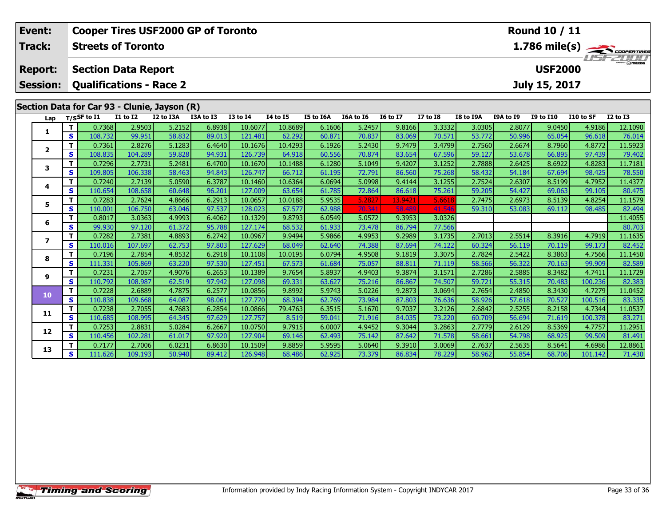| Event:                  |                                                                                               |                   |                   | <b>Cooper Tires USF2000 GP of Toronto</b> |                  |                    |                   |                  |                  |                  |                  |                  |                  | Round 10 / 11    |                   |                   |
|-------------------------|-----------------------------------------------------------------------------------------------|-------------------|-------------------|-------------------------------------------|------------------|--------------------|-------------------|------------------|------------------|------------------|------------------|------------------|------------------|------------------|-------------------|-------------------|
| Track:                  | <b>Streets of Toronto</b>                                                                     |                   |                   |                                           |                  |                    |                   |                  |                  |                  |                  |                  |                  |                  |                   |                   |
| <b>Report:</b>          | $\frac{1.786 \text{ mile(s)}}{1.157 - 21111}$<br><b>USF2000</b><br><b>Section Data Report</b> |                   |                   |                                           |                  |                    |                   |                  |                  |                  |                  |                  |                  |                  |                   |                   |
| <b>Session:</b>         | July 15, 2017<br><b>Qualifications - Race 2</b>                                               |                   |                   |                                           |                  |                    |                   |                  |                  |                  |                  |                  |                  |                  |                   |                   |
|                         |                                                                                               |                   |                   |                                           |                  |                    |                   |                  |                  |                  |                  |                  |                  |                  |                   |                   |
|                         | Section Data for Car 93 - Clunie, Jayson (R)                                                  |                   |                   |                                           |                  |                    |                   |                  |                  |                  |                  |                  |                  |                  |                   |                   |
| Lap                     |                                                                                               | $T/S$ SF to $I1$  | <b>I1 to I2</b>   | I2 to I3A                                 | I3A to I3        | <b>I3 to I4</b>    | <b>14 to 15</b>   | I5 to I6A        | I6A to I6        | <b>I6 to I7</b>  | <b>I7 to I8</b>  | <b>I8 to I9A</b> | I9A to I9        | <b>I9 to I10</b> | I10 to SF         | <b>I2 to I3</b>   |
| 1                       | т                                                                                             | 0.7368            | 2.9503            | 5.2152                                    | 6.8938           | 10.6077            | 10.8689           | 6.1606           | 5.2457           | 9.8166           | 3.3332           | 3.0305           | 2.8077           | 9.0450           | 4.9186            | 12.1090           |
|                         | S                                                                                             | 108.732           | 99.951            | 58.832                                    | 89.013           | 121.481            | 62.292            | 60.871           | 70.837           | 83.069           | 70.571           | 53.772           | 50.996           | 65.054           | 96.618            | 76.014            |
| $\mathbf{2}$            | т                                                                                             | 0.7361            | 2.8276            | 5.1283                                    | 6.4640           | 10.1676            | 10.4293           | 6.1926           | 5.2430           | 9.7479           | 3.4799           | 2.7560           | 2.6674           | 8.7960           | 4.8772            | 11.5923           |
|                         | $\mathbf{s}$<br>т                                                                             | 108.835<br>0.7296 | 104.289<br>2.7731 | 59.828<br>5.2481                          | 94.931<br>6.4700 | 126.739<br>10.1670 | 64.918<br>10.1488 | 60.556<br>6.1280 | 70.874<br>5.1049 | 83.654<br>9.4207 | 67.596<br>3.1252 | 59.127<br>2.7888 | 53.678<br>2.6425 | 66.895<br>8.6922 | 97.439<br>4.8283  | 79.402<br>11.7181 |
| 3                       | S                                                                                             | 109.805           | 106.338           | 58.463                                    | 94.843           | 126.747            | 66.712            | 61.195           | 72.791           | 86.560           | 75.268           | 58.432           | 54.184           | 67.694           | 98.425            | 78.550            |
|                         | T                                                                                             | 0.7240            | 2.7139            | 5.0590                                    | 6.3787           | 10.1460            | 10.6364           | 6.0694           | 5.0998           | 9.4144           | 3.1255           | 2.7524           | 2.6307           | 8.5199           | 4.7952            | 11.4377           |
| 4                       | S                                                                                             | 110.654           | 108.658           | 60.648                                    | 96.201           | 127.009            | 63.654            | 61.785           | 72.864           | 86.618           | 75.261           | 59.205           | 54.427           | 69.063           | 99.105            | 80.475            |
|                         | т                                                                                             | 0.7283            | 2.7624            | 4.8666                                    | 6.2913           | 10.0657            | 10.0188           | 5.9535           | 5.2827           | 13.9421          | 5.6618           | 2.7475           | 2.6973           | 8.5139           | 4.8254            | 11.1579           |
| 5                       | S                                                                                             | 110.001           | 106.750           | 63.046                                    | 97.537           | 128.023            | 67.577            | 62.988           | 70.341           | 58.489           | 41.54            | 59.310           | 53.083           | 69.112           | 98.485            | 82.494            |
|                         | т                                                                                             | 0.8017            | 3.0363            | 4.9993                                    | 6.4062           | 10.1329            | 9.8793            | 6.0549           | 5.0572           | 9.3953           | 3.0326           |                  |                  |                  |                   | 11.4055           |
| 6                       | S                                                                                             | 99.930            | 97.120            | 61.372                                    | 95.788           | 127.174            | 68.532            | 61.933           | 73.478           | 86.794           | 77.566           |                  |                  |                  |                   | 80.703            |
|                         | т                                                                                             | 0.7282            | 2.7381            | 4.8893                                    | 6.2742           | 10.0967            | 9.9494            | 5.9866           | 4.9953           | 9.2989           | 3.1735           | 2.7013           | 2.5514           | 8.3916           | 4.7919            | 11.1635           |
| $\overline{\mathbf{z}}$ | $\mathbf{s}$                                                                                  | 110.016           | 107.697           | 62.753                                    | 97.803           | 127.629            | 68.049            | 62.640           | 74.388           | 87.694           | 74.122           | 60.324           | 56.119           | 70.119           | 99.173            | 82.452            |
| 8                       | T                                                                                             | 0.7196            | 2.7854            | 4.8532                                    | 6.2918           | 10.1108            | 10.0195           | 6.0794           | 4.9508           | 9.1819           | 3.3075           | 2.7824           | 2.5422           | 8.3863           | 4.7566            | 11.1450           |
|                         | $\mathbf{s}$                                                                                  | 111.331           | 105.869           | 63.220                                    | 97.530           | 127.451            | 67.573            | 61.684           | 75.057           | 88.81            | 71.119           | 58.566           | 56.322           | 70.163           | 99.909            | 82.589            |
| 9                       | т                                                                                             | 0.7231            | 2.7057            | 4.9076                                    | 6.2653           | 10.1389            | 9.7654            | 5.8937           | 4.9403           | 9.3874           | 3.1571           | 2.7286           | 2.5885           | 8.3482           | 4.7411            | 11.1729           |
|                         | $\mathbf{s}$                                                                                  | 110.792           | 108.987           | 62.519                                    | 97.942           | 127.098            | 69.331            | 63.627           | 75.216           | 86.867           | 74.507           | 59.721           | 55.315           | 70.483           | 100.236           | 82.383            |
| 10                      | $\mathbf T$                                                                                   | 0.7228            | 2.6889            | 4.7875                                    | 6.2577           | 10.0856            | 9.8992            | 5.9743           | 5.0226           | 9.2873           | 3.0694           | 2.7654           | 2.4850           | 8.3430           | 4.7279            | 11.0452           |
|                         | $\mathbf{s}$                                                                                  | 110.838           | 109.668           | 64.087                                    | 98.061           | 127.770            | 68.394            | 62.769           | 73.984           | 87.803           | 76.636           | 58.926           | 57.618           | 70.527           | 100.516           | 83.335            |
| 11                      | т                                                                                             | 0.7238            | 2.7055            | 4.7683                                    | 6.2854           | 10.0866            | 79.4763           | 6.3515           | 5.1670           | 9.7037           | 3.2126           | 2.6842           | 2.5255           | 8.2158           | 4.7344            | 11.0537           |
|                         | $\mathbf{s}$                                                                                  | 110.685           | 108.995           | 64.345                                    | 97.629           | 127.757            | 8.519             | 59.041           | 71.916           | 84.035           | 73.220           | 60.709           | 56.694           | 71.619           | 100.378           | 83.271            |
| 12                      | т                                                                                             | 0.7253            | 2.8831            | 5.0284                                    | 6.2667           | 10.0750            | 9.7915            | 6.0007           | 4.9452           | 9.3044           | 3.2863           | 2.7779           | 2.6129           | 8.5369           | 4.7757            | 11.2951           |
|                         | S<br>т                                                                                        | 110.456           | 102.281           | 61.017                                    | 97.920           | 127.904            | 69.146            | 62.493           | 75.142           | 87.642           | 71.578           | 58.661           | 54.798           | 68.925           | 99.509            | 81.491            |
| 13                      | S                                                                                             | 0.7177            | 2.7006<br>109.193 | 6.0231<br>50.940                          | 6.8630<br>89.412 | 10.1509<br>126.948 | 9.8859            | 5.9595<br>62.925 | 5.0640<br>73.379 | 9.3910           | 3.0069           | 2.7637<br>58.962 | 2.5635<br>55.854 | 8.5641<br>68.706 | 4.6986<br>101.142 | 12.8861<br>71.430 |
|                         |                                                                                               | 111.626           |                   |                                           |                  |                    | 68.486            |                  |                  | 86.834           | 78.229           |                  |                  |                  |                   |                   |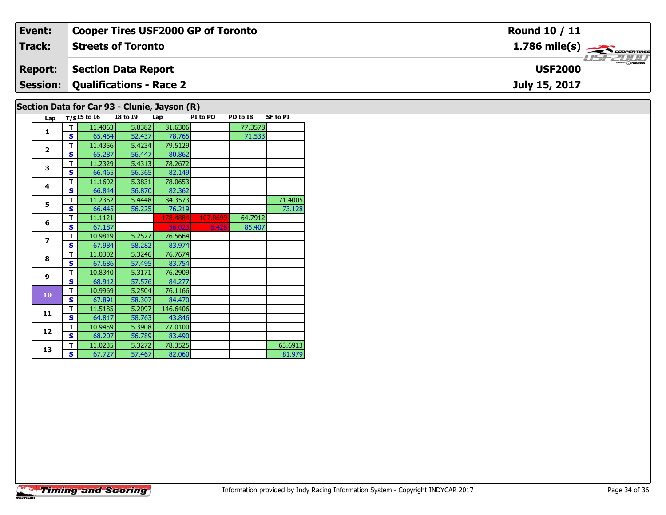| Event:                    | <b>Cooper Tires USF2000 GP of Toronto</b> | <b>Round 10 / 11</b>                                      |  |  |  |  |
|---------------------------|-------------------------------------------|-----------------------------------------------------------|--|--|--|--|
| <b>Track:</b>             | <b>Streets of Toronto</b>                 | $1.786$ mile(s) $\overbrace{\hspace{2.5cm}}$ coorer TIRES |  |  |  |  |
| <b>Report:</b>            | Section Data Report                       | <b>USF2000</b>                                            |  |  |  |  |
|                           | <b>Session: Qualifications - Race 2</b>   | July 15, 2017                                             |  |  |  |  |
| $\overline{R}_{\text{A}}$ |                                           |                                                           |  |  |  |  |

## **Section Data for Car 93 - Clunie, Jayson (R)**

|  | Lap                      |   | $T/SI5$ to $I6$ | <b>I8 to 19</b> | Lap      | PI to PO | PO to I8 | <b>SF to PI</b> |
|--|--------------------------|---|-----------------|-----------------|----------|----------|----------|-----------------|
|  | 1                        | т | 11.4063         | 5.8382          | 81.6306  |          | 77.3578  |                 |
|  |                          | S | 65.454          | 52.437          | 78.765   |          | 71.533   |                 |
|  |                          | T | 11.4356         | 5.4234          | 79.5129  |          |          |                 |
|  | $\overline{2}$           | Š | 65.287          | 56.447          | 80.862   |          |          |                 |
|  | 3                        | т | 11.2329         | 5.4313          | 78.2672  |          |          |                 |
|  |                          | S | 66.465          | 56.365          | 82.149   |          |          |                 |
|  | 4                        | т | 11.1692         | 5.3831          | 78.0653  |          |          |                 |
|  |                          | S | 66.844          | 56.870          | 82.362   |          |          |                 |
|  | 5                        | т | 11.2362         | 5.4448          | 84.3573  |          |          | 71.4005         |
|  |                          | S | 66.445          | 56.225          | 76.219   |          |          | 73.128          |
|  | 6                        | т | 11.1121         |                 | 178.4884 | 107.8699 | 64.7912  |                 |
|  |                          | Š | 67.187          |                 | 36.023   | 6.428    | 85.407   |                 |
|  | $\overline{\phantom{a}}$ | т | 10.9819         | 5.2527          | 76.5664  |          |          |                 |
|  |                          | S | 67.984          | 58.282          | 83.974   |          |          |                 |
|  | 8                        | т | 11.0302         | 5.3246          | 76.7674  |          |          |                 |
|  |                          | Š | 67.686          | 57.495          | 83.754   |          |          |                 |
|  | 9                        | т | 10.8340         | 5.3171          | 76.2909  |          |          |                 |
|  |                          | S | 68.912          | 57.576          | 84.277   |          |          |                 |
|  | 10                       | т | 10.9969         | 5.2504          | 76.1166  |          |          |                 |
|  |                          | Š | 67.891          | 58.307          | 84.470   |          |          |                 |
|  | 11                       | т | 11.5185         | 5.2097          | 146.6406 |          |          |                 |
|  |                          | S | 64.817          | 58.763          | 43.846   |          |          |                 |
|  | 12                       | T | 10.9459         | 5.3908          | 77.0100  |          |          |                 |
|  |                          | Ś | 68.207          | 56.789          | 83.490   |          |          |                 |
|  | 13                       | т | 11.0235         | 5.3272          | 78.3525  |          |          | 63.6913         |
|  |                          | S | 67.727          | 57.467          | 82.060   |          |          | 81.979          |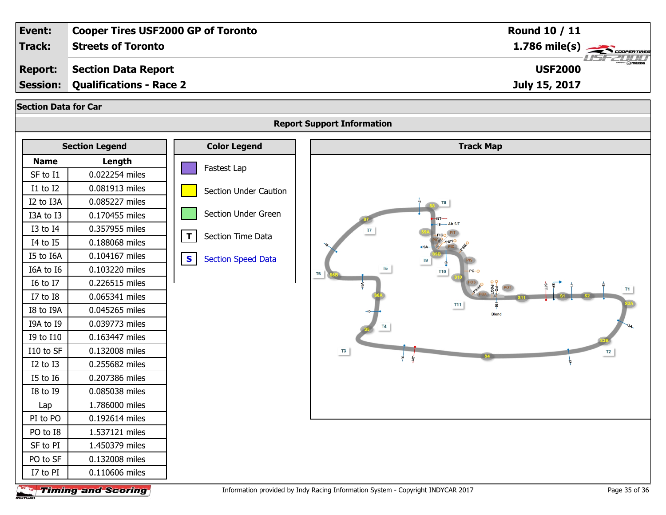